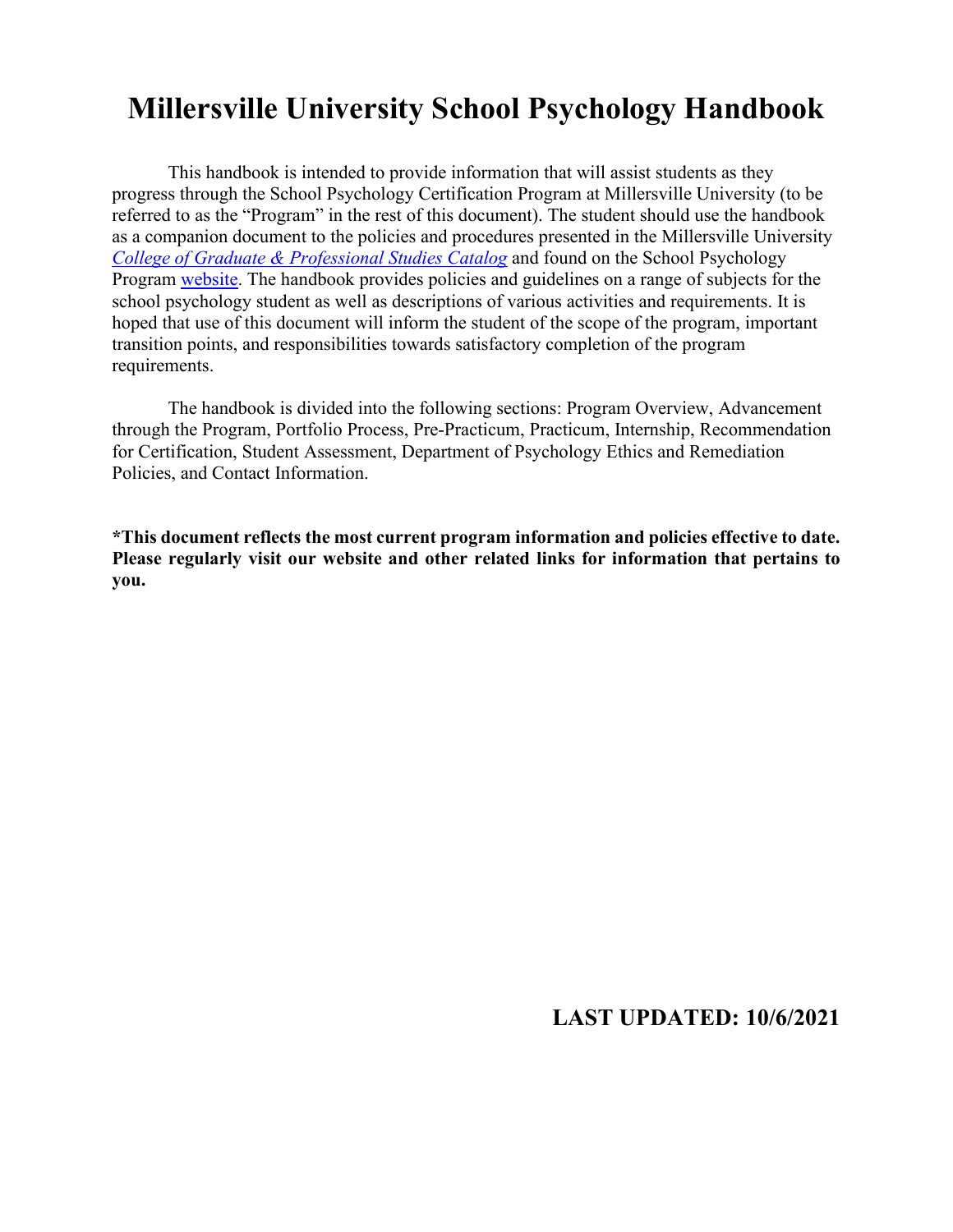# **Millersville University School Psychology Handbook**

This handbook is intended to provide information that will assist students as they progress through the School Psychology Certification Program at Millersville University (to be referred to as the "Program" in the rest of this document). The student should use the handbook as a companion document to the policies and procedures presented in the Millersville University *[College of Graduate & Professional Studies Catalog](https://www.millersville.edu/admissions/graduate/current-student-resources/graduate-student-catalog.php)* and found on the School Psychology Program [website.](https://www.millersville.edu/psychology/graduate-programs-webpages/school-psychology/index.php) The handbook provides policies and guidelines on a range of subjects for the school psychology student as well as descriptions of various activities and requirements. It is hoped that use of this document will inform the student of the scope of the program, important transition points, and responsibilities towards satisfactory completion of the program requirements.

The handbook is divided into the following sections: Program Overview, Advancement through the Program, Portfolio Process, Pre-Practicum, Practicum, Internship, Recommendation for Certification, Student Assessment, Department of Psychology Ethics and Remediation Policies, and Contact Information.

**\*This document reflects the most current program information and policies effective to date. Please regularly visit our website and other related links for information that pertains to you.**

## **LAST UPDATED: 10/6/2021**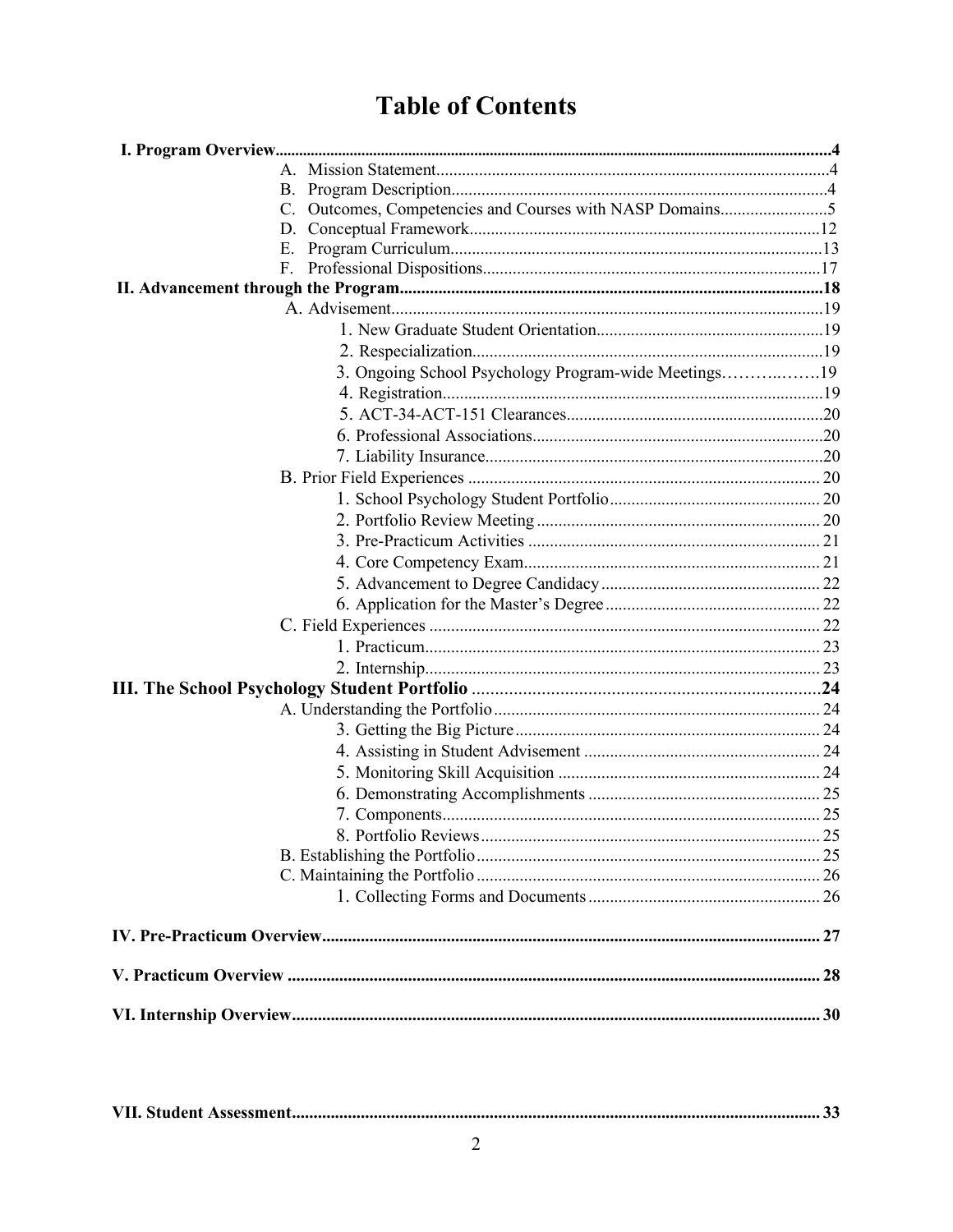# **Table of Contents**

| C. | Outcomes, Competencies and Courses with NASP Domains5 |  |
|----|-------------------------------------------------------|--|
| D. |                                                       |  |
| Е. |                                                       |  |
| F. |                                                       |  |
|    |                                                       |  |
|    |                                                       |  |
|    |                                                       |  |
|    |                                                       |  |
|    | 3. Ongoing School Psychology Program-wide Meetings19  |  |
|    |                                                       |  |
|    |                                                       |  |
|    |                                                       |  |
|    |                                                       |  |
|    |                                                       |  |
|    |                                                       |  |
|    |                                                       |  |
|    |                                                       |  |
|    |                                                       |  |
|    |                                                       |  |
|    |                                                       |  |
|    |                                                       |  |
|    |                                                       |  |
|    |                                                       |  |
|    |                                                       |  |
|    |                                                       |  |
|    |                                                       |  |
|    |                                                       |  |
|    |                                                       |  |
|    |                                                       |  |
|    |                                                       |  |
|    |                                                       |  |
|    |                                                       |  |
|    |                                                       |  |
|    |                                                       |  |
|    |                                                       |  |
|    |                                                       |  |
|    |                                                       |  |
|    |                                                       |  |

|--|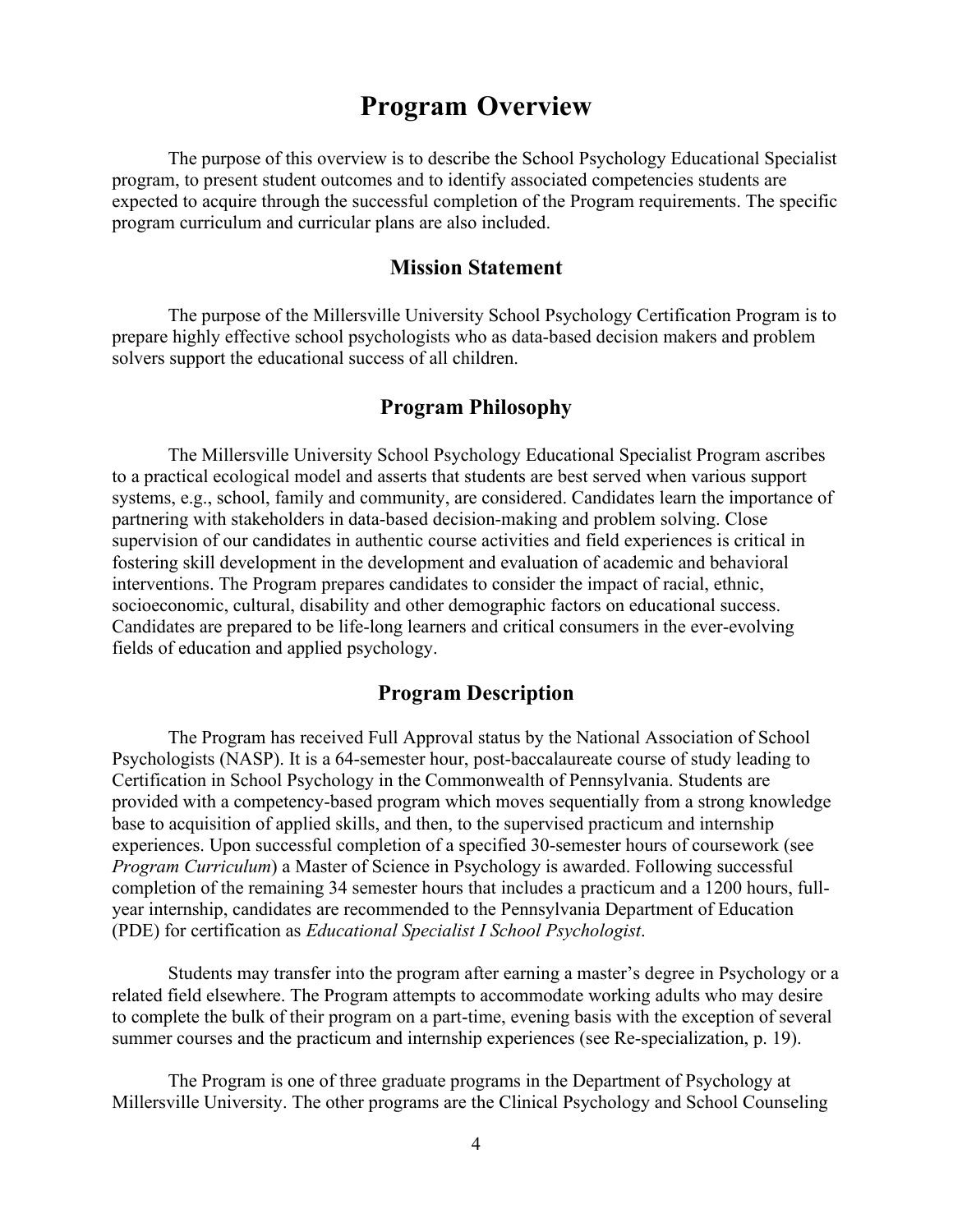## **Program Overview**

The purpose of this overview is to describe the School Psychology Educational Specialist program, to present student outcomes and to identify associated competencies students are expected to acquire through the successful completion of the Program requirements. The specific program curriculum and curricular plans are also included.

#### **Mission Statement**

The purpose of the Millersville University School Psychology Certification Program is to prepare highly effective school psychologists who as data-based decision makers and problem solvers support the educational success of all children.

## **Program Philosophy**

The Millersville University School Psychology Educational Specialist Program ascribes to a practical ecological model and asserts that students are best served when various support systems, e.g., school, family and community, are considered. Candidates learn the importance of partnering with stakeholders in data-based decision-making and problem solving. Close supervision of our candidates in authentic course activities and field experiences is critical in fostering skill development in the development and evaluation of academic and behavioral interventions. The Program prepares candidates to consider the impact of racial, ethnic, socioeconomic, cultural, disability and other demographic factors on educational success. Candidates are prepared to be life-long learners and critical consumers in the ever-evolving fields of education and applied psychology.

## **Program Description**

The Program has received Full Approval status by the National Association of School Psychologists (NASP). It is a 64-semester hour, post-baccalaureate course of study leading to Certification in School Psychology in the Commonwealth of Pennsylvania. Students are provided with a competency-based program which moves sequentially from a strong knowledge base to acquisition of applied skills, and then, to the supervised practicum and internship experiences. Upon successful completion of a specified 30-semester hours of coursework (see *Program Curriculum*) a Master of Science in Psychology is awarded. Following successful completion of the remaining 34 semester hours that includes a practicum and a 1200 hours, fullyear internship, candidates are recommended to the Pennsylvania Department of Education (PDE) for certification as *Educational Specialist I School Psychologist*.

Students may transfer into the program after earning a master's degree in Psychology or a related field elsewhere. The Program attempts to accommodate working adults who may desire to complete the bulk of their program on a part-time, evening basis with the exception of several summer courses and the practicum and internship experiences (see Re-specialization, p. 19).

The Program is one of three graduate programs in the Department of Psychology at Millersville University. The other programs are the Clinical Psychology and School Counseling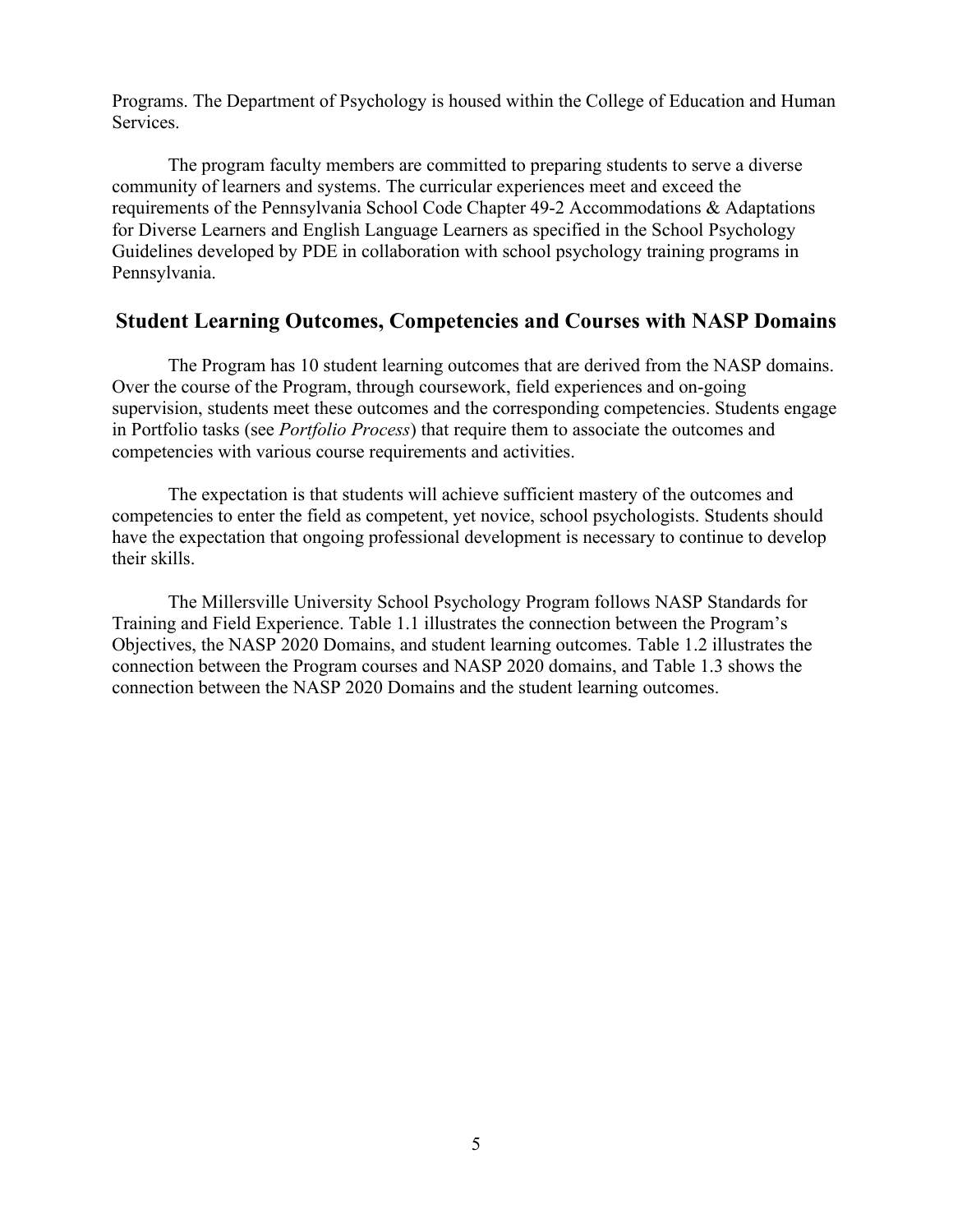Programs. The Department of Psychology is housed within the College of Education and Human Services.

The program faculty members are committed to preparing students to serve a diverse community of learners and systems. The curricular experiences meet and exceed the requirements of the Pennsylvania School Code Chapter 49-2 Accommodations & Adaptations for Diverse Learners and English Language Learners as specified in the School Psychology Guidelines developed by PDE in collaboration with school psychology training programs in Pennsylvania.

## **Student Learning Outcomes, Competencies and Courses with NASP Domains**

The Program has 10 student learning outcomes that are derived from the NASP domains. Over the course of the Program, through coursework, field experiences and on-going supervision, students meet these outcomes and the corresponding competencies. Students engage in Portfolio tasks (see *Portfolio Process*) that require them to associate the outcomes and competencies with various course requirements and activities.

The expectation is that students will achieve sufficient mastery of the outcomes and competencies to enter the field as competent, yet novice, school psychologists. Students should have the expectation that ongoing professional development is necessary to continue to develop their skills.

The Millersville University School Psychology Program follows NASP Standards for Training and Field Experience. Table 1.1 illustrates the connection between the Program's Objectives, the NASP 2020 Domains, and student learning outcomes. Table 1.2 illustrates the connection between the Program courses and NASP 2020 domains, and Table 1.3 shows the connection between the NASP 2020 Domains and the student learning outcomes.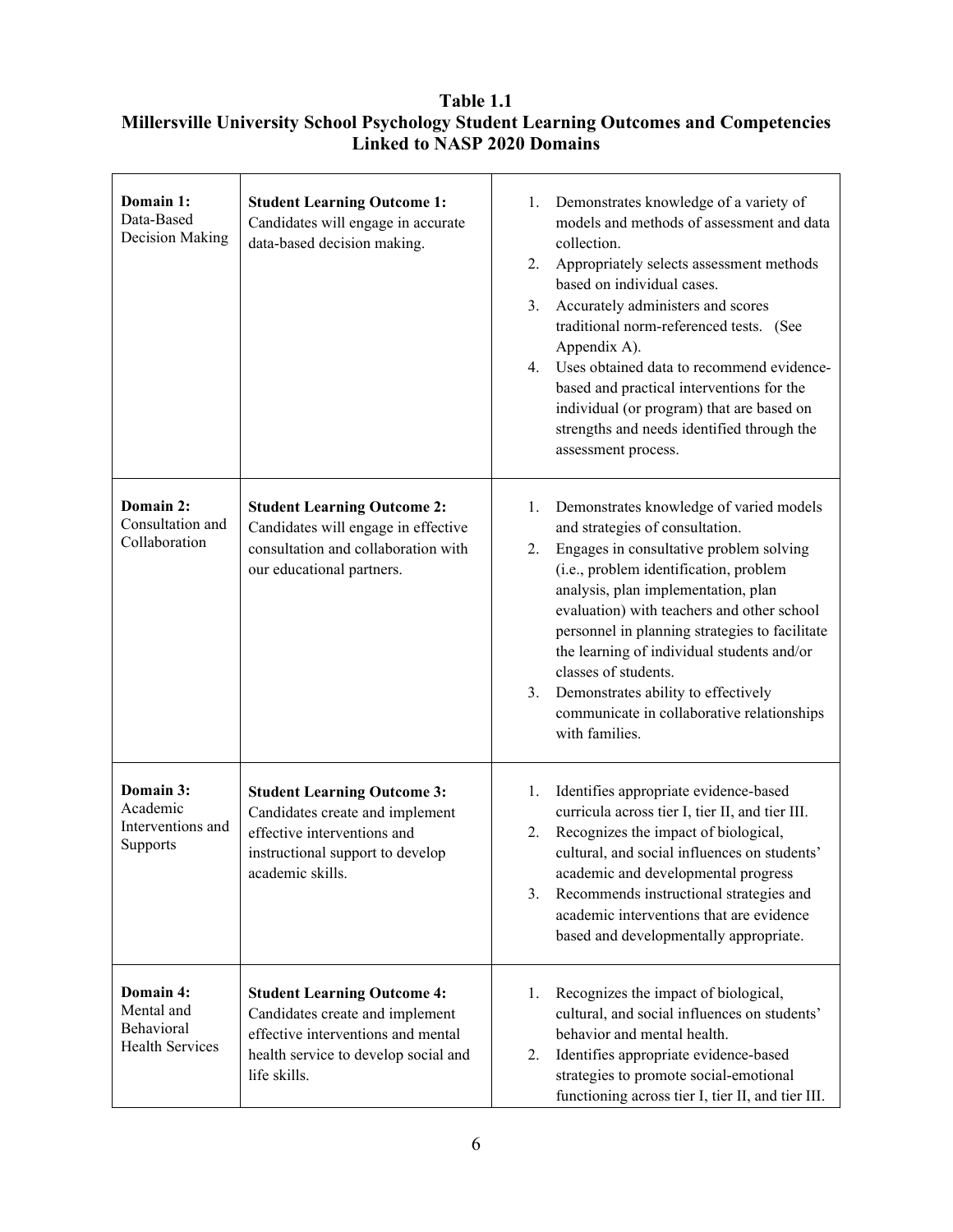### **Table 1.1 Millersville University School Psychology Student Learning Outcomes and Competencies Linked to NASP 2020 Domains**

| Domain 1:<br>Data-Based<br>Decision Making                      | <b>Student Learning Outcome 1:</b><br>Candidates will engage in accurate<br>data-based decision making.                                                             | Demonstrates knowledge of a variety of<br>1.<br>models and methods of assessment and data<br>collection.<br>Appropriately selects assessment methods<br>2.<br>based on individual cases.<br>Accurately administers and scores<br>3.<br>traditional norm-referenced tests. (See<br>Appendix A).<br>Uses obtained data to recommend evidence-<br>4.<br>based and practical interventions for the<br>individual (or program) that are based on<br>strengths and needs identified through the<br>assessment process. |
|-----------------------------------------------------------------|---------------------------------------------------------------------------------------------------------------------------------------------------------------------|------------------------------------------------------------------------------------------------------------------------------------------------------------------------------------------------------------------------------------------------------------------------------------------------------------------------------------------------------------------------------------------------------------------------------------------------------------------------------------------------------------------|
| Domain 2:<br>Consultation and<br>Collaboration                  | <b>Student Learning Outcome 2:</b><br>Candidates will engage in effective<br>consultation and collaboration with<br>our educational partners.                       | Demonstrates knowledge of varied models<br>1.<br>and strategies of consultation.<br>Engages in consultative problem solving<br>2.<br>(i.e., problem identification, problem<br>analysis, plan implementation, plan<br>evaluation) with teachers and other school<br>personnel in planning strategies to facilitate<br>the learning of individual students and/or<br>classes of students.<br>Demonstrates ability to effectively<br>3.<br>communicate in collaborative relationships<br>with families.            |
| Domain 3:<br>Academic<br>Interventions and<br>Supports          | <b>Student Learning Outcome 3:</b><br>Candidates create and implement<br>effective interventions and<br>instructional support to develop<br>academic skills.        | Identifies appropriate evidence-based<br>1.<br>curricula across tier I, tier II, and tier III.<br>Recognizes the impact of biological,<br>2.<br>cultural, and social influences on students'<br>academic and developmental progress<br>Recommends instructional strategies and<br>3.<br>academic interventions that are evidence<br>based and developmentally appropriate.                                                                                                                                       |
| Domain 4:<br>Mental and<br>Behavioral<br><b>Health Services</b> | <b>Student Learning Outcome 4:</b><br>Candidates create and implement<br>effective interventions and mental<br>health service to develop social and<br>life skills. | Recognizes the impact of biological,<br>1.<br>cultural, and social influences on students'<br>behavior and mental health.<br>Identifies appropriate evidence-based<br>2.<br>strategies to promote social-emotional<br>functioning across tier I, tier II, and tier III.                                                                                                                                                                                                                                          |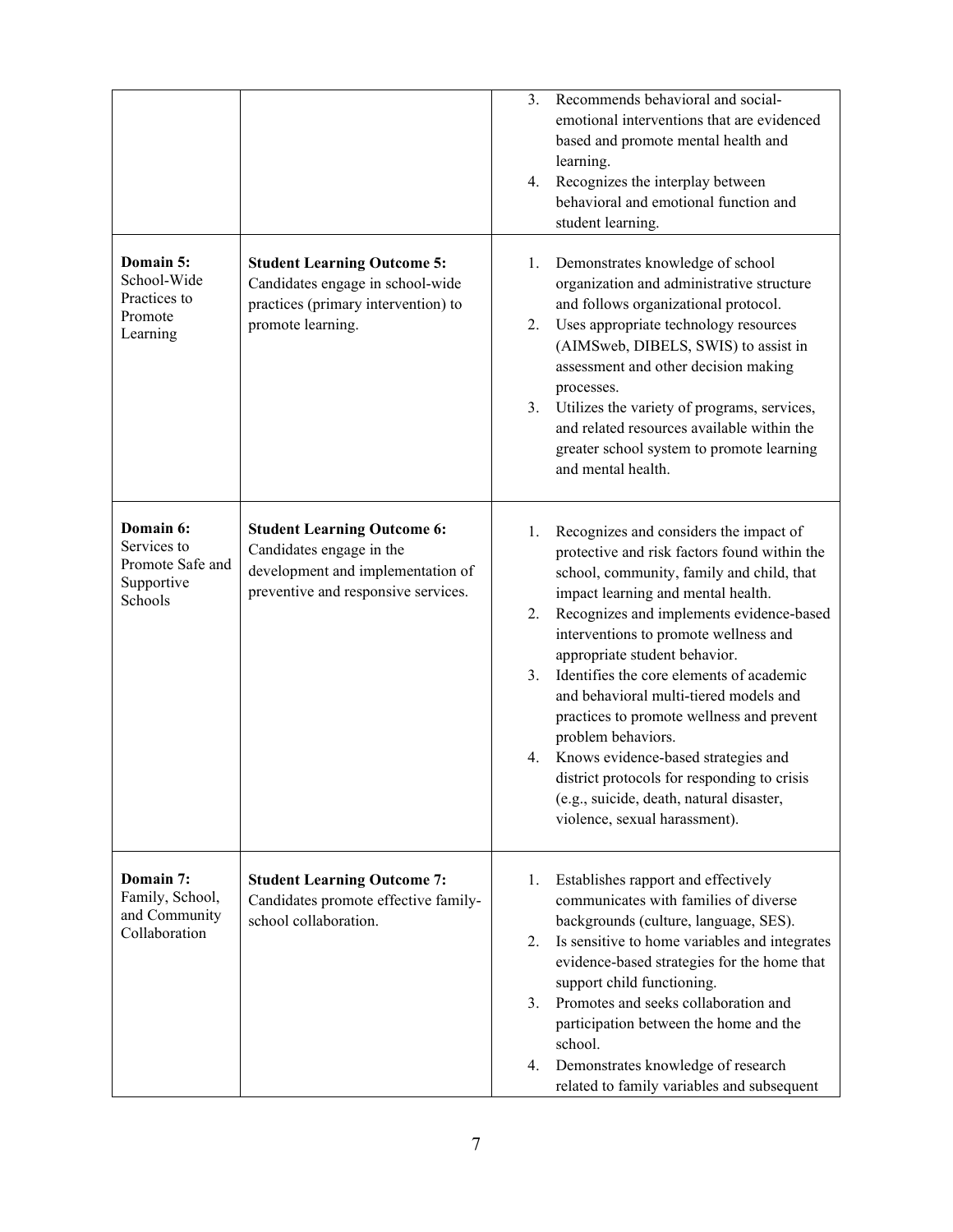|                                                                       |                                                                                                                                            | Recommends behavioral and social-<br>3.<br>emotional interventions that are evidenced<br>based and promote mental health and<br>learning.<br>Recognizes the interplay between<br>4.<br>behavioral and emotional function and<br>student learning.                                                                                                                                                                                                                                                                                                                                                                                                |
|-----------------------------------------------------------------------|--------------------------------------------------------------------------------------------------------------------------------------------|--------------------------------------------------------------------------------------------------------------------------------------------------------------------------------------------------------------------------------------------------------------------------------------------------------------------------------------------------------------------------------------------------------------------------------------------------------------------------------------------------------------------------------------------------------------------------------------------------------------------------------------------------|
| Domain 5:<br>School-Wide<br>Practices to<br>Promote<br>Learning       | <b>Student Learning Outcome 5:</b><br>Candidates engage in school-wide<br>practices (primary intervention) to<br>promote learning.         | Demonstrates knowledge of school<br>1.<br>organization and administrative structure<br>and follows organizational protocol.<br>Uses appropriate technology resources<br>2.<br>(AIMSweb, DIBELS, SWIS) to assist in<br>assessment and other decision making<br>processes.<br>3. Utilizes the variety of programs, services,<br>and related resources available within the<br>greater school system to promote learning<br>and mental health.                                                                                                                                                                                                      |
| Domain 6:<br>Services to<br>Promote Safe and<br>Supportive<br>Schools | <b>Student Learning Outcome 6:</b><br>Candidates engage in the<br>development and implementation of<br>preventive and responsive services. | Recognizes and considers the impact of<br>1.<br>protective and risk factors found within the<br>school, community, family and child, that<br>impact learning and mental health.<br>Recognizes and implements evidence-based<br>2.<br>interventions to promote wellness and<br>appropriate student behavior.<br>Identifies the core elements of academic<br>3.<br>and behavioral multi-tiered models and<br>practices to promote wellness and prevent<br>problem behaviors.<br>4. Knows evidence-based strategies and<br>district protocols for responding to crisis<br>(e.g., suicide, death, natural disaster,<br>violence, sexual harassment). |
| Domain 7:<br>Family, School,<br>and Community<br>Collaboration        | <b>Student Learning Outcome 7:</b><br>Candidates promote effective family-<br>school collaboration.                                        | Establishes rapport and effectively<br>1.<br>communicates with families of diverse<br>backgrounds (culture, language, SES).<br>Is sensitive to home variables and integrates<br>2.<br>evidence-based strategies for the home that<br>support child functioning.<br>Promotes and seeks collaboration and<br>3.<br>participation between the home and the<br>school.<br>Demonstrates knowledge of research<br>4.<br>related to family variables and subsequent                                                                                                                                                                                     |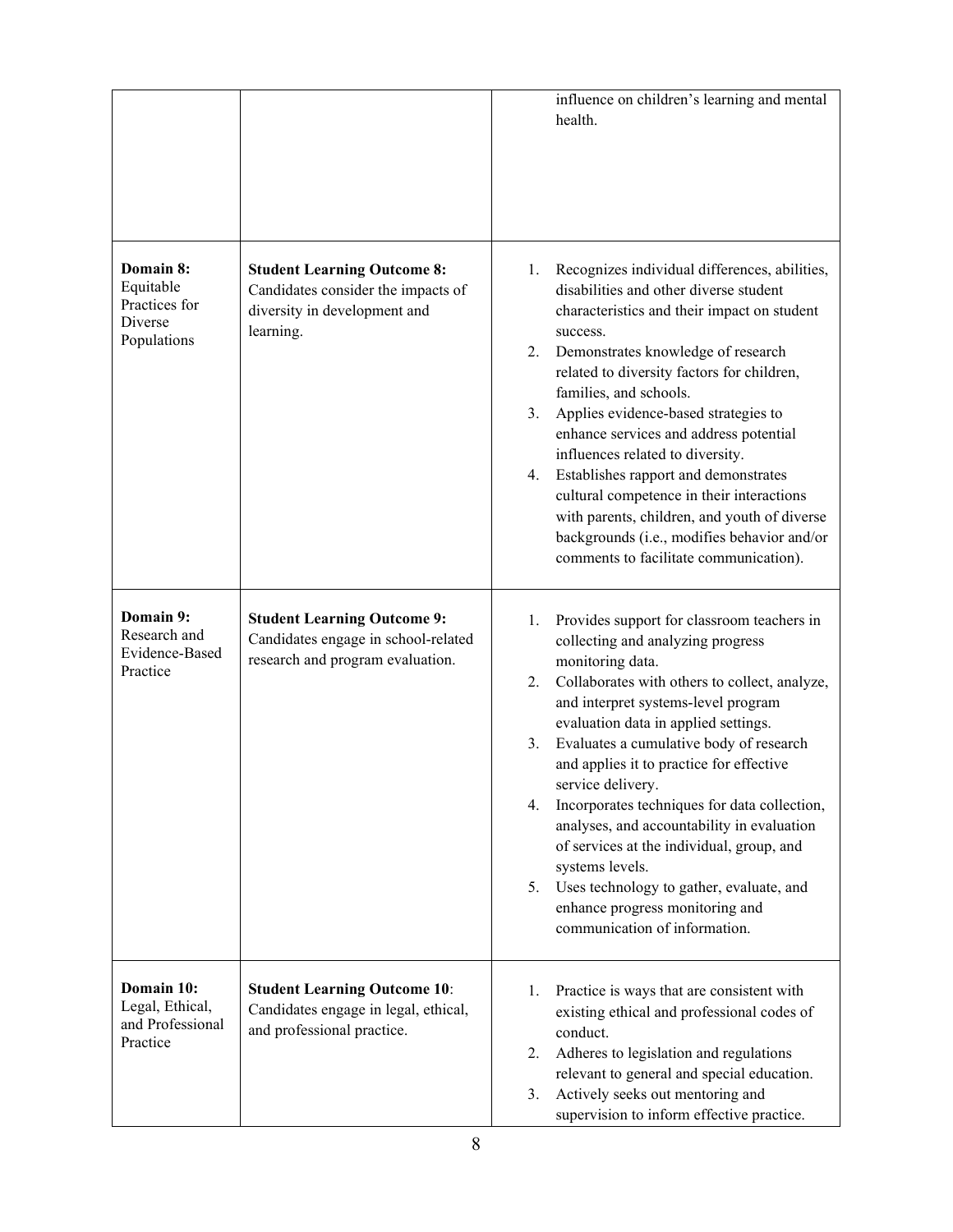|                                                                   |                                                                                                                       | influence on children's learning and mental<br>health.                                                                                                                                                                                                                                                                                                                                                                                                                                                                                                                                                                                                      |
|-------------------------------------------------------------------|-----------------------------------------------------------------------------------------------------------------------|-------------------------------------------------------------------------------------------------------------------------------------------------------------------------------------------------------------------------------------------------------------------------------------------------------------------------------------------------------------------------------------------------------------------------------------------------------------------------------------------------------------------------------------------------------------------------------------------------------------------------------------------------------------|
| Domain 8:<br>Equitable<br>Practices for<br>Diverse<br>Populations | <b>Student Learning Outcome 8:</b><br>Candidates consider the impacts of<br>diversity in development and<br>learning. | Recognizes individual differences, abilities,<br>1.<br>disabilities and other diverse student<br>characteristics and their impact on student<br>success.<br>2.<br>Demonstrates knowledge of research<br>related to diversity factors for children,<br>families, and schools.<br>Applies evidence-based strategies to<br>3.<br>enhance services and address potential<br>influences related to diversity.<br>4. Establishes rapport and demonstrates<br>cultural competence in their interactions<br>with parents, children, and youth of diverse<br>backgrounds (i.e., modifies behavior and/or<br>comments to facilitate communication).                   |
| Domain 9:<br>Research and<br>Evidence-Based<br>Practice           | <b>Student Learning Outcome 9:</b><br>Candidates engage in school-related<br>research and program evaluation.         | Provides support for classroom teachers in<br>1.<br>collecting and analyzing progress<br>monitoring data.<br>Collaborates with others to collect, analyze,<br>2.<br>and interpret systems-level program<br>evaluation data in applied settings.<br>Evaluates a cumulative body of research<br>3.<br>and applies it to practice for effective<br>service delivery.<br>Incorporates techniques for data collection,<br>4.<br>analyses, and accountability in evaluation<br>of services at the individual, group, and<br>systems levels.<br>Uses technology to gather, evaluate, and<br>5.<br>enhance progress monitoring and<br>communication of information. |
| Domain 10:<br>Legal, Ethical,<br>and Professional<br>Practice     | <b>Student Learning Outcome 10:</b><br>Candidates engage in legal, ethical,<br>and professional practice.             | Practice is ways that are consistent with<br>1.<br>existing ethical and professional codes of<br>conduct.<br>Adheres to legislation and regulations<br>2.<br>relevant to general and special education.<br>Actively seeks out mentoring and<br>3.<br>supervision to inform effective practice.                                                                                                                                                                                                                                                                                                                                                              |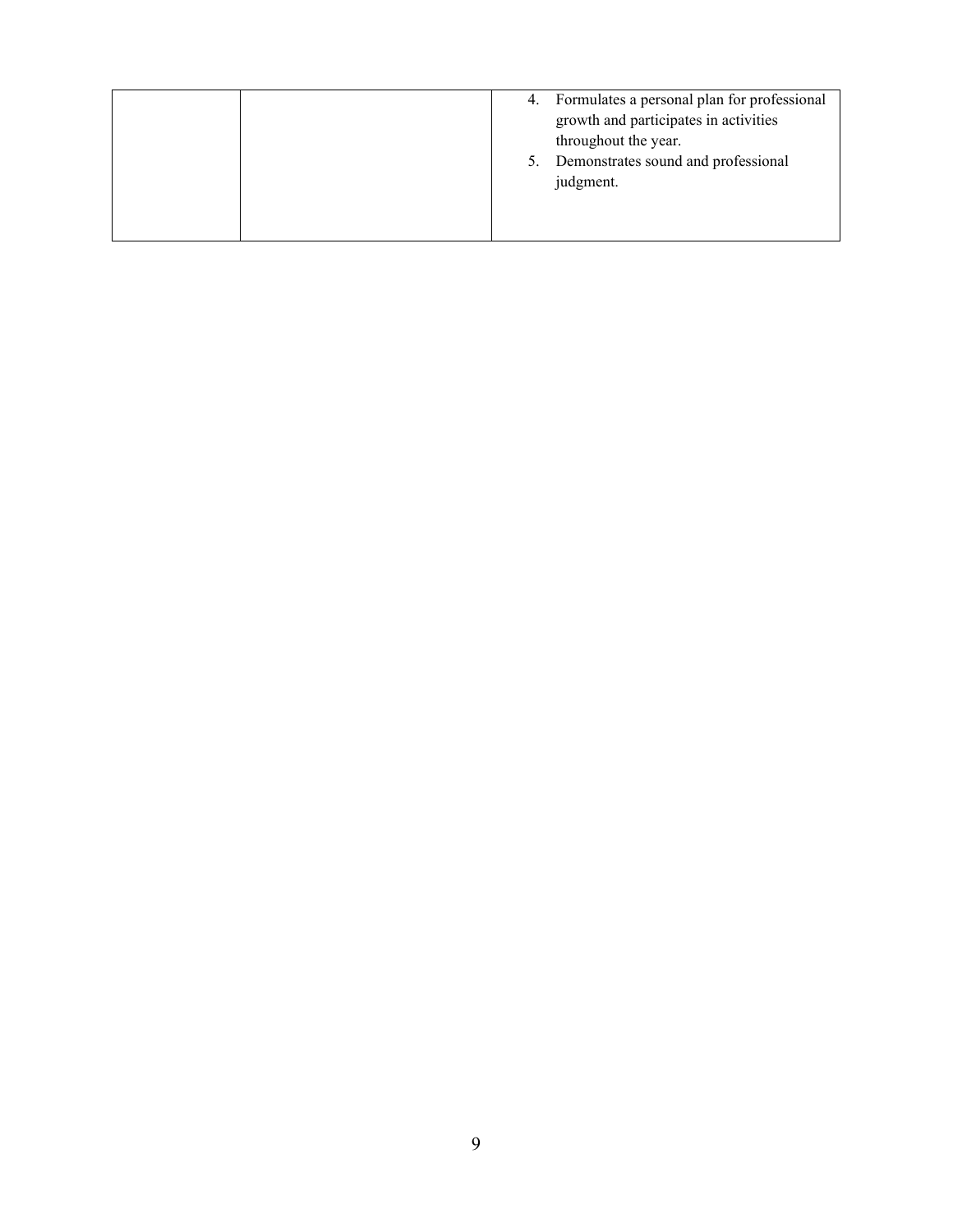|  | 4. Formulates a personal plan for professional |
|--|------------------------------------------------|
|  | growth and participates in activities          |
|  | throughout the year.                           |
|  | Demonstrates sound and professional            |
|  | judgment.                                      |
|  |                                                |
|  |                                                |
|  |                                                |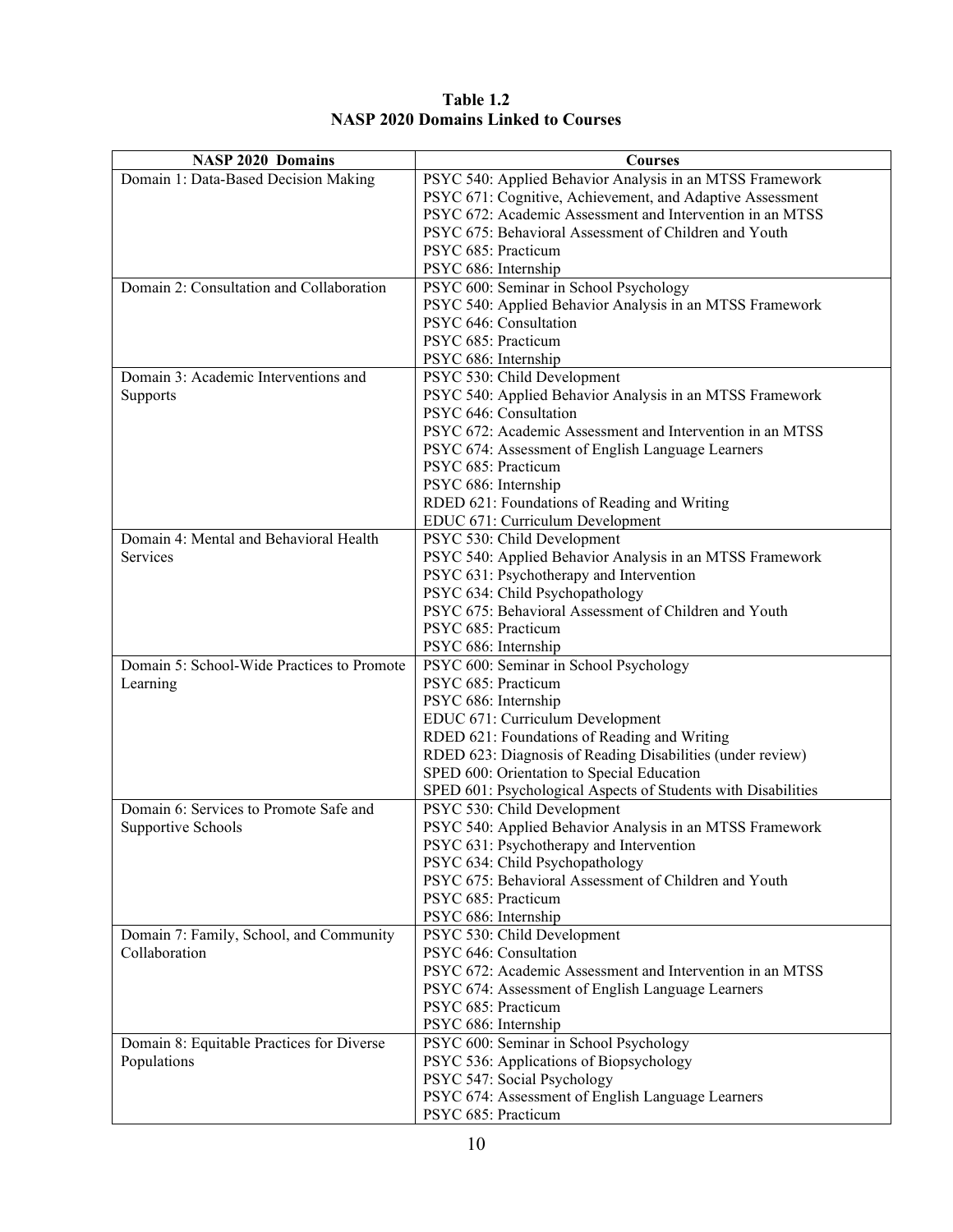| <b>NASP 2020 Domains</b>                   | <b>Courses</b>                                                                                       |
|--------------------------------------------|------------------------------------------------------------------------------------------------------|
| Domain 1: Data-Based Decision Making       | PSYC 540: Applied Behavior Analysis in an MTSS Framework                                             |
|                                            | PSYC 671: Cognitive, Achievement, and Adaptive Assessment                                            |
|                                            | PSYC 672: Academic Assessment and Intervention in an MTSS                                            |
|                                            | PSYC 675: Behavioral Assessment of Children and Youth                                                |
|                                            | PSYC 685: Practicum                                                                                  |
|                                            | PSYC 686: Internship                                                                                 |
| Domain 2: Consultation and Collaboration   | PSYC 600: Seminar in School Psychology                                                               |
|                                            | PSYC 540: Applied Behavior Analysis in an MTSS Framework                                             |
|                                            | PSYC 646: Consultation                                                                               |
|                                            | PSYC 685: Practicum                                                                                  |
|                                            | PSYC 686: Internship                                                                                 |
| Domain 3: Academic Interventions and       | PSYC 530: Child Development                                                                          |
| Supports                                   | PSYC 540: Applied Behavior Analysis in an MTSS Framework                                             |
|                                            | PSYC 646: Consultation                                                                               |
|                                            | PSYC 672: Academic Assessment and Intervention in an MTSS                                            |
|                                            | PSYC 674: Assessment of English Language Learners<br>PSYC 685: Practicum                             |
|                                            | PSYC 686: Internship                                                                                 |
|                                            | RDED 621: Foundations of Reading and Writing                                                         |
|                                            | EDUC 671: Curriculum Development                                                                     |
| Domain 4: Mental and Behavioral Health     | PSYC 530: Child Development                                                                          |
| Services                                   | PSYC 540: Applied Behavior Analysis in an MTSS Framework                                             |
|                                            | PSYC 631: Psychotherapy and Intervention                                                             |
|                                            | PSYC 634: Child Psychopathology                                                                      |
|                                            | PSYC 675: Behavioral Assessment of Children and Youth                                                |
|                                            | PSYC 685: Practicum                                                                                  |
|                                            | PSYC 686: Internship                                                                                 |
| Domain 5: School-Wide Practices to Promote | PSYC 600: Seminar in School Psychology                                                               |
| Learning                                   | PSYC 685: Practicum                                                                                  |
|                                            | PSYC 686: Internship                                                                                 |
|                                            | EDUC 671: Curriculum Development                                                                     |
|                                            | RDED 621: Foundations of Reading and Writing                                                         |
|                                            | RDED 623: Diagnosis of Reading Disabilities (under review)                                           |
|                                            | SPED 600: Orientation to Special Education                                                           |
|                                            | SPED 601: Psychological Aspects of Students with Disabilities                                        |
| Domain 6: Services to Promote Safe and     | PSYC 530: Child Development                                                                          |
| Supportive Schools                         | PSYC 540: Applied Behavior Analysis in an MTSS Framework<br>PSYC 631: Psychotherapy and Intervention |
|                                            | PSYC 634: Child Psychopathology                                                                      |
|                                            | PSYC 675: Behavioral Assessment of Children and Youth                                                |
|                                            | PSYC 685: Practicum                                                                                  |
|                                            | PSYC 686: Internship                                                                                 |
| Domain 7: Family, School, and Community    | PSYC 530: Child Development                                                                          |
| Collaboration                              | PSYC 646: Consultation                                                                               |
|                                            | PSYC 672: Academic Assessment and Intervention in an MTSS                                            |
|                                            | PSYC 674: Assessment of English Language Learners                                                    |
|                                            | PSYC 685: Practicum                                                                                  |
|                                            | PSYC 686: Internship                                                                                 |
| Domain 8: Equitable Practices for Diverse  | PSYC 600: Seminar in School Psychology                                                               |
| Populations                                | PSYC 536: Applications of Biopsychology                                                              |
|                                            | PSYC 547: Social Psychology                                                                          |
|                                            | PSYC 674: Assessment of English Language Learners                                                    |
|                                            | PSYC 685: Practicum                                                                                  |

### **Table 1.2 NASP 2020 Domains Linked to Courses**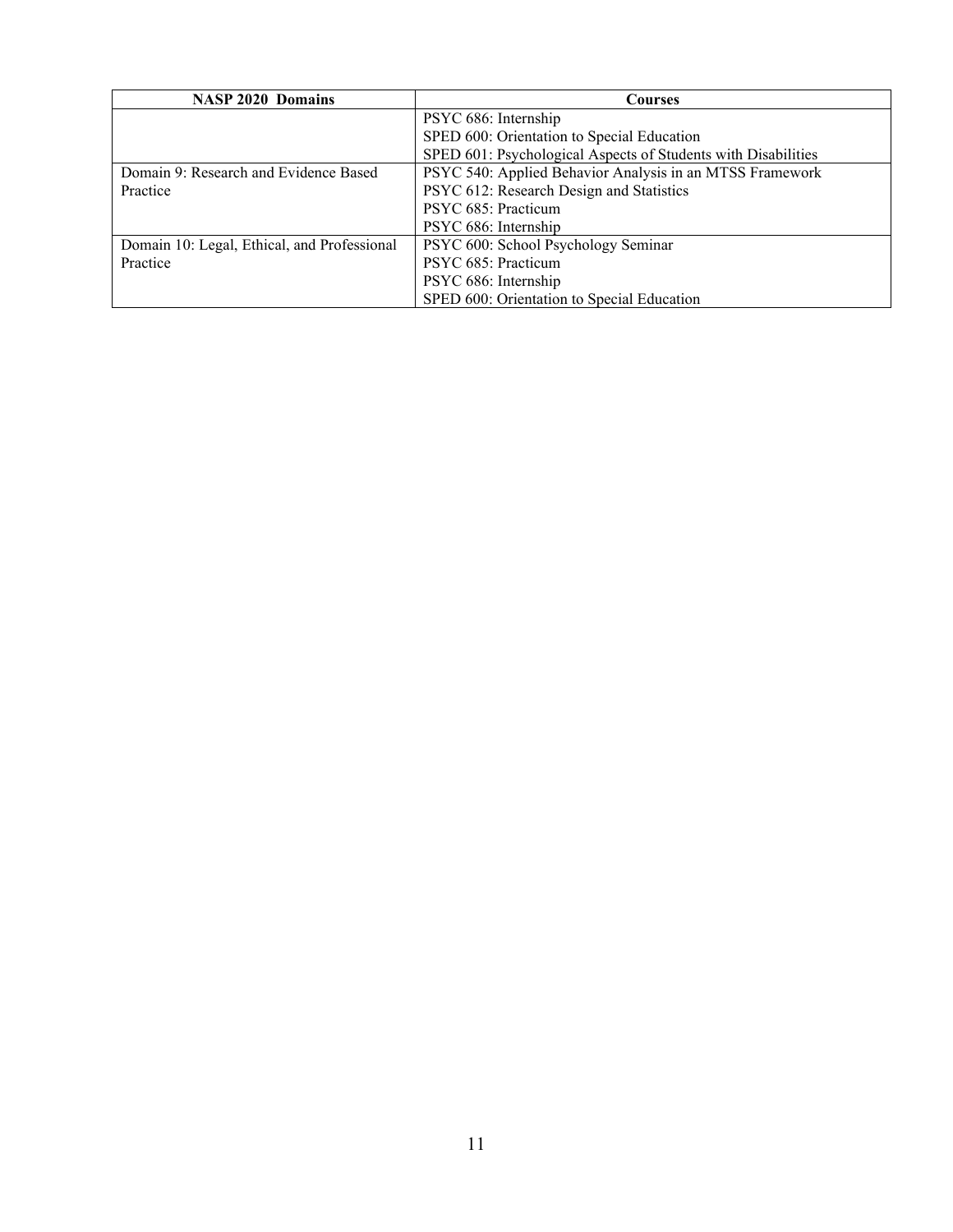| <b>NASP 2020 Domains</b>                    | Courses                                                       |  |  |
|---------------------------------------------|---------------------------------------------------------------|--|--|
|                                             | PSYC 686: Internship                                          |  |  |
|                                             | SPED 600: Orientation to Special Education                    |  |  |
|                                             | SPED 601: Psychological Aspects of Students with Disabilities |  |  |
| Domain 9: Research and Evidence Based       | PSYC 540: Applied Behavior Analysis in an MTSS Framework      |  |  |
| Practice                                    | PSYC 612: Research Design and Statistics                      |  |  |
|                                             | PSYC 685: Practicum                                           |  |  |
|                                             | PSYC 686: Internship                                          |  |  |
| Domain 10: Legal, Ethical, and Professional | PSYC 600: School Psychology Seminar                           |  |  |
| Practice                                    | PSYC 685: Practicum                                           |  |  |
|                                             | PSYC 686: Internship                                          |  |  |
|                                             | SPED 600: Orientation to Special Education                    |  |  |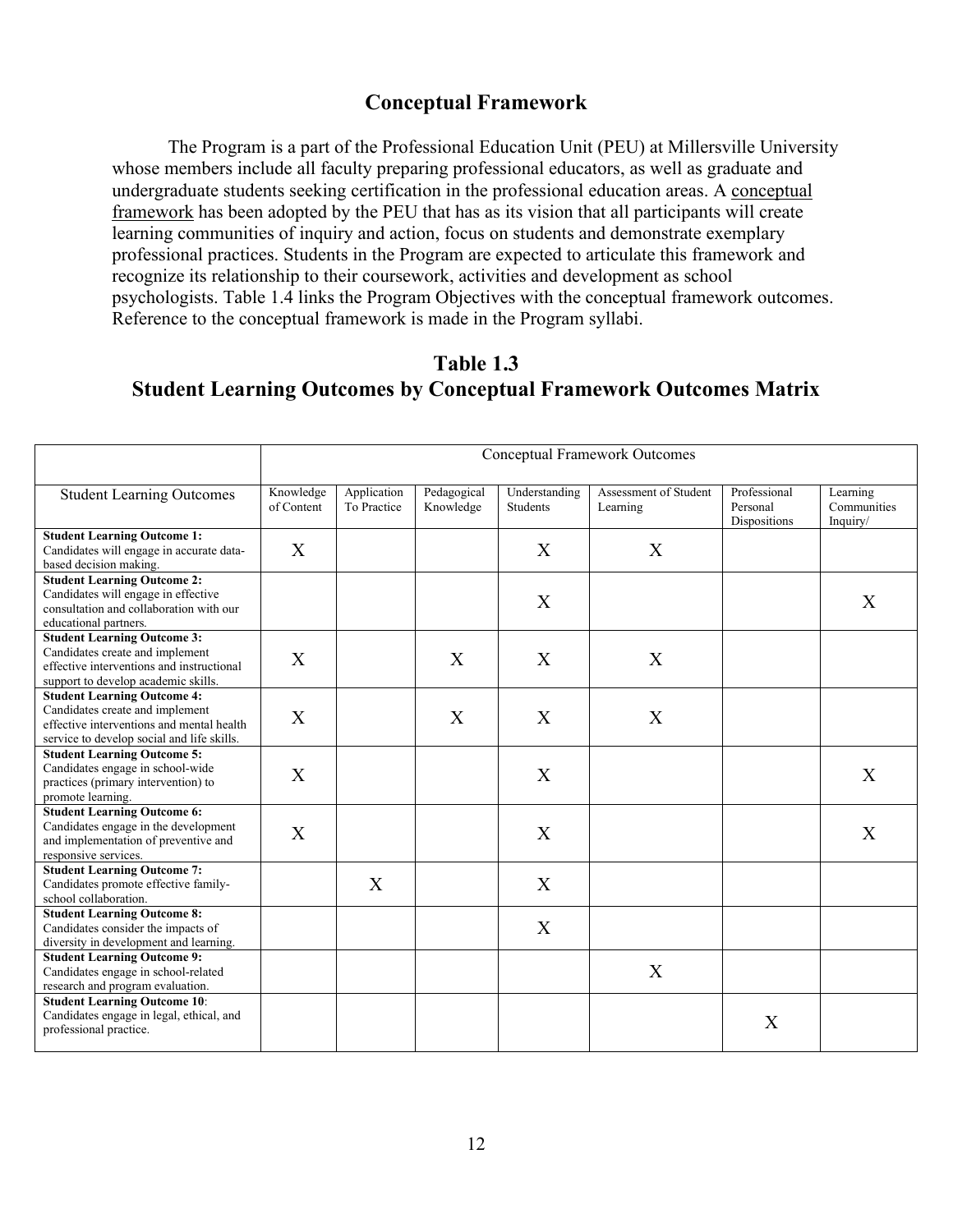## **Conceptual Framework**

The Program is a part of the Professional Education Unit (PEU) at Millersville University whose members include all faculty preparing professional educators, as well as graduate and undergraduate students seeking certification in the professional education areas. A [conceptual](https://www.millersville.edu/education/files/conceptual-framework-2013.pdf)  [framework](https://www.millersville.edu/education/files/conceptual-framework-2013.pdf) has been adopted by the PEU that has as its vision that all participants will create learning communities of inquiry and action, focus on students and demonstrate exemplary professional practices. Students in the Program are expected to articulate this framework and recognize its relationship to their coursework, activities and development as school psychologists. Table 1.4 links the Program Objectives with the conceptual framework outcomes. Reference to the conceptual framework is made in the Program syllabi.

## **Table 1.3 Student Learning Outcomes by Conceptual Framework Outcomes Matrix**

|                                                                                                                                                                  | <b>Conceptual Framework Outcomes</b> |                            |                          |                           |                                   |                                          |                                     |
|------------------------------------------------------------------------------------------------------------------------------------------------------------------|--------------------------------------|----------------------------|--------------------------|---------------------------|-----------------------------------|------------------------------------------|-------------------------------------|
| <b>Student Learning Outcomes</b>                                                                                                                                 | Knowledge<br>of Content              | Application<br>To Practice | Pedagogical<br>Knowledge | Understanding<br>Students | Assessment of Student<br>Learning | Professional<br>Personal<br>Dispositions | Learning<br>Communities<br>Inquiry/ |
| <b>Student Learning Outcome 1:</b><br>Candidates will engage in accurate data-<br>based decision making.                                                         | X                                    |                            |                          | X                         | X                                 |                                          |                                     |
| <b>Student Learning Outcome 2:</b><br>Candidates will engage in effective<br>consultation and collaboration with our<br>educational partners.                    |                                      |                            |                          | X                         |                                   |                                          | X                                   |
| <b>Student Learning Outcome 3:</b><br>Candidates create and implement<br>effective interventions and instructional<br>support to develop academic skills.        | X                                    |                            | X                        | X                         | X                                 |                                          |                                     |
| <b>Student Learning Outcome 4:</b><br>Candidates create and implement<br>effective interventions and mental health<br>service to develop social and life skills. | $\boldsymbol{\mathrm{X}}$            |                            | X                        | $\boldsymbol{\mathrm{X}}$ | X                                 |                                          |                                     |
| <b>Student Learning Outcome 5:</b><br>Candidates engage in school-wide<br>practices (primary intervention) to<br>promote learning.                               | X                                    |                            |                          | X                         |                                   |                                          | X                                   |
| <b>Student Learning Outcome 6:</b><br>Candidates engage in the development<br>and implementation of preventive and<br>responsive services.                       | X                                    |                            |                          | X                         |                                   |                                          | X                                   |
| <b>Student Learning Outcome 7:</b><br>Candidates promote effective family-<br>school collaboration.                                                              |                                      | X                          |                          | X                         |                                   |                                          |                                     |
| <b>Student Learning Outcome 8:</b><br>Candidates consider the impacts of<br>diversity in development and learning.                                               |                                      |                            |                          | X                         |                                   |                                          |                                     |
| <b>Student Learning Outcome 9:</b><br>Candidates engage in school-related<br>research and program evaluation.                                                    |                                      |                            |                          |                           | $\boldsymbol{\mathrm{X}}$         |                                          |                                     |
| <b>Student Learning Outcome 10:</b><br>Candidates engage in legal, ethical, and<br>professional practice.                                                        |                                      |                            |                          |                           |                                   | X                                        |                                     |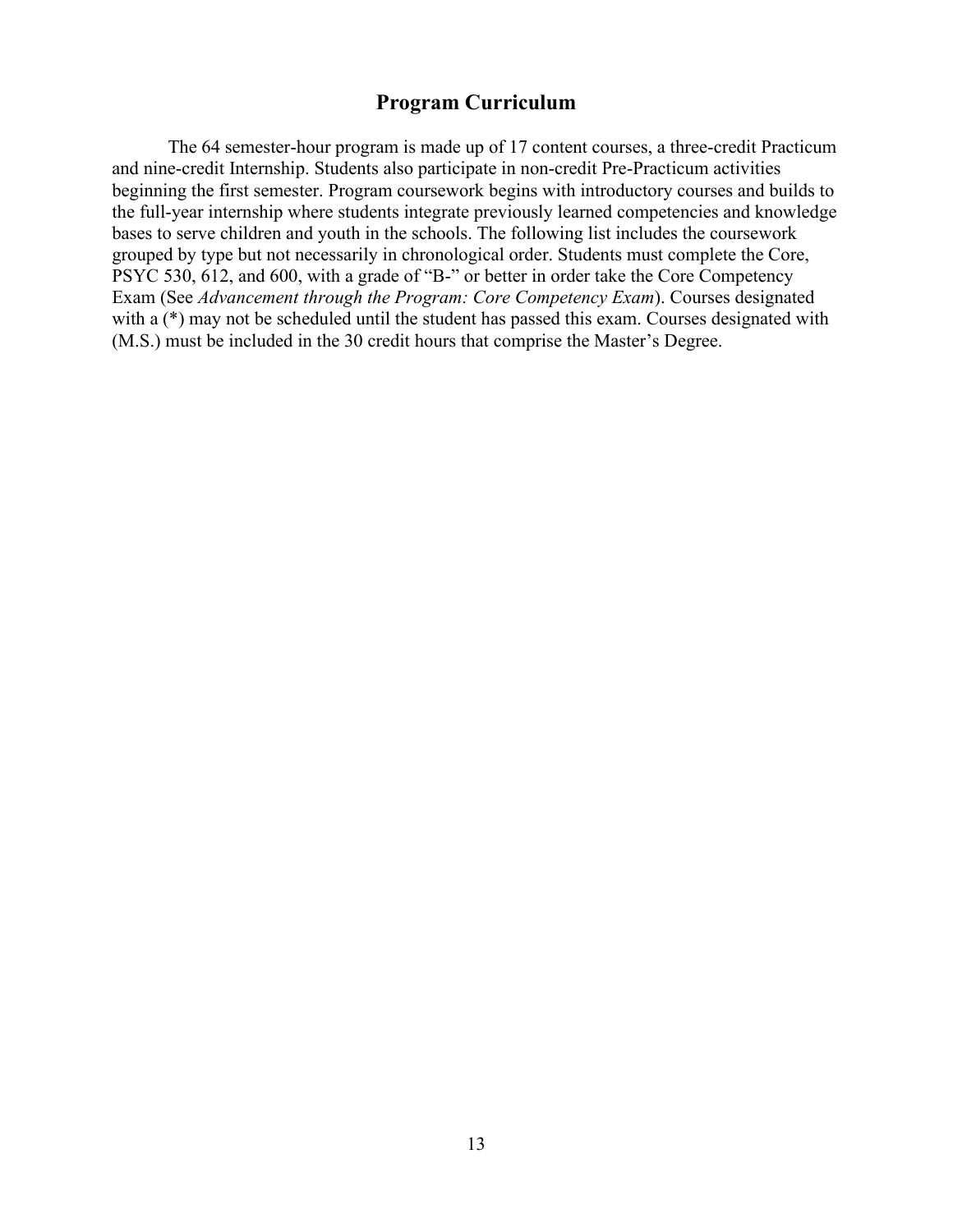## **Program Curriculum**

The 64 semester-hour program is made up of 17 content courses, a three-credit Practicum and nine-credit Internship. Students also participate in non-credit Pre-Practicum activities beginning the first semester. Program coursework begins with introductory courses and builds to the full-year internship where students integrate previously learned competencies and knowledge bases to serve children and youth in the schools. The following list includes the coursework grouped by type but not necessarily in chronological order. Students must complete the Core, PSYC 530, 612, and 600, with a grade of "B-" or better in order take the Core Competency Exam (See *Advancement through the Program: Core Competency Exam*). Courses designated with a  $(*)$  may not be scheduled until the student has passed this exam. Courses designated with (M.S.) must be included in the 30 credit hours that comprise the Master's Degree.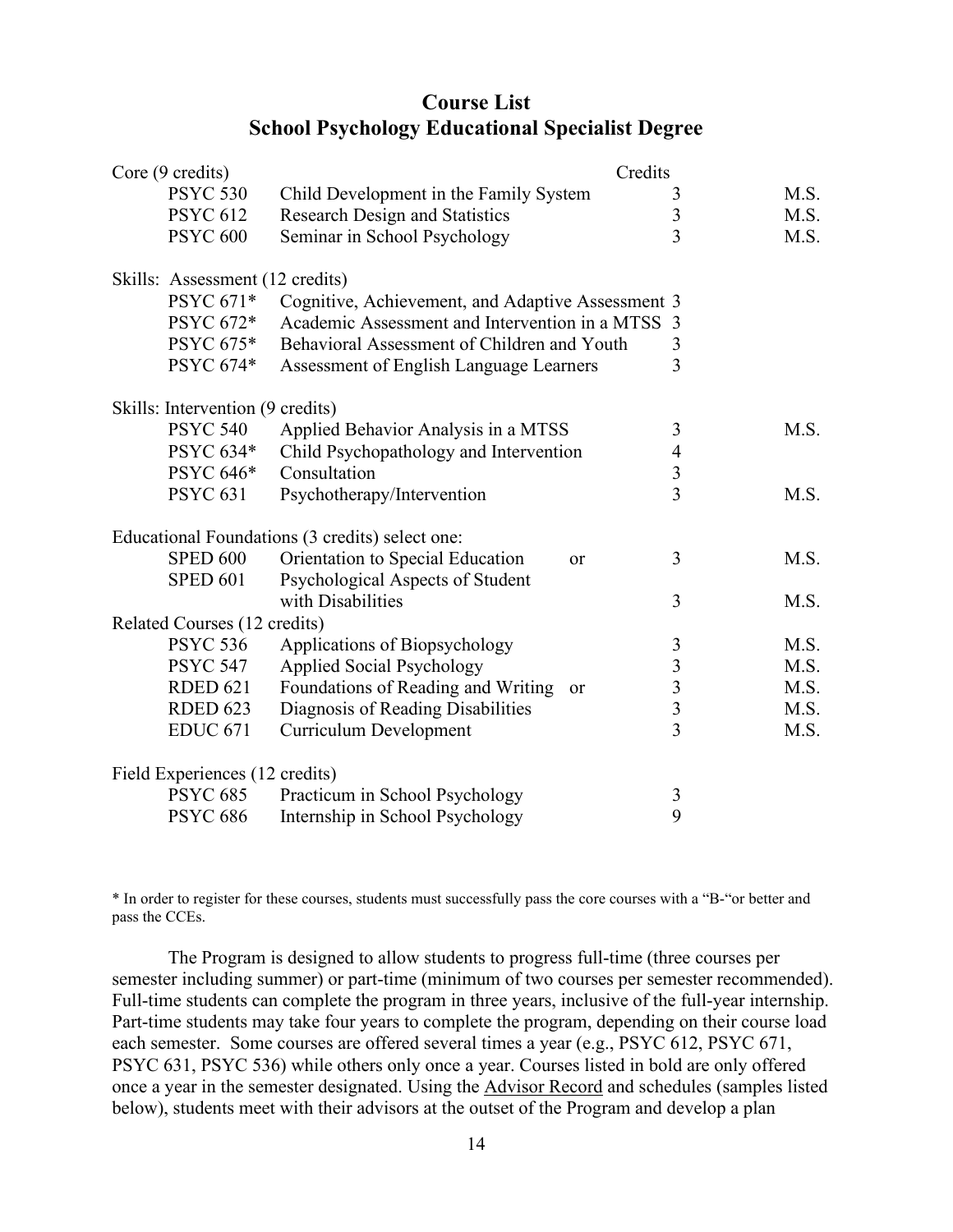## **Course List School Psychology Educational Specialist Degree**

| Core (9 credits)                 |                                                   | Credits                 |      |
|----------------------------------|---------------------------------------------------|-------------------------|------|
| <b>PSYC 530</b>                  | Child Development in the Family System            | $\mathfrak{Z}$          | M.S. |
| <b>PSYC 612</b>                  | <b>Research Design and Statistics</b>             | $\overline{\mathbf{3}}$ | M.S. |
| <b>PSYC 600</b>                  | Seminar in School Psychology                      | $\overline{3}$          | M.S. |
| Skills: Assessment (12 credits)  |                                                   |                         |      |
| PSYC 671*                        | Cognitive, Achievement, and Adaptive Assessment 3 |                         |      |
| PSYC 672*                        | Academic Assessment and Intervention in a MTSS    | 3                       |      |
| <b>PSYC 675*</b>                 | Behavioral Assessment of Children and Youth       | 3                       |      |
| PSYC 674*                        | Assessment of English Language Learners           | 3                       |      |
| Skills: Intervention (9 credits) |                                                   |                         |      |
| <b>PSYC 540</b>                  | Applied Behavior Analysis in a MTSS               | 3                       | M.S. |
| PSYC 634*                        | Child Psychopathology and Intervention            | 4                       |      |
| PSYC 646*                        | Consultation                                      | $\overline{3}$          |      |
| <b>PSYC 631</b>                  | Psychotherapy/Intervention                        | $\overline{3}$          | M.S. |
|                                  | Educational Foundations (3 credits) select one:   |                         |      |
| <b>SPED 600</b>                  | Orientation to Special Education<br><b>or</b>     | 3                       | M.S. |
| <b>SPED 601</b>                  | Psychological Aspects of Student                  |                         |      |
|                                  | with Disabilities                                 | 3                       | M.S. |
| Related Courses (12 credits)     |                                                   |                         |      |
| <b>PSYC 536</b>                  | Applications of Biopsychology                     | $\mathfrak{Z}$          | M.S. |
| <b>PSYC 547</b>                  | <b>Applied Social Psychology</b>                  | $\overline{\mathbf{3}}$ | M.S. |
| <b>RDED 621</b>                  | Foundations of Reading and Writing<br>or          | $\overline{\mathbf{3}}$ | M.S. |
| <b>RDED 623</b>                  | Diagnosis of Reading Disabilities                 | $\overline{3}$          | M.S. |
| <b>EDUC 671</b>                  | <b>Curriculum Development</b>                     | $\overline{3}$          | M.S. |
| Field Experiences (12 credits)   |                                                   |                         |      |
| <b>PSYC 685</b>                  | Practicum in School Psychology                    | 3                       |      |
| <b>PSYC 686</b>                  | Internship in School Psychology                   | 9                       |      |

\* In order to register for these courses, students must successfully pass the core courses with a "B-"or better and pass the CCEs.

The Program is designed to allow students to progress full-time (three courses per semester including summer) or part-time (minimum of two courses per semester recommended). Full-time students can complete the program in three years, inclusive of the full-year internship. Part-time students may take four years to complete the program, depending on their course load each semester. Some courses are offered several times a year (e.g., PSYC 612, PSYC 671, PSYC 631, PSYC 536) while others only once a year. Courses listed in bold are only offered once a year in the semester designated. Using the [Advisor Record](https://www.millersville.edu/psychology/graduate-programs-webpages/school-psychology/advisor-record/advisor-record1.pdf) and schedules (samples listed below), students meet with their advisors at the outset of the Program and develop a plan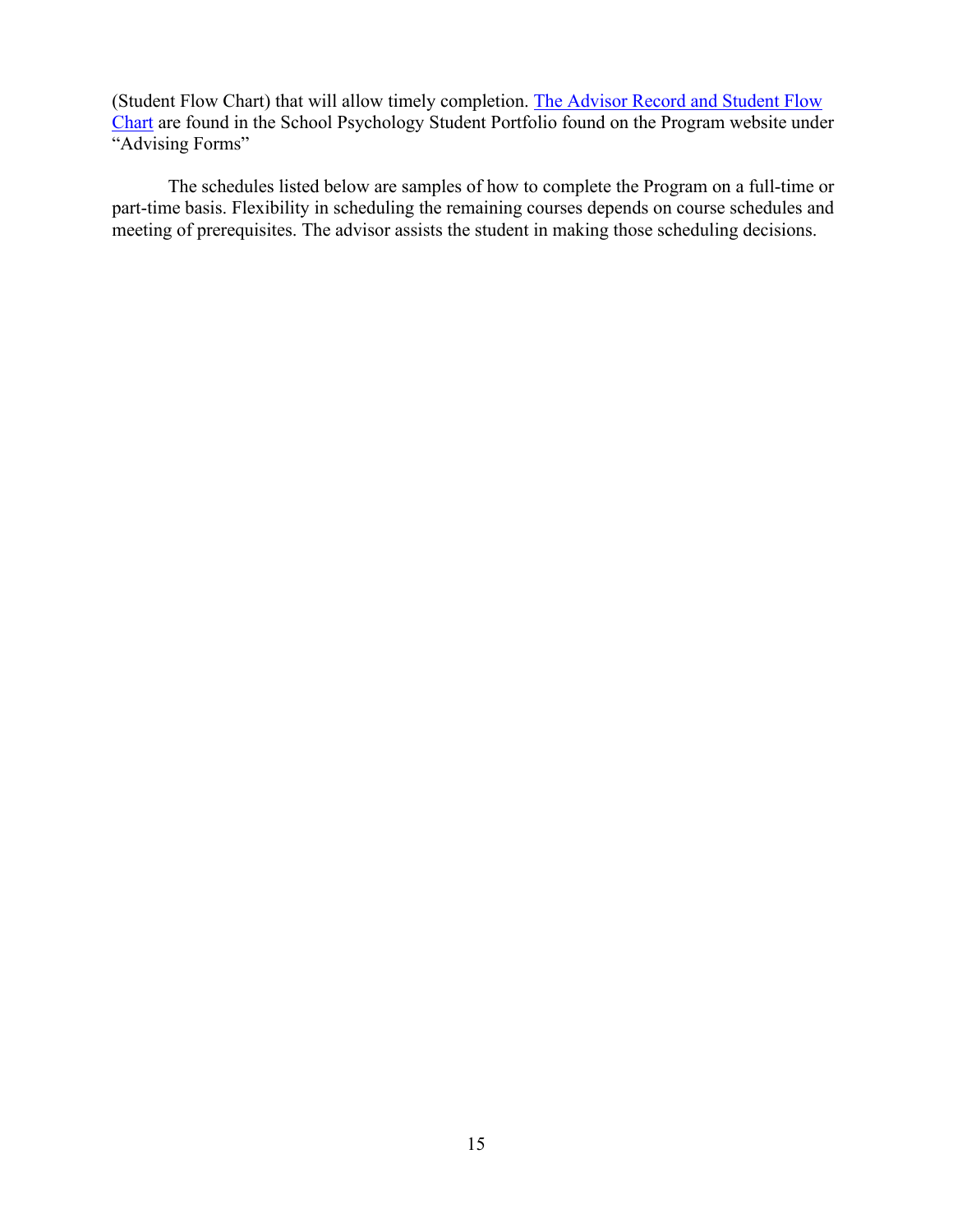(Student Flow Chart) that will allow timely completion. [The Advisor Record and Student Flow](https://www.millersville.edu/psychology/graduate-programs-webpages/school-psychology/advisor-record/advisor-record1.pdf)  [Chart](https://www.millersville.edu/psychology/graduate-programs-webpages/school-psychology/advisor-record/advisor-record1.pdf) are found in the School Psychology Student Portfolio found on the Program website under "Advising Forms"

The schedules listed below are samples of how to complete the Program on a full-time or part-time basis. Flexibility in scheduling the remaining courses depends on course schedules and meeting of prerequisites. The advisor assists the student in making those scheduling decisions.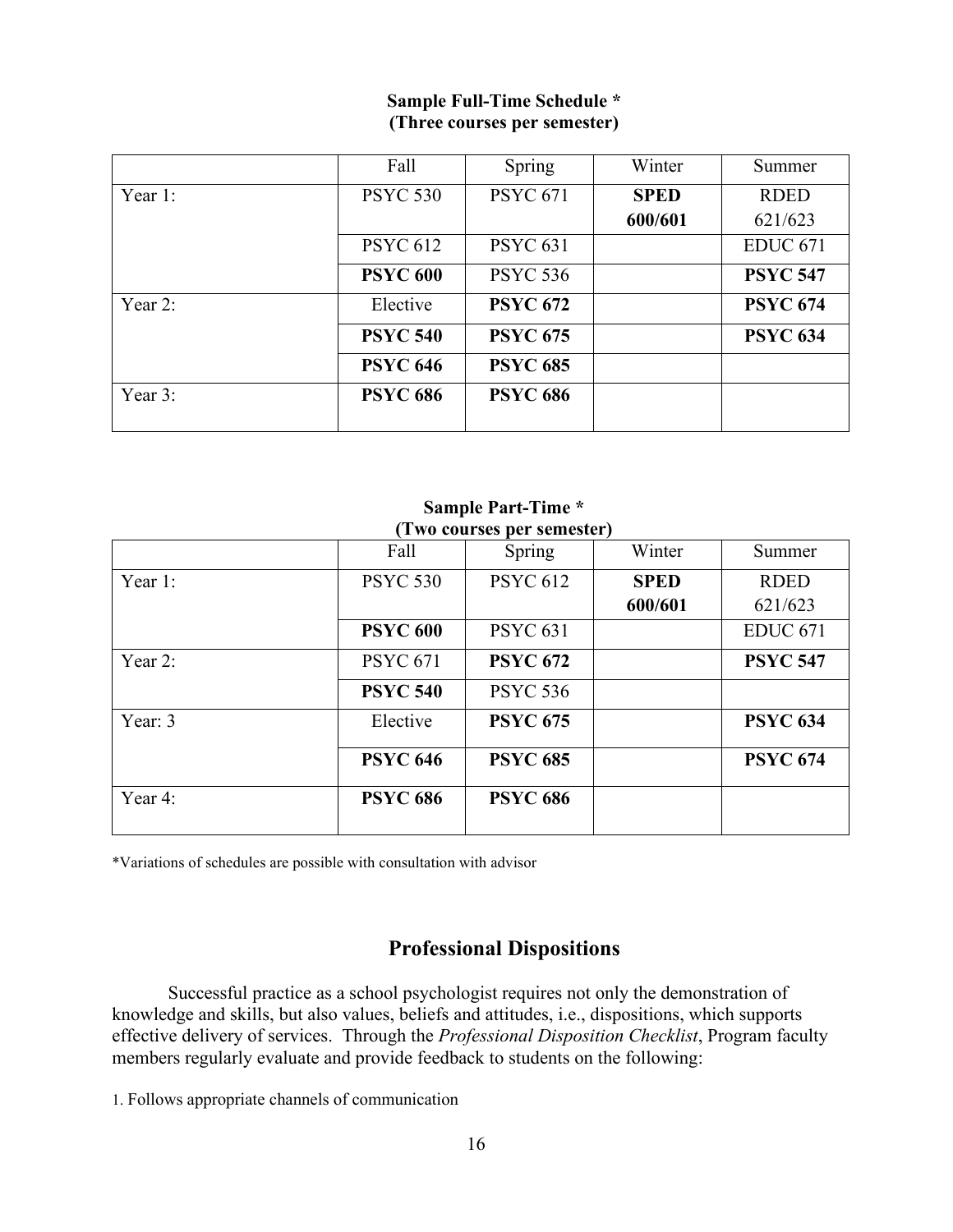## **Sample Full-Time Schedule \* (Three courses per semester)**

|         | Fall            | Spring          | Winter      | Summer          |
|---------|-----------------|-----------------|-------------|-----------------|
| Year 1: | <b>PSYC 530</b> | <b>PSYC 671</b> | <b>SPED</b> | <b>RDED</b>     |
|         |                 |                 | 600/601     | 621/623         |
|         | <b>PSYC 612</b> | <b>PSYC 631</b> |             | <b>EDUC 671</b> |
|         | <b>PSYC 600</b> | <b>PSYC 536</b> |             | <b>PSYC 547</b> |
| Year 2: | Elective        | <b>PSYC 672</b> |             | <b>PSYC 674</b> |
|         | <b>PSYC 540</b> | <b>PSYC 675</b> |             | <b>PSYC 634</b> |
|         | <b>PSYC 646</b> | <b>PSYC 685</b> |             |                 |
| Year 3: | <b>PSYC 686</b> | <b>PSYC 686</b> |             |                 |

| (Two courses per semester) |                 |                 |             |                 |  |  |
|----------------------------|-----------------|-----------------|-------------|-----------------|--|--|
|                            | Fall            | Spring          | Winter      | Summer          |  |  |
| Year 1:                    | <b>PSYC 530</b> | <b>PSYC 612</b> | <b>SPED</b> | <b>RDED</b>     |  |  |
|                            |                 |                 | 600/601     | 621/623         |  |  |
|                            | <b>PSYC 600</b> | <b>PSYC 631</b> |             | <b>EDUC 671</b> |  |  |
| Year 2:                    | <b>PSYC 671</b> | <b>PSYC 672</b> |             | <b>PSYC 547</b> |  |  |
|                            | <b>PSYC 540</b> | <b>PSYC 536</b> |             |                 |  |  |
| Year: 3                    | Elective        | <b>PSYC 675</b> |             | <b>PSYC 634</b> |  |  |
|                            | <b>PSYC 646</b> | <b>PSYC 685</b> |             | <b>PSYC 674</b> |  |  |
| Year 4:                    | <b>PSYC 686</b> | <b>PSYC 686</b> |             |                 |  |  |

# **Sample Part-Time \***

\*Variations of schedules are possible with consultation with advisor

## **Professional Dispositions**

Successful practice as a school psychologist requires not only the demonstration of knowledge and skills, but also values, beliefs and attitudes, i.e., dispositions, which supports effective delivery of services. Through the *Professional Disposition Checklist*, Program faculty members regularly evaluate and provide feedback to students on the following:

1. Follows appropriate channels of communication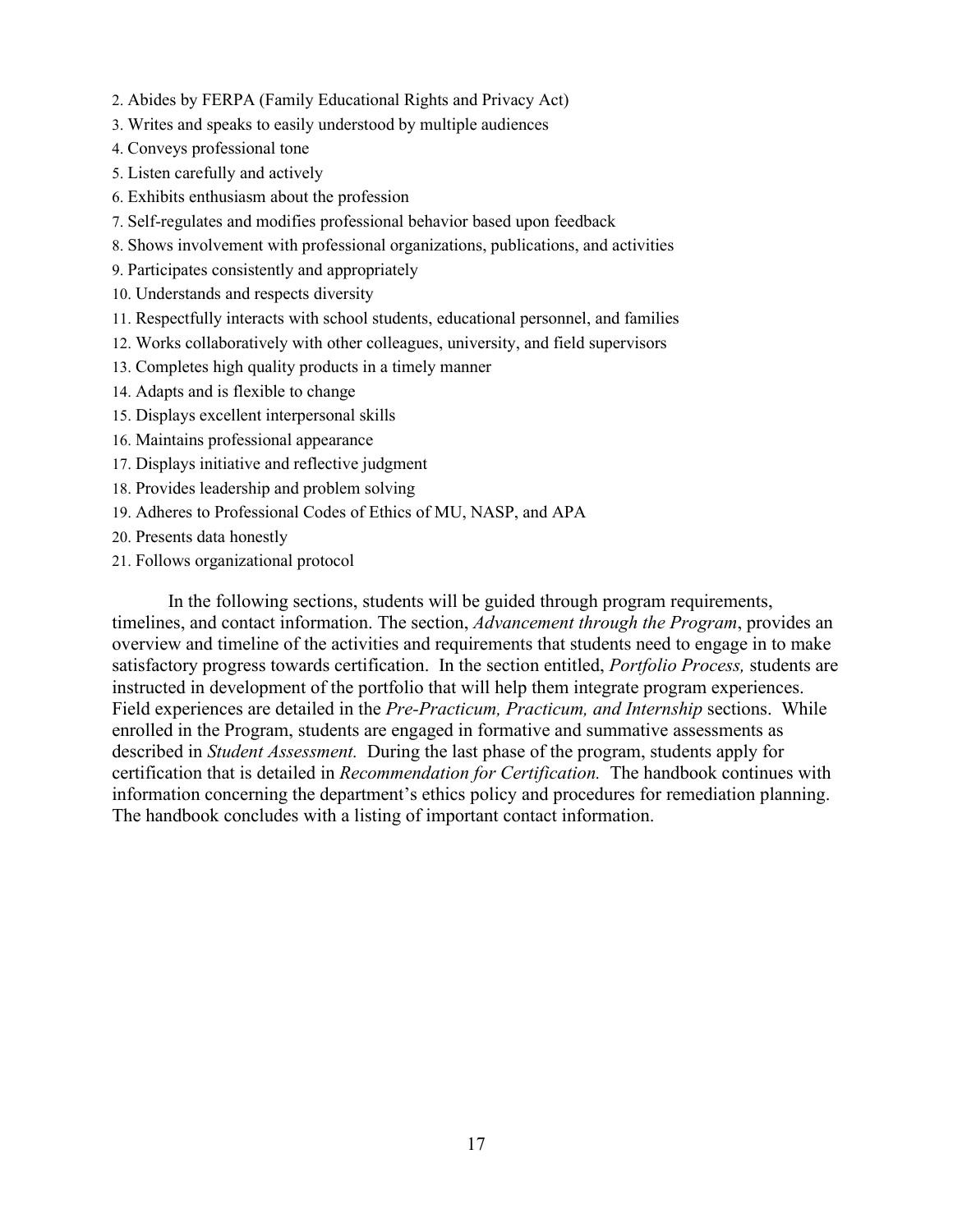- 2. Abides by FERPA (Family Educational Rights and Privacy Act)
- 3. Writes and speaks to easily understood by multiple audiences
- 4. Conveys professional tone
- 5. Listen carefully and actively
- 6. Exhibits enthusiasm about the profession
- 7. Self-regulates and modifies professional behavior based upon feedback
- 8. Shows involvement with professional organizations, publications, and activities
- 9. Participates consistently and appropriately
- 10. Understands and respects diversity
- 11. Respectfully interacts with school students, educational personnel, and families
- 12. Works collaboratively with other colleagues, university, and field supervisors
- 13. Completes high quality products in a timely manner
- 14. Adapts and is flexible to change
- 15. Displays excellent interpersonal skills
- 16. Maintains professional appearance
- 17. Displays initiative and reflective judgment
- 18. Provides leadership and problem solving
- 19. Adheres to Professional Codes of Ethics of MU, NASP, and APA
- 20. Presents data honestly
- 21. Follows organizational protocol

In the following sections, students will be guided through program requirements, timelines, and contact information. The section, *Advancement through the Program*, provides an overview and timeline of the activities and requirements that students need to engage in to make satisfactory progress towards certification. In the section entitled, *Portfolio Process,* students are instructed in development of the portfolio that will help them integrate program experiences. Field experiences are detailed in the *Pre-Practicum, Practicum, and Internship* sections. While enrolled in the Program, students are engaged in formative and summative assessments as described in *Student Assessment.* During the last phase of the program, students apply for certification that is detailed in *Recommendation for Certification.* The handbook continues with information concerning the department's ethics policy and procedures for remediation planning. The handbook concludes with a listing of important contact information.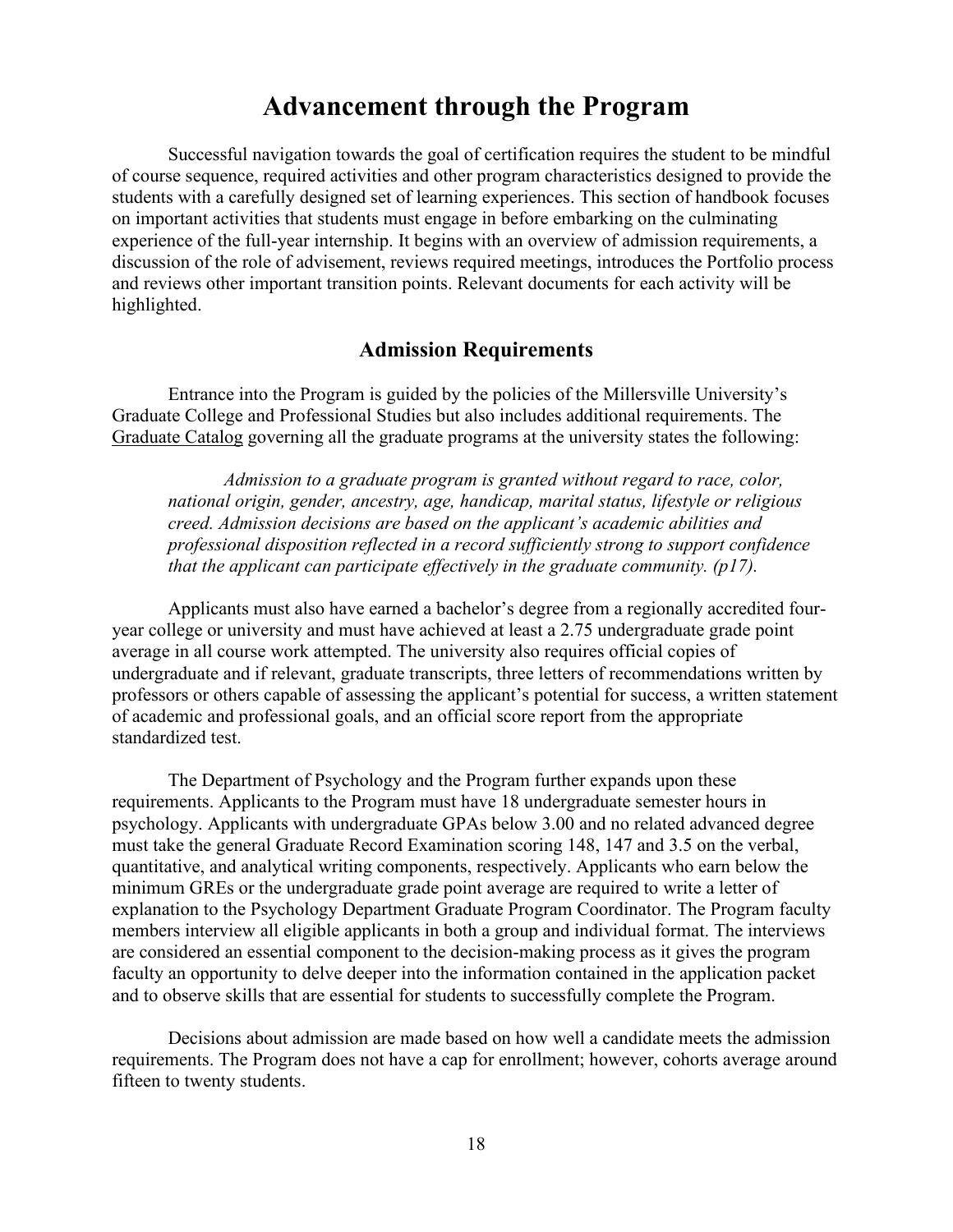## **Advancement through the Program**

Successful navigation towards the goal of certification requires the student to be mindful of course sequence, required activities and other program characteristics designed to provide the students with a carefully designed set of learning experiences. This section of handbook focuses on important activities that students must engage in before embarking on the culminating experience of the full-year internship. It begins with an overview of admission requirements, a discussion of the role of advisement, reviews required meetings, introduces the Portfolio process and reviews other important transition points. Relevant documents for each activity will be highlighted.

### **Admission Requirements**

Entrance into the Program is guided by the policies of the Millersville University's Graduate College and Professional Studies but also includes additional requirements. The [Graduate Catalog](https://www.millersville.edu/admissions/graduate/current-student-resources/graduate-student-catalog.php) governing all the graduate programs at the university states the following:

*Admission to a graduate program is granted without regard to race, color, national origin, gender, ancestry, age, handicap, marital status, lifestyle or religious creed. Admission decisions are based on the applicant's academic abilities and professional disposition reflected in a record sufficiently strong to support confidence that the applicant can participate effectively in the graduate community. (p17).* 

Applicants must also have earned a bachelor's degree from a regionally accredited fouryear college or university and must have achieved at least a 2.75 undergraduate grade point average in all course work attempted. The university also requires official copies of undergraduate and if relevant, graduate transcripts, three letters of recommendations written by professors or others capable of assessing the applicant's potential for success, a written statement of academic and professional goals, and an official score report from the appropriate standardized test.

The Department of Psychology and the Program further expands upon these requirements. Applicants to the Program must have 18 undergraduate semester hours in psychology. Applicants with undergraduate GPAs below 3.00 and no related advanced degree must take the general Graduate Record Examination scoring 148, 147 and 3.5 on the verbal, quantitative, and analytical writing components, respectively. Applicants who earn below the minimum GREs or the undergraduate grade point average are required to write a letter of explanation to the Psychology Department Graduate Program Coordinator. The Program faculty members interview all eligible applicants in both a group and individual format. The interviews are considered an essential component to the decision-making process as it gives the program faculty an opportunity to delve deeper into the information contained in the application packet and to observe skills that are essential for students to successfully complete the Program.

Decisions about admission are made based on how well a candidate meets the admission requirements. The Program does not have a cap for enrollment; however, cohorts average around fifteen to twenty students.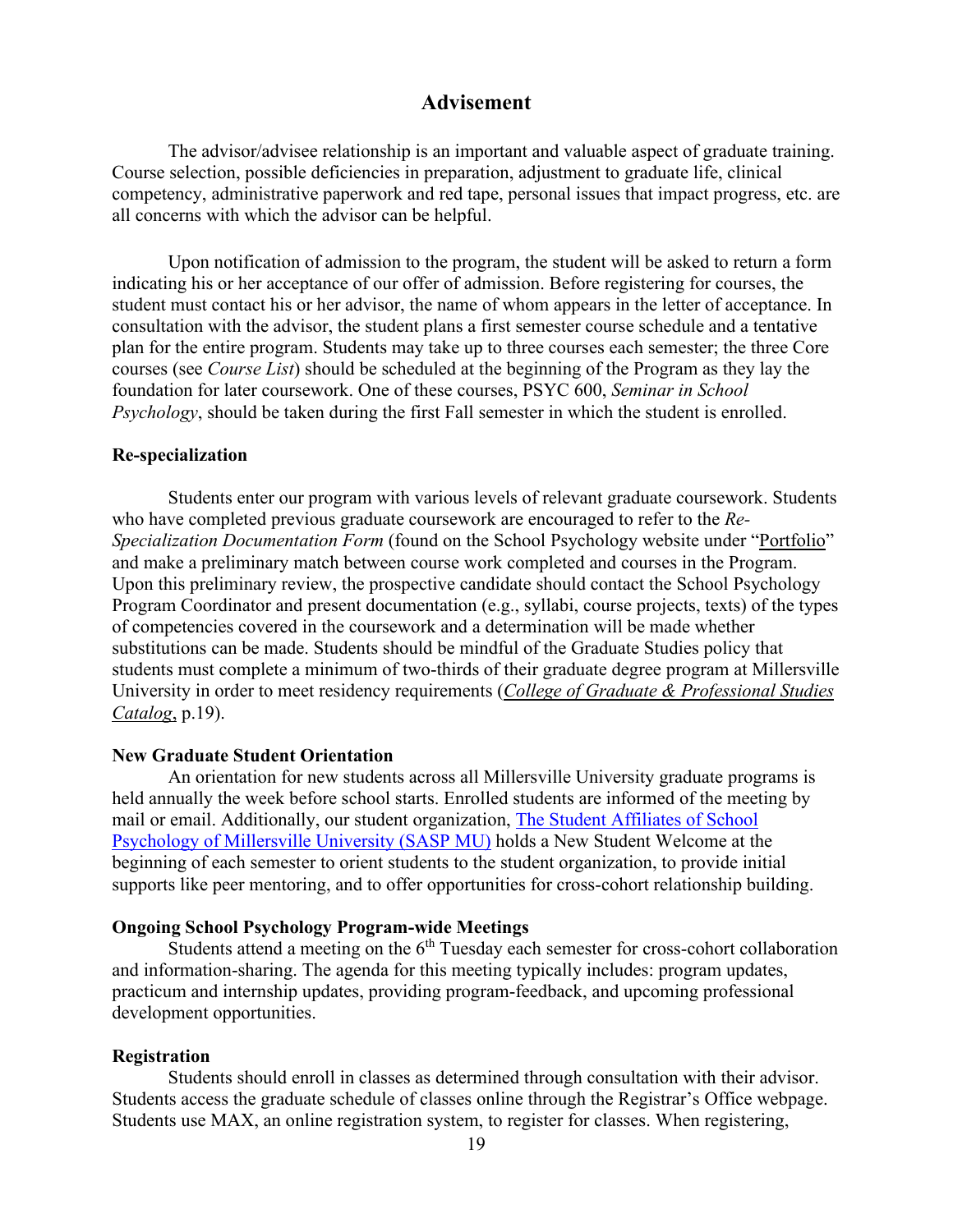## **Advisement**

The advisor/advisee relationship is an important and valuable aspect of graduate training. Course selection, possible deficiencies in preparation, adjustment to graduate life, clinical competency, administrative paperwork and red tape, personal issues that impact progress, etc. are all concerns with which the advisor can be helpful.

Upon notification of admission to the program, the student will be asked to return a form indicating his or her acceptance of our offer of admission. Before registering for courses, the student must contact his or her advisor, the name of whom appears in the letter of acceptance. In consultation with the advisor, the student plans a first semester course schedule and a tentative plan for the entire program. Students may take up to three courses each semester; the three Core courses (see *Course List*) should be scheduled at the beginning of the Program as they lay the foundation for later coursework. One of these courses, PSYC 600, *Seminar in School Psychology*, should be taken during the first Fall semester in which the student is enrolled.

#### **Re-specialization**

Students enter our program with various levels of relevant graduate coursework. Students who have completed previous graduate coursework are encouraged to refer to the *Re-Specialization Documentation Form* (found on the School Psychology website under ["Portfolio"](https://www.millersville.edu/psychology/files/portfolio_09-22-2021.pdf) and make a preliminary match between course work completed and courses in the Program. Upon this preliminary review, the prospective candidate should contact the School Psychology Program Coordinator and present documentation (e.g., syllabi, course projects, texts) of the types of competencies covered in the coursework and a determination will be made whether substitutions can be made. Students should be mindful of the Graduate Studies policy that students must complete a minimum of two-thirds of their graduate degree program at Millersville University in order to meet residency requirements (*[College of Graduate & Professional Studies](https://www.millersville.edu/admissions/graduate/current-student-resources/graduate-student-catalog.php)  [Catalog](https://www.millersville.edu/admissions/graduate/current-student-resources/graduate-student-catalog.php)*, p.19).

#### **New Graduate Student Orientation**

An orientation for new students across all Millersville University graduate programs is held annually the week before school starts. Enrolled students are informed of the meeting by mail or email. Additionally, our student organization, [The Student Affiliates of School](https://getinvolved.millersville.edu/organization/sasp-mu)  Psychology [of Millersville University \(SASP MU\)](https://getinvolved.millersville.edu/organization/sasp-mu) holds a New Student Welcome at the beginning of each semester to orient students to the student organization, to provide initial supports like peer mentoring, and to offer opportunities for cross-cohort relationship building.

#### **Ongoing School Psychology Program-wide Meetings**

Students attend a meeting on the  $6<sup>th</sup>$  Tuesday each semester for cross-cohort collaboration and information-sharing. The agenda for this meeting typically includes: program updates, practicum and internship updates, providing program-feedback, and upcoming professional development opportunities.

#### **Registration**

Students should enroll in classes as determined through consultation with their advisor. Students access the graduate schedule of classes online through the Registrar's Office webpage. Students use MAX, an online registration system, to register for classes. When registering,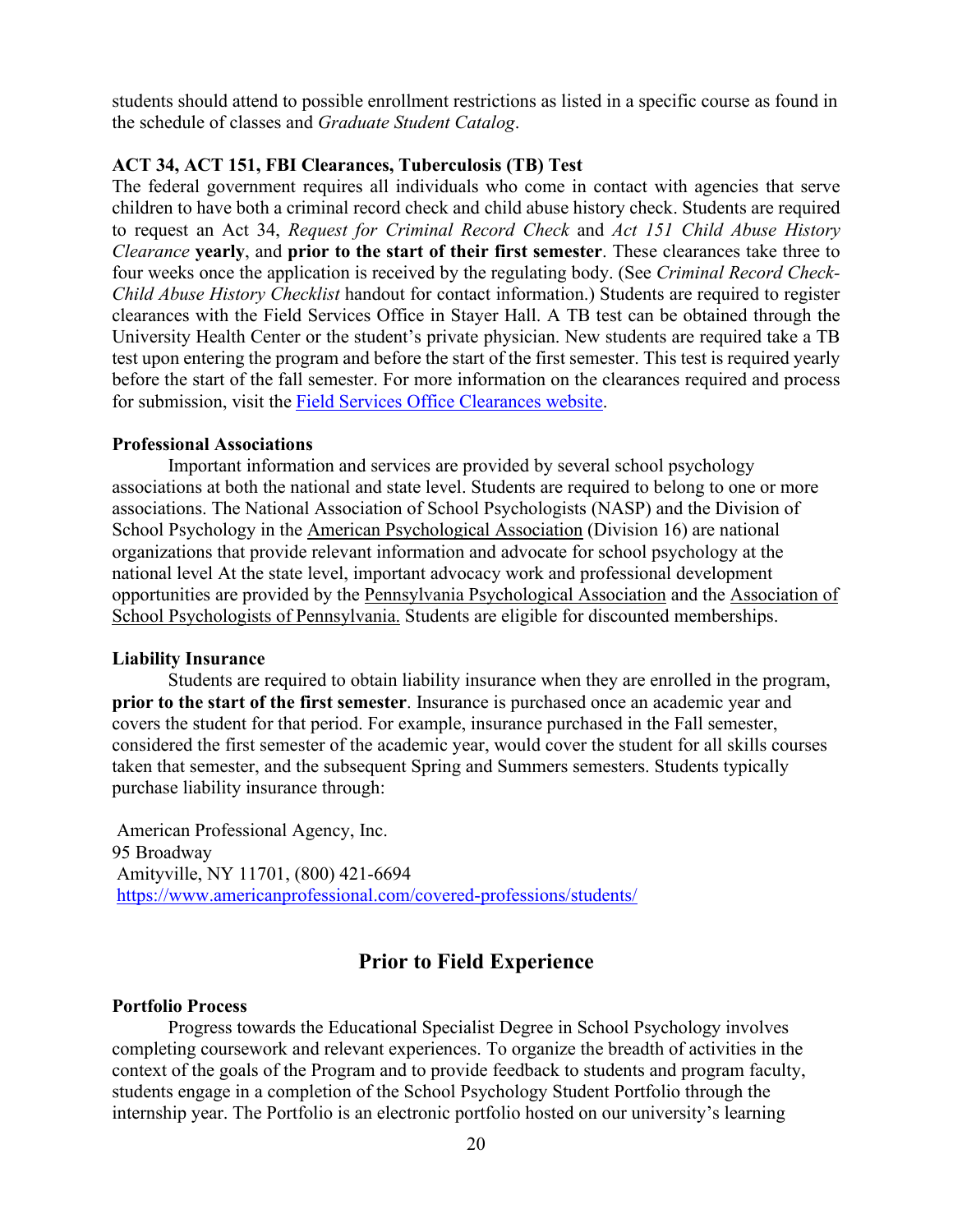students should attend to possible enrollment restrictions as listed in a specific course as found in the schedule of classes and *Graduate Student Catalog*.

#### **ACT 34, ACT 151, FBI Clearances, Tuberculosis (TB) Test**

The federal government requires all individuals who come in contact with agencies that serve children to have both a criminal record check and child abuse history check. Students are required to request an Act 34, *Request for Criminal Record Check* and *Act 151 Child Abuse History Clearance* **yearly**, and **prior to the start of their first semester**. These clearances take three to four weeks once the application is received by the regulating body. (See *Criminal Record Check-Child Abuse History Checklist* handout for contact information.) Students are required to register clearances with the Field Services Office in Stayer Hall. A TB test can be obtained through the University Health Center or the student's private physician. New students are required take a TB test upon entering the program and before the start of the first semester. This test is required yearly before the start of the fall semester. For more information on the clearances required and process for submission, visit the [Field Services Office Clearances website.](https://www.millersville.edu/fieldservices/clearances.php)

#### **Professional Associations**

Important information and services are provided by several school psychology associations at both the national and state level. Students are required to belong to one or more associations. The National Association of School Psychologists (NASP) and the Division of School Psychology in the [American Psychological Association](http://www.apa.org/) (Division 16) are national organizations that provide relevant information and advocate for school psychology at the national level At the state level, important advocacy work and professional development opportunities are provided by the [Pennsylvania Psychological Association](https://www.papsy.org/) and the [Association of](https://www.aspponline.org/)  [School Psychologists of Pennsylvania.](https://www.aspponline.org/) Students are eligible for discounted memberships.

#### **Liability Insurance**

Students are required to obtain liability insurance when they are enrolled in the program, **prior to the start of the first semester**. Insurance is purchased once an academic year and covers the student for that period. For example, insurance purchased in the Fall semester, considered the first semester of the academic year, would cover the student for all skills courses taken that semester, and the subsequent Spring and Summers semesters. Students typically purchase liability insurance through:

American Professional Agency, Inc. 95 Broadway Amityville, NY 11701, (800) 421-6694 <https://www.americanprofessional.com/covered-professions/students/>

#### **Prior to Field Experience**

#### **Portfolio Process**

Progress towards the Educational Specialist Degree in School Psychology involves completing coursework and relevant experiences. To organize the breadth of activities in the context of the goals of the Program and to provide feedback to students and program faculty, students engage in a completion of the School Psychology Student Portfolio through the internship year. The Portfolio is an electronic portfolio hosted on our university's learning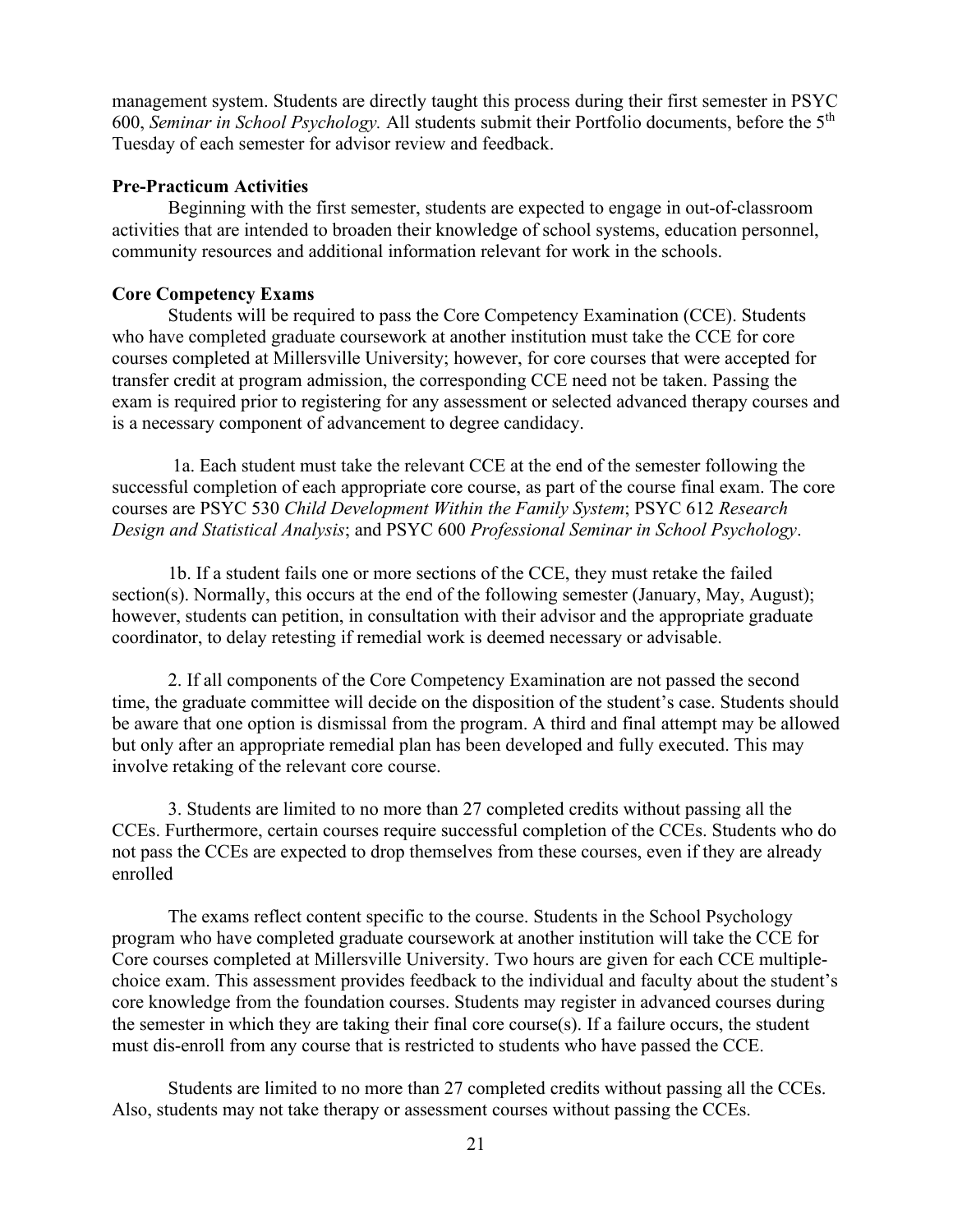management system. Students are directly taught this process during their first semester in PSYC 600, *Seminar in School Psychology.* All students submit their Portfolio documents, before the 5th Tuesday of each semester for advisor review and feedback.

#### **Pre-Practicum Activities**

Beginning with the first semester, students are expected to engage in out-of-classroom activities that are intended to broaden their knowledge of school systems, education personnel, community resources and additional information relevant for work in the schools.

#### **Core Competency Exams**

Students will be required to pass the Core Competency Examination (CCE). Students who have completed graduate coursework at another institution must take the CCE for core courses completed at Millersville University; however, for core courses that were accepted for transfer credit at program admission, the corresponding CCE need not be taken. Passing the exam is required prior to registering for any assessment or selected advanced therapy courses and is a necessary component of advancement to degree candidacy.

1a. Each student must take the relevant CCE at the end of the semester following the successful completion of each appropriate core course, as part of the course final exam. The core courses are PSYC 530 *Child Development Within the Family System*; PSYC 612 *Research Design and Statistical Analysis*; and PSYC 600 *Professional Seminar in School Psychology*.

1b. If a student fails one or more sections of the CCE, they must retake the failed section(s). Normally, this occurs at the end of the following semester (January, May, August); however, students can petition, in consultation with their advisor and the appropriate graduate coordinator, to delay retesting if remedial work is deemed necessary or advisable.

2. If all components of the Core Competency Examination are not passed the second time, the graduate committee will decide on the disposition of the student's case. Students should be aware that one option is dismissal from the program. A third and final attempt may be allowed but only after an appropriate remedial plan has been developed and fully executed. This may involve retaking of the relevant core course.

3. Students are limited to no more than 27 completed credits without passing all the CCEs. Furthermore, certain courses require successful completion of the CCEs. Students who do not pass the CCEs are expected to drop themselves from these courses, even if they are already enrolled

The exams reflect content specific to the course. Students in the School Psychology program who have completed graduate coursework at another institution will take the CCE for Core courses completed at Millersville University. Two hours are given for each CCE multiplechoice exam. This assessment provides feedback to the individual and faculty about the student's core knowledge from the foundation courses. Students may register in advanced courses during the semester in which they are taking their final core course(s). If a failure occurs, the student must dis-enroll from any course that is restricted to students who have passed the CCE.

Students are limited to no more than 27 completed credits without passing all the CCEs. Also, students may not take therapy or assessment courses without passing the CCEs.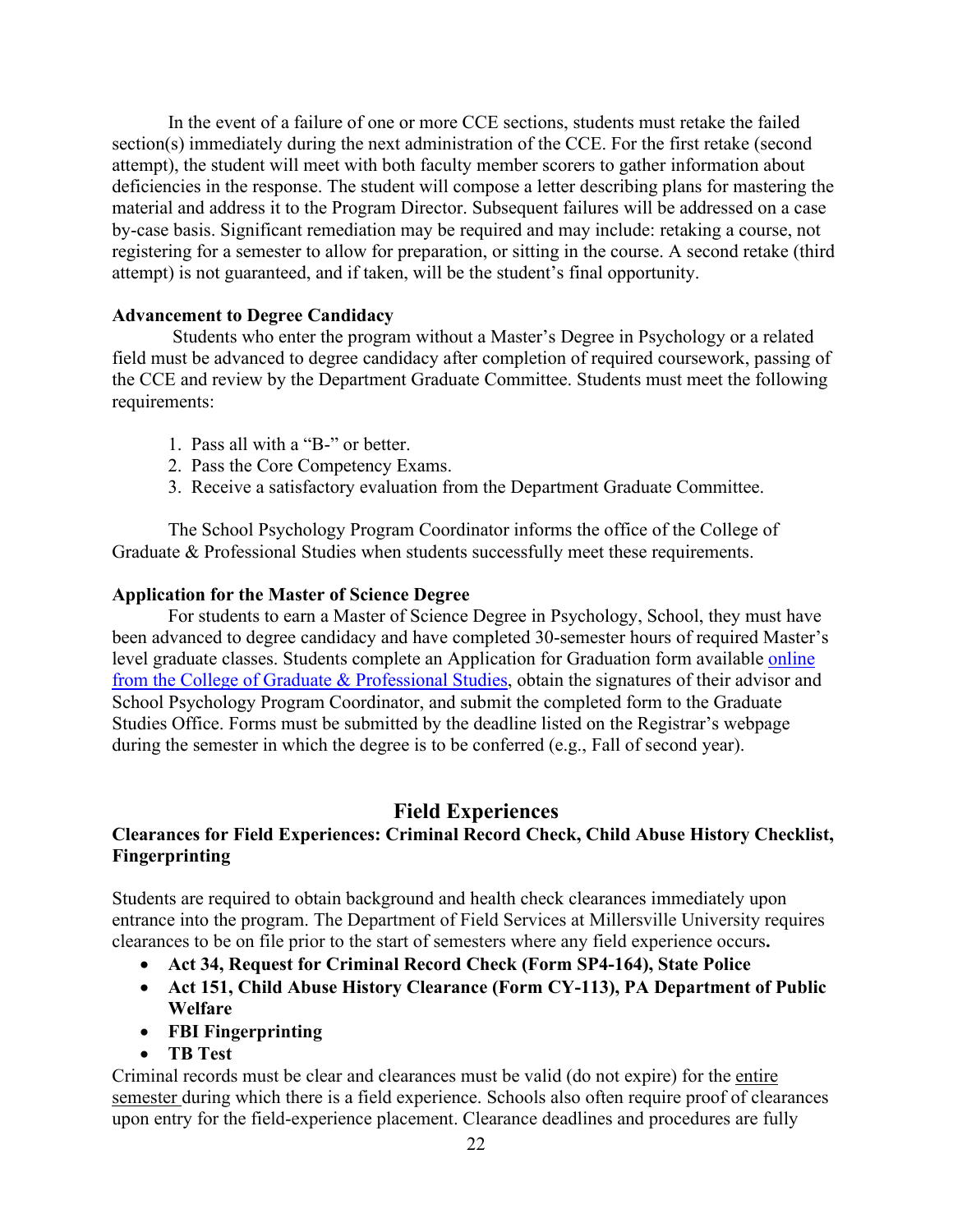In the event of a failure of one or more CCE sections, students must retake the failed section(s) immediately during the next administration of the CCE. For the first retake (second attempt), the student will meet with both faculty member scorers to gather information about deficiencies in the response. The student will compose a letter describing plans for mastering the material and address it to the Program Director. Subsequent failures will be addressed on a case by-case basis. Significant remediation may be required and may include: retaking a course, not registering for a semester to allow for preparation, or sitting in the course. A second retake (third attempt) is not guaranteed, and if taken, will be the student's final opportunity.

#### **Advancement to Degree Candidacy**

Students who enter the program without a Master's Degree in Psychology or a related field must be advanced to degree candidacy after completion of required coursework, passing of the CCE and review by the Department Graduate Committee. Students must meet the following requirements:

- 1. Pass all with a "B-" or better.
- 2. Pass the Core Competency Exams.
- 3. Receive a satisfactory evaluation from the Department Graduate Committee.

The School Psychology Program Coordinator informs the office of the College of Graduate & Professional Studies when students successfully meet these requirements.

#### **Application for the Master of Science Degree**

For students to earn a Master of Science Degree in Psychology, School, they must have been advanced to degree candidacy and have completed 30-semester hours of required Master's level graduate classes. Students complete an Application for Graduation form available [online](https://www.millersville.edu/commencement/files/application-for-graduation.pdf) [from the College of Graduate & Professional Studies,](https://www.millersville.edu/commencement/files/application-for-graduation.pdf) obtain the signatures of their advisor and School Psychology Program Coordinator, and submit the completed form to the Graduate Studies Office. Forms must be submitted by the deadline listed on the Registrar's webpage during the semester in which the degree is to be conferred (e.g., Fall of second year).

## **Field Experiences**

## **Clearances for Field Experiences: Criminal Record Check, Child Abuse History Checklist, Fingerprinting**

Students are required to obtain background and health check clearances immediately upon entrance into the program. The Department of Field Services at Millersville University requires clearances to be on file prior to the start of semesters where any field experience occurs**.**

- **Act 34, Request for Criminal Record Check (Form SP4-164), State Police**
- **Act 151, Child Abuse History Clearance (Form CY-113), PA Department of Public Welfare**
- **FBI Fingerprinting**
- **TB Test**

Criminal records must be clear and clearances must be valid (do not expire) for the entire semester during which there is a field experience. Schools also often require proof of clearances upon entry for the field-experience placement. Clearance deadlines and procedures are fully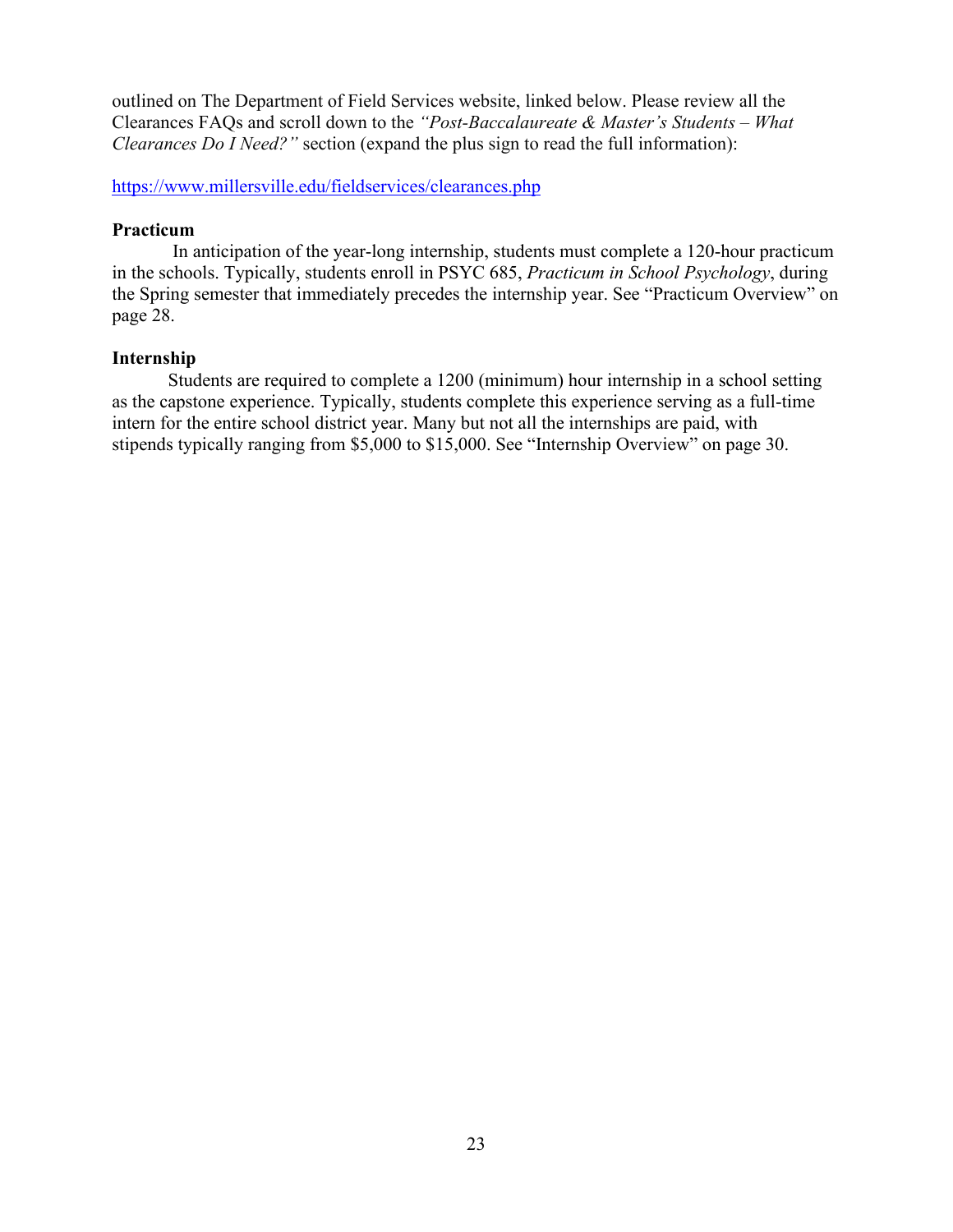outlined on The Department of Field Services website, linked below. Please review all the Clearances FAQs and scroll down to the *"Post-Baccalaureate & Master's Students – What Clearances Do I Need?"* section (expand the plus sign to read the full information):

<https://www.millersville.edu/fieldservices/clearances.php>

#### **Practicum**

In anticipation of the year-long internship, students must complete a 120-hour practicum in the schools. Typically, students enroll in PSYC 685, *Practicum in School Psychology*, during the Spring semester that immediately precedes the internship year. See "Practicum Overview" on page 28.

### **Internship**

Students are required to complete a 1200 (minimum) hour internship in a school setting as the capstone experience. Typically, students complete this experience serving as a full-time intern for the entire school district year. Many but not all the internships are paid, with stipends typically ranging from \$5,000 to \$15,000. See "Internship Overview" on page 30.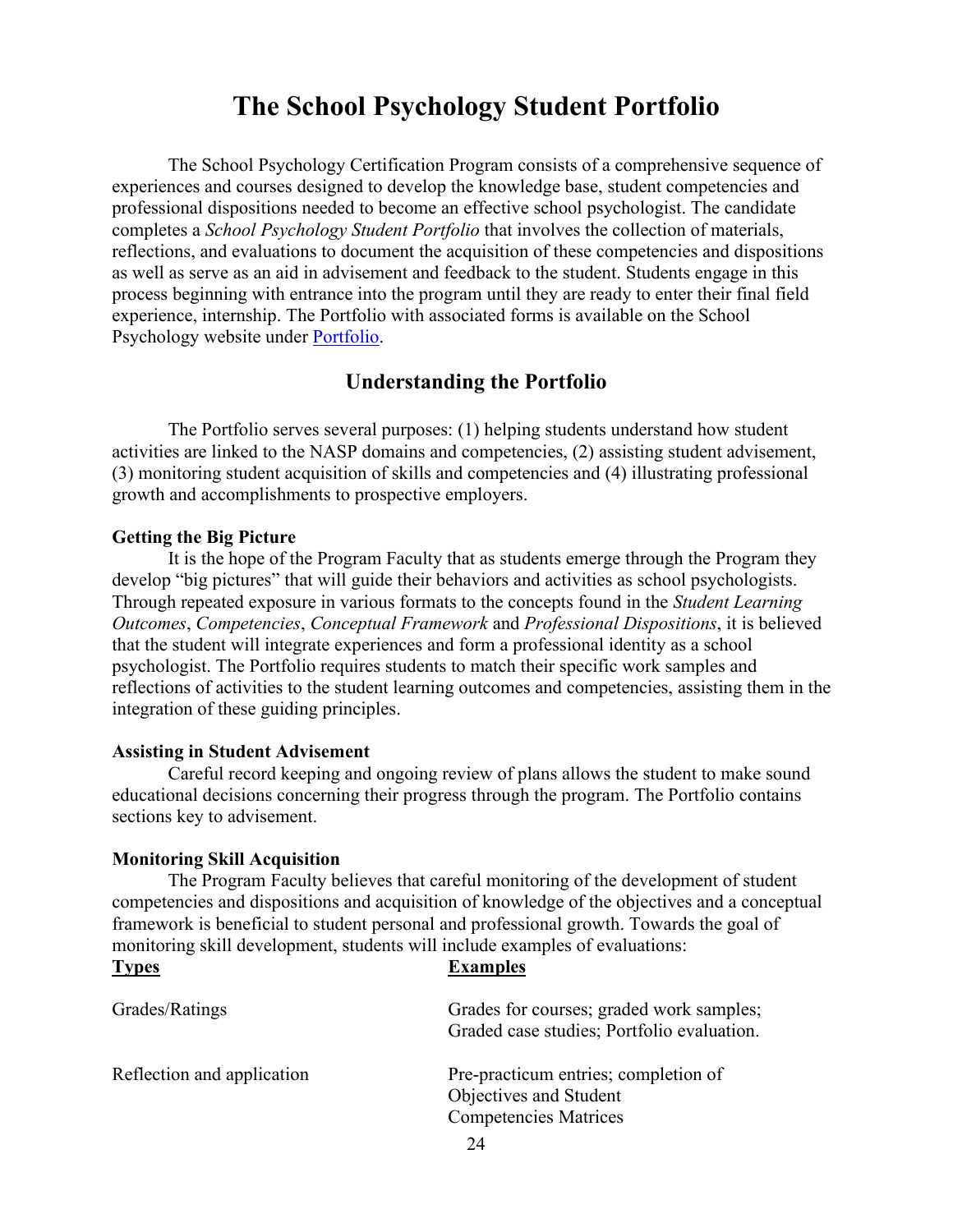## **The School Psychology Student Portfolio**

The School Psychology Certification Program consists of a comprehensive sequence of experiences and courses designed to develop the knowledge base, student competencies and professional dispositions needed to become an effective school psychologist. The candidate completes a *School Psychology Student Portfolio* that involves the collection of materials, reflections, and evaluations to document the acquisition of these competencies and dispositions as well as serve as an aid in advisement and feedback to the student. Students engage in this process beginning with entrance into the program until they are ready to enter their final field experience, internship. The Portfolio with associated forms is available on the School Psychology website under [Portfolio.](https://www.millersville.edu/psychology/files/portfolio_09-22-2021.pdf)

## **Understanding the Portfolio**

The Portfolio serves several purposes: (1) helping students understand how student activities are linked to the NASP domains and competencies, (2) assisting student advisement, (3) monitoring student acquisition of skills and competencies and (4) illustrating professional growth and accomplishments to prospective employers.

#### **Getting the Big Picture**

It is the hope of the Program Faculty that as students emerge through the Program they develop "big pictures" that will guide their behaviors and activities as school psychologists. Through repeated exposure in various formats to the concepts found in the *Student Learning Outcomes*, *Competencies*, *Conceptual Framework* and *Professional Dispositions*, it is believed that the student will integrate experiences and form a professional identity as a school psychologist. The Portfolio requires students to match their specific work samples and reflections of activities to the student learning outcomes and competencies, assisting them in the integration of these guiding principles.

#### **Assisting in Student Advisement**

Careful record keeping and ongoing review of plans allows the student to make sound educational decisions concerning their progress through the program. The Portfolio contains sections key to advisement.

#### **Monitoring Skill Acquisition**

**Types Examples**

The Program Faculty believes that careful monitoring of the development of student competencies and dispositions and acquisition of knowledge of the objectives and a conceptual framework is beneficial to student personal and professional growth. Towards the goal of monitoring skill development, students will include examples of evaluations:

| Grades/Ratings             | Grades for courses; graded work samples;<br>Graded case studies; Portfolio evaluation.         |  |
|----------------------------|------------------------------------------------------------------------------------------------|--|
| Reflection and application | Pre-practicum entries; completion of<br>Objectives and Student<br><b>Competencies Matrices</b> |  |
|                            |                                                                                                |  |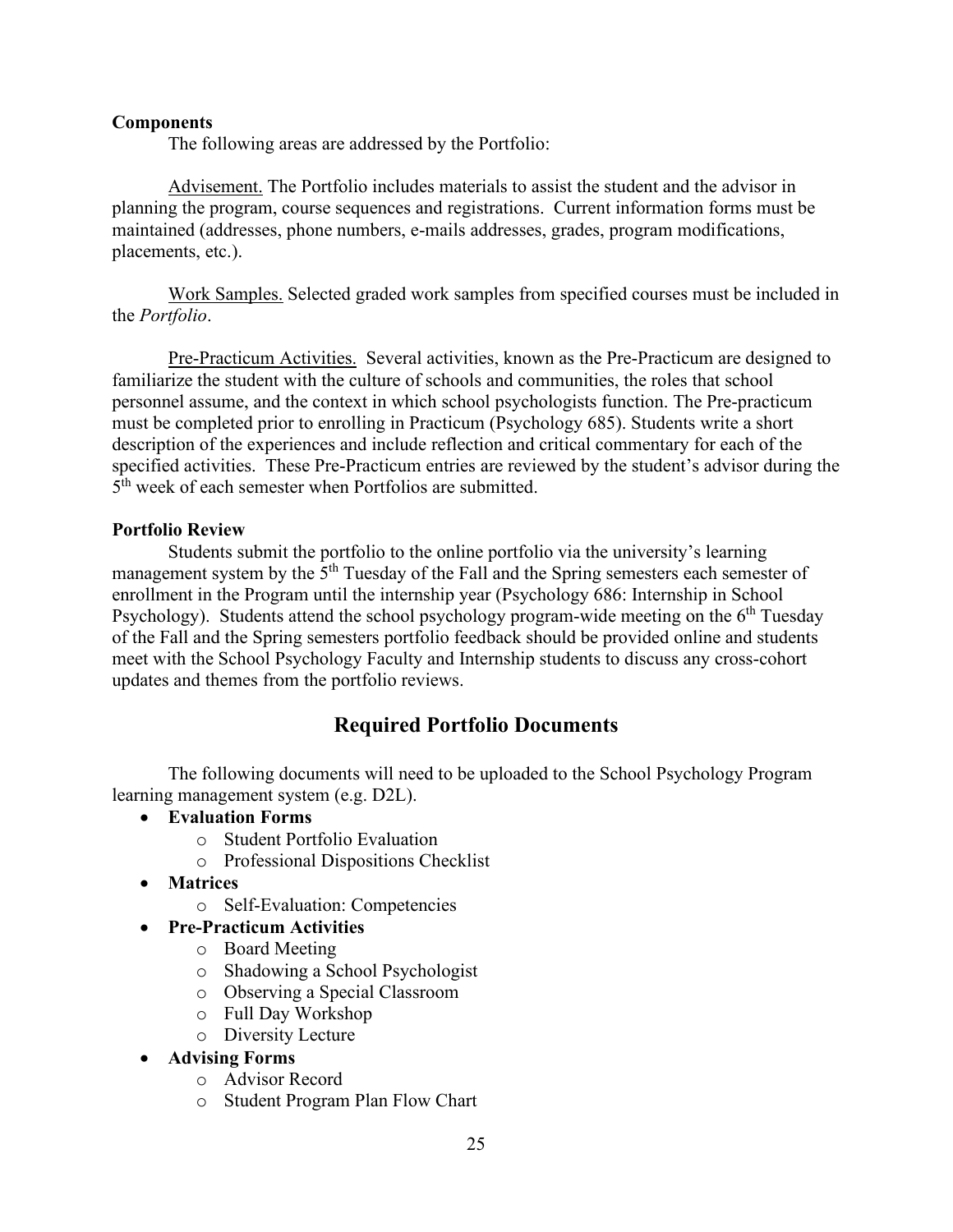#### **Components**

The following areas are addressed by the Portfolio:

Advisement. The Portfolio includes materials to assist the student and the advisor in planning the program, course sequences and registrations. Current information forms must be maintained (addresses, phone numbers, e-mails addresses, grades, program modifications, placements, etc.).

Work Samples. Selected graded work samples from specified courses must be included in the *Portfolio*.

Pre-Practicum Activities. Several activities, known as the Pre-Practicum are designed to familiarize the student with the culture of schools and communities, the roles that school personnel assume, and the context in which school psychologists function. The Pre-practicum must be completed prior to enrolling in Practicum (Psychology 685). Students write a short description of the experiences and include reflection and critical commentary for each of the specified activities. These Pre-Practicum entries are reviewed by the student's advisor during the 5<sup>th</sup> week of each semester when Portfolios are submitted.

#### **Portfolio Review**

Students submit the portfolio to the online portfolio via the university's learning management system by the  $5<sup>th</sup>$  Tuesday of the Fall and the Spring semesters each semester of enrollment in the Program until the internship year (Psychology 686: Internship in School Psychology). Students attend the school psychology program-wide meeting on the  $6<sup>th</sup>$  Tuesday of the Fall and the Spring semesters portfolio feedback should be provided online and students meet with the School Psychology Faculty and Internship students to discuss any cross-cohort updates and themes from the portfolio reviews.

## **Required Portfolio Documents**

The following documents will need to be uploaded to the School Psychology Program learning management system (e.g. D2L).

- **Evaluation Forms**
	- o Student Portfolio Evaluation
	- o Professional Dispositions Checklist
- **Matrices**
	- o Self-Evaluation: Competencies
- **Pre-Practicum Activities**
	- o Board Meeting
	- o Shadowing a School Psychologist
	- o Observing a Special Classroom
	- o Full Day Workshop
	- o Diversity Lecture
- **Advising Forms**
	- o Advisor Record
	- o Student Program Plan Flow Chart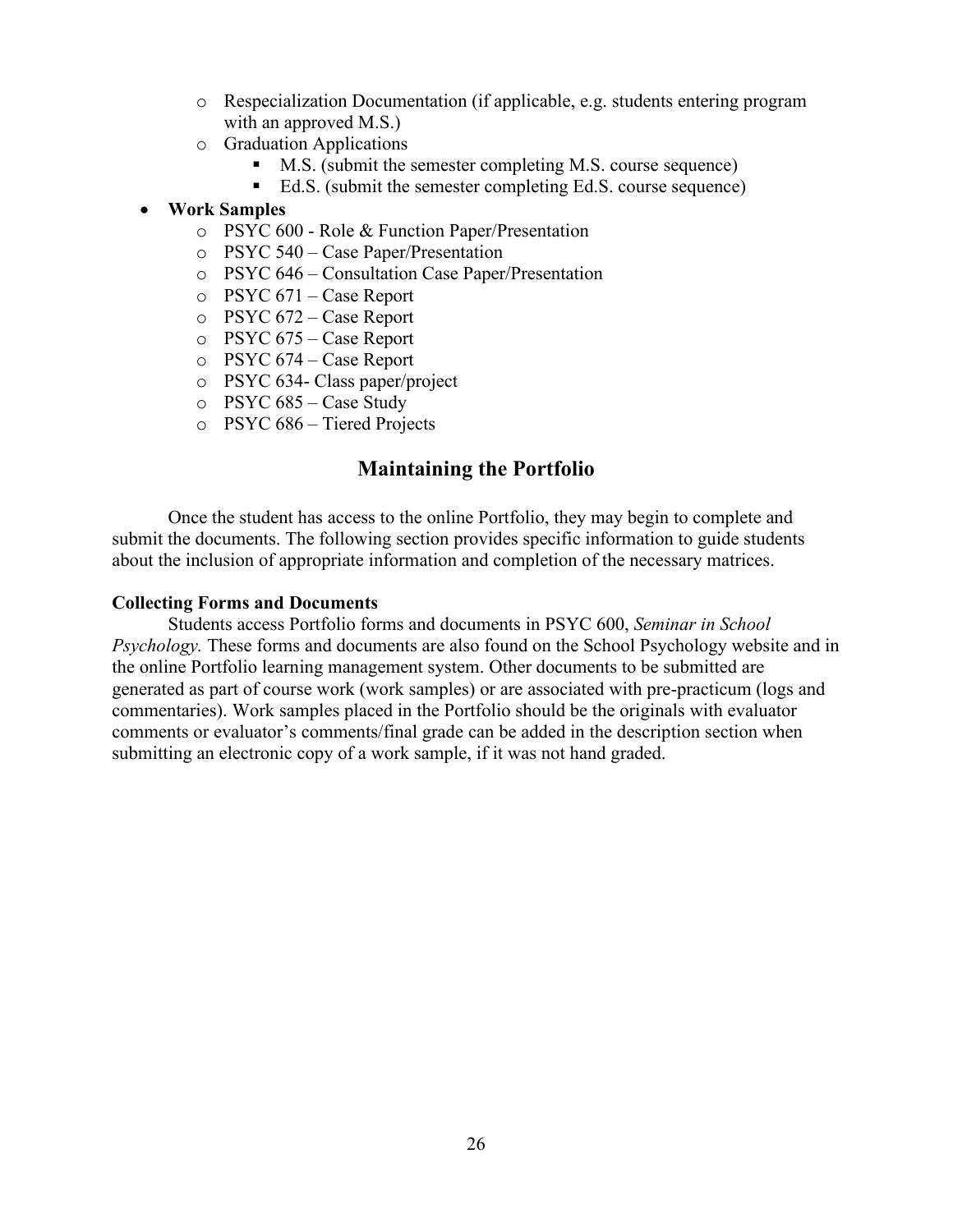- o Respecialization Documentation (if applicable, e.g. students entering program with an approved M.S.)
- o Graduation Applications
	- M.S. (submit the semester completing M.S. course sequence)
	- Ed.S. (submit the semester completing Ed.S. course sequence)
- **Work Samples**
	- o PSYC 600 Role & Function Paper/Presentation
	- o PSYC 540 Case Paper/Presentation
	- o PSYC 646 Consultation Case Paper/Presentation
	- o PSYC 671 Case Report
	- o PSYC 672 Case Report
	- o PSYC 675 Case Report
	- o PSYC 674 Case Report
	- o PSYC 634- Class paper/project
	- o PSYC 685 Case Study
	- o PSYC 686 Tiered Projects

## **Maintaining the Portfolio**

Once the student has access to the online Portfolio, they may begin to complete and submit the documents. The following section provides specific information to guide students about the inclusion of appropriate information and completion of the necessary matrices.

#### **Collecting Forms and Documents**

Students access Portfolio forms and documents in PSYC 600, *Seminar in School Psychology.* These forms and documents are also found on the School Psychology website and in the online Portfolio learning management system. Other documents to be submitted are generated as part of course work (work samples) or are associated with pre-practicum (logs and commentaries). Work samples placed in the Portfolio should be the originals with evaluator comments or evaluator's comments/final grade can be added in the description section when submitting an electronic copy of a work sample, if it was not hand graded.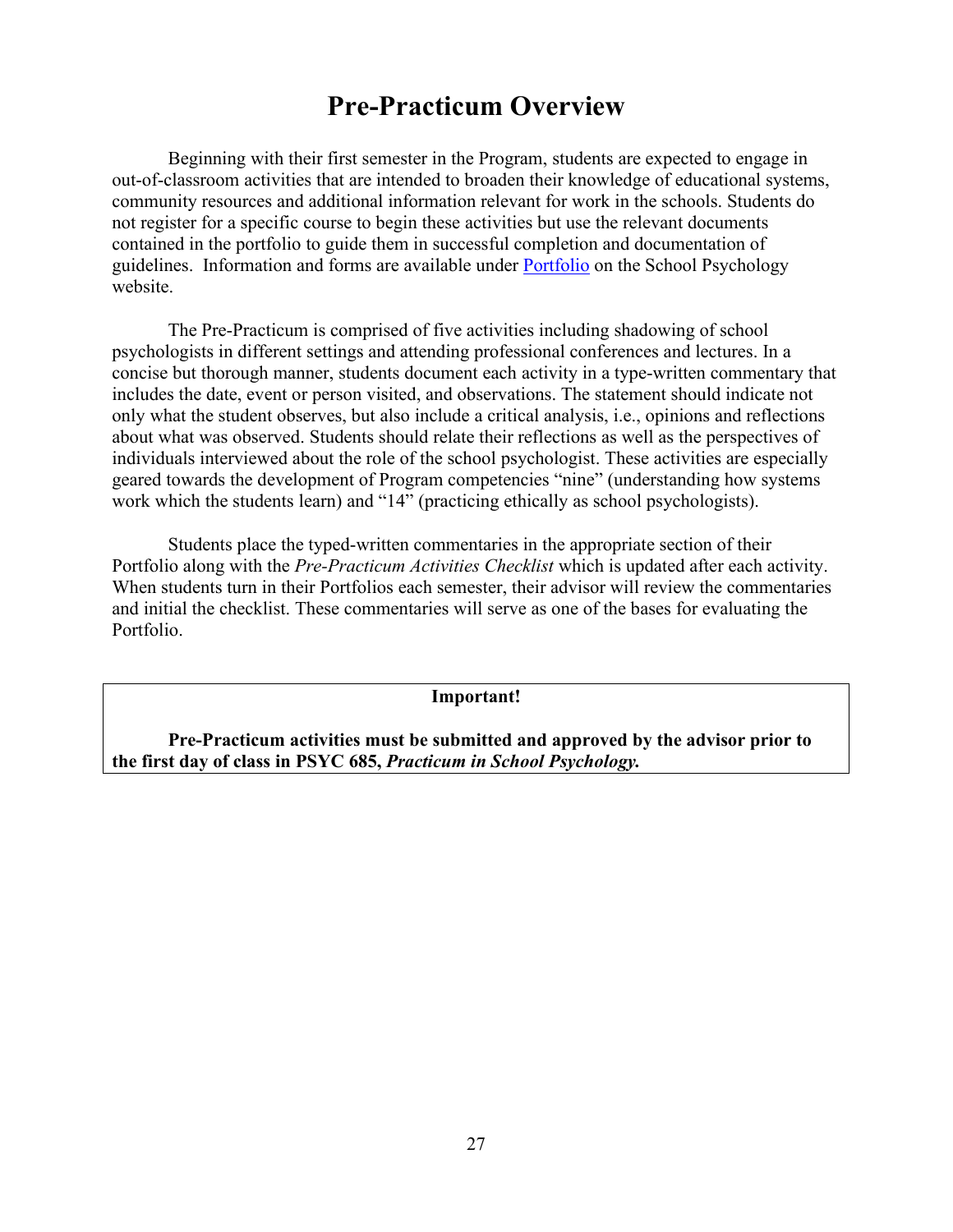## **Pre-Practicum Overview**

Beginning with their first semester in the Program, students are expected to engage in out-of-classroom activities that are intended to broaden their knowledge of educational systems, community resources and additional information relevant for work in the schools. Students do not register for a specific course to begin these activities but use the relevant documents contained in the portfolio to guide them in successful completion and documentation of guidelines. Information and forms are available under [Portfolio](https://www.millersville.edu/psychology/files/portfolio_09-22-2021.pdf) on the School Psychology website.

The Pre-Practicum is comprised of five activities including shadowing of school psychologists in different settings and attending professional conferences and lectures. In a concise but thorough manner, students document each activity in a type-written commentary that includes the date, event or person visited, and observations. The statement should indicate not only what the student observes, but also include a critical analysis, i.e., opinions and reflections about what was observed. Students should relate their reflections as well as the perspectives of individuals interviewed about the role of the school psychologist. These activities are especially geared towards the development of Program competencies "nine" (understanding how systems work which the students learn) and "14" (practicing ethically as school psychologists).

Students place the typed-written commentaries in the appropriate section of their Portfolio along with the *Pre-Practicum Activities Checklist* which is updated after each activity. When students turn in their Portfolios each semester, their advisor will review the commentaries and initial the checklist. These commentaries will serve as one of the bases for evaluating the Portfolio.

**Important!**

**Pre-Practicum activities must be submitted and approved by the advisor prior to the first day of class in PSYC 685,** *Practicum in School Psychology.*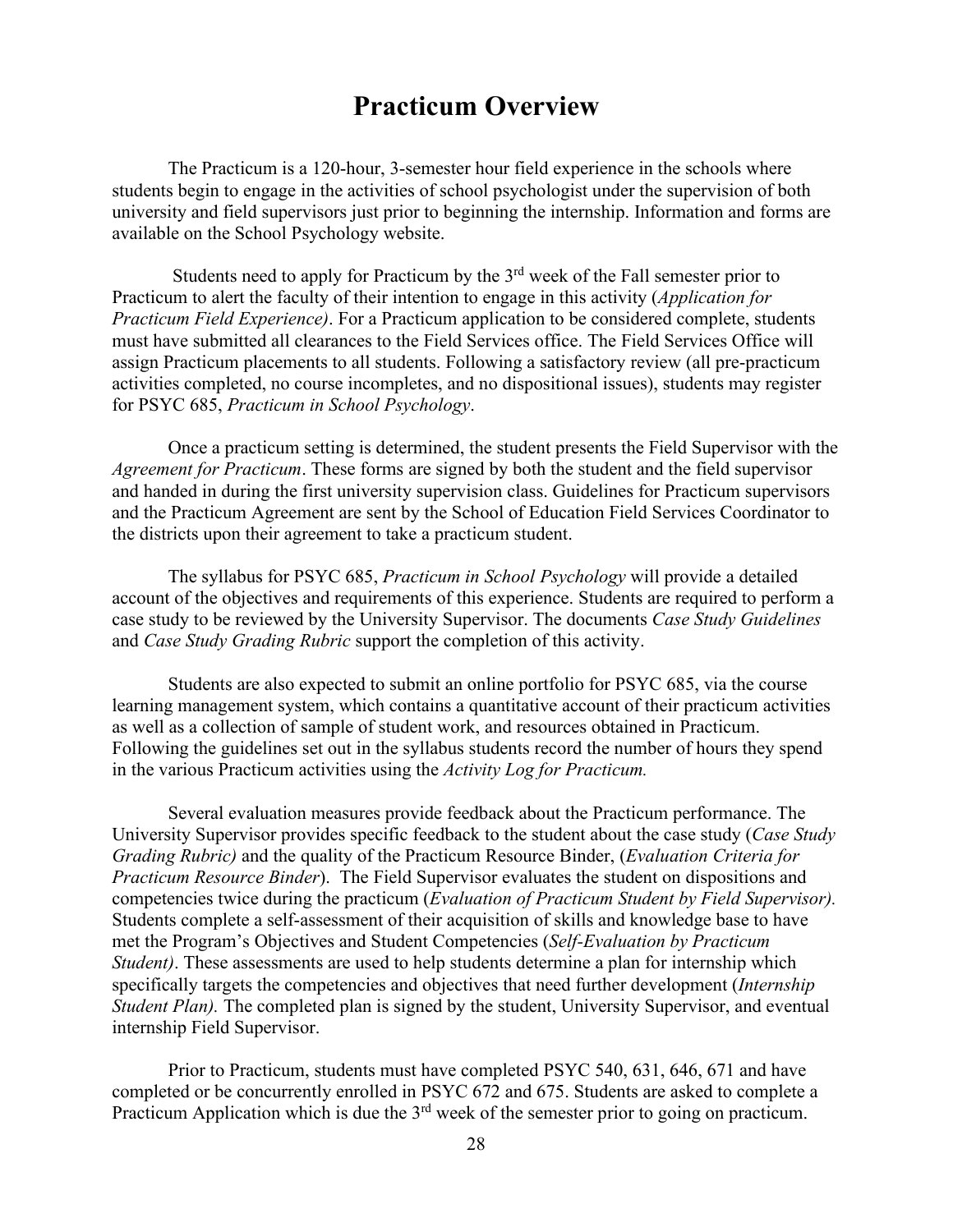## **Practicum Overview**

The Practicum is a 120-hour, 3-semester hour field experience in the schools where students begin to engage in the activities of school psychologist under the supervision of both university and field supervisors just prior to beginning the internship. Information and forms are available on the School Psychology website.

Students need to apply for Practicum by the  $3<sup>rd</sup>$  week of the Fall semester prior to Practicum to alert the faculty of their intention to engage in this activity (*Application for Practicum Field Experience)*. For a Practicum application to be considered complete, students must have submitted all clearances to the Field Services office. The Field Services Office will assign Practicum placements to all students. Following a satisfactory review (all pre-practicum activities completed, no course incompletes, and no dispositional issues), students may register for PSYC 685, *Practicum in School Psychology*.

Once a practicum setting is determined, the student presents the Field Supervisor with the *Agreement for Practicum*. These forms are signed by both the student and the field supervisor and handed in during the first university supervision class. Guidelines for Practicum supervisors and the Practicum Agreement are sent by the School of Education Field Services Coordinator to the districts upon their agreement to take a practicum student.

The syllabus for PSYC 685, *Practicum in School Psychology* will provide a detailed account of the objectives and requirements of this experience. Students are required to perform a case study to be reviewed by the University Supervisor. The documents *Case Study Guidelines* and *Case Study Grading Rubric* support the completion of this activity.

Students are also expected to submit an online portfolio for PSYC 685, via the course learning management system, which contains a quantitative account of their practicum activities as well as a collection of sample of student work, and resources obtained in Practicum. Following the guidelines set out in the syllabus students record the number of hours they spend in the various Practicum activities using the *Activity Log for Practicum.*

Several evaluation measures provide feedback about the Practicum performance. The University Supervisor provides specific feedback to the student about the case study (*Case Study Grading Rubric)* and the quality of the Practicum Resource Binder, (*Evaluation Criteria for Practicum Resource Binder*). The Field Supervisor evaluates the student on dispositions and competencies twice during the practicum (*Evaluation of Practicum Student by Field Supervisor).*  Students complete a self-assessment of their acquisition of skills and knowledge base to have met the Program's Objectives and Student Competencies (*Self-Evaluation by Practicum Student)*. These assessments are used to help students determine a plan for internship which specifically targets the competencies and objectives that need further development (*Internship Student Plan)*. The completed plan is signed by the student, University Supervisor, and eventual internship Field Supervisor.

Prior to Practicum, students must have completed PSYC 540, 631, 646, 671 and have completed or be concurrently enrolled in PSYC 672 and 675. Students are asked to complete a Practicum Application which is due the 3<sup>rd</sup> week of the semester prior to going on practicum.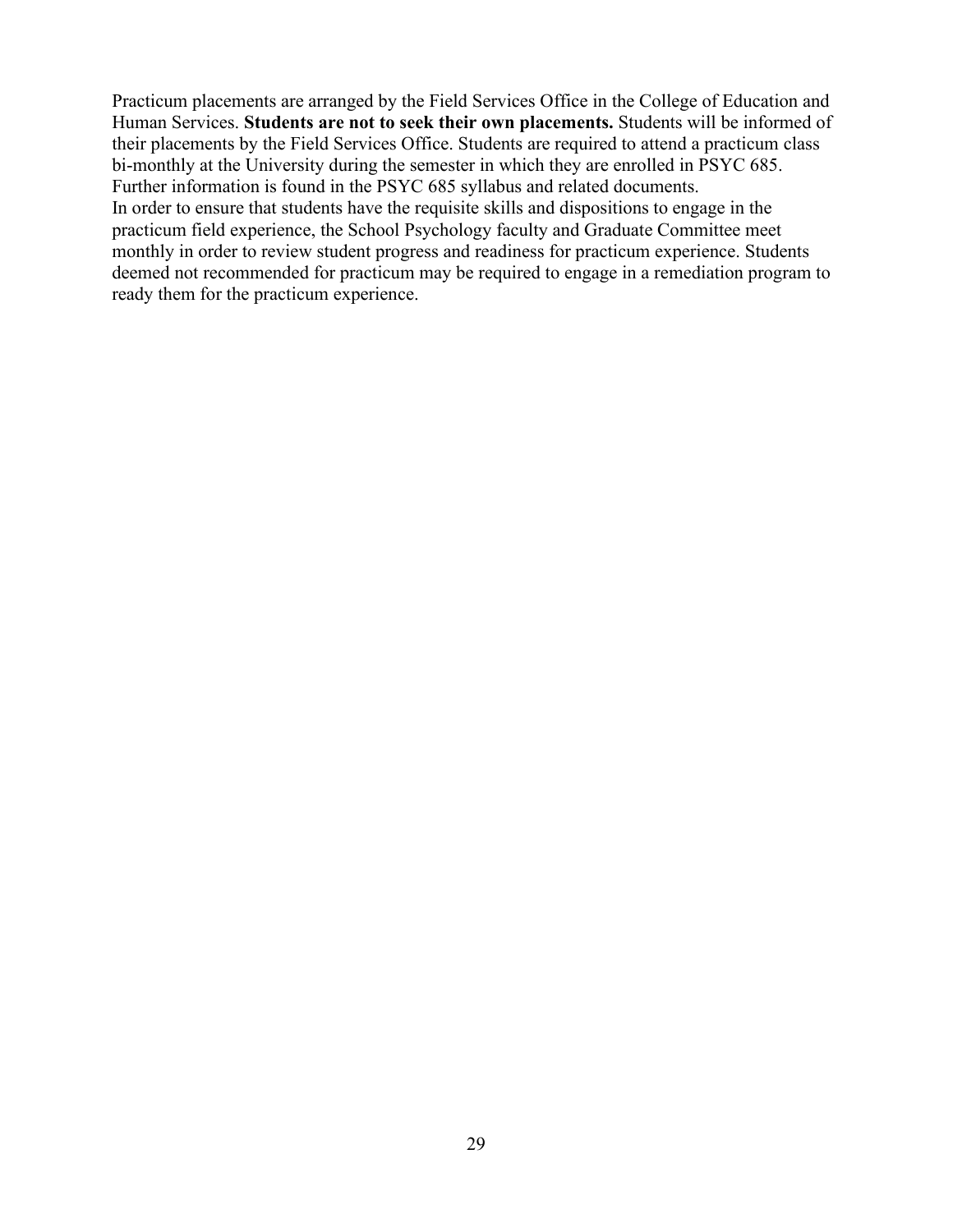Practicum placements are arranged by the Field Services Office in the College of Education and Human Services. **Students are not to seek their own placements.** Students will be informed of their placements by the Field Services Office. Students are required to attend a practicum class bi-monthly at the University during the semester in which they are enrolled in PSYC 685. Further information is found in the PSYC 685 syllabus and related documents. In order to ensure that students have the requisite skills and dispositions to engage in the practicum field experience, the School Psychology faculty and Graduate Committee meet monthly in order to review student progress and readiness for practicum experience. Students deemed not recommended for practicum may be required to engage in a remediation program to ready them for the practicum experience.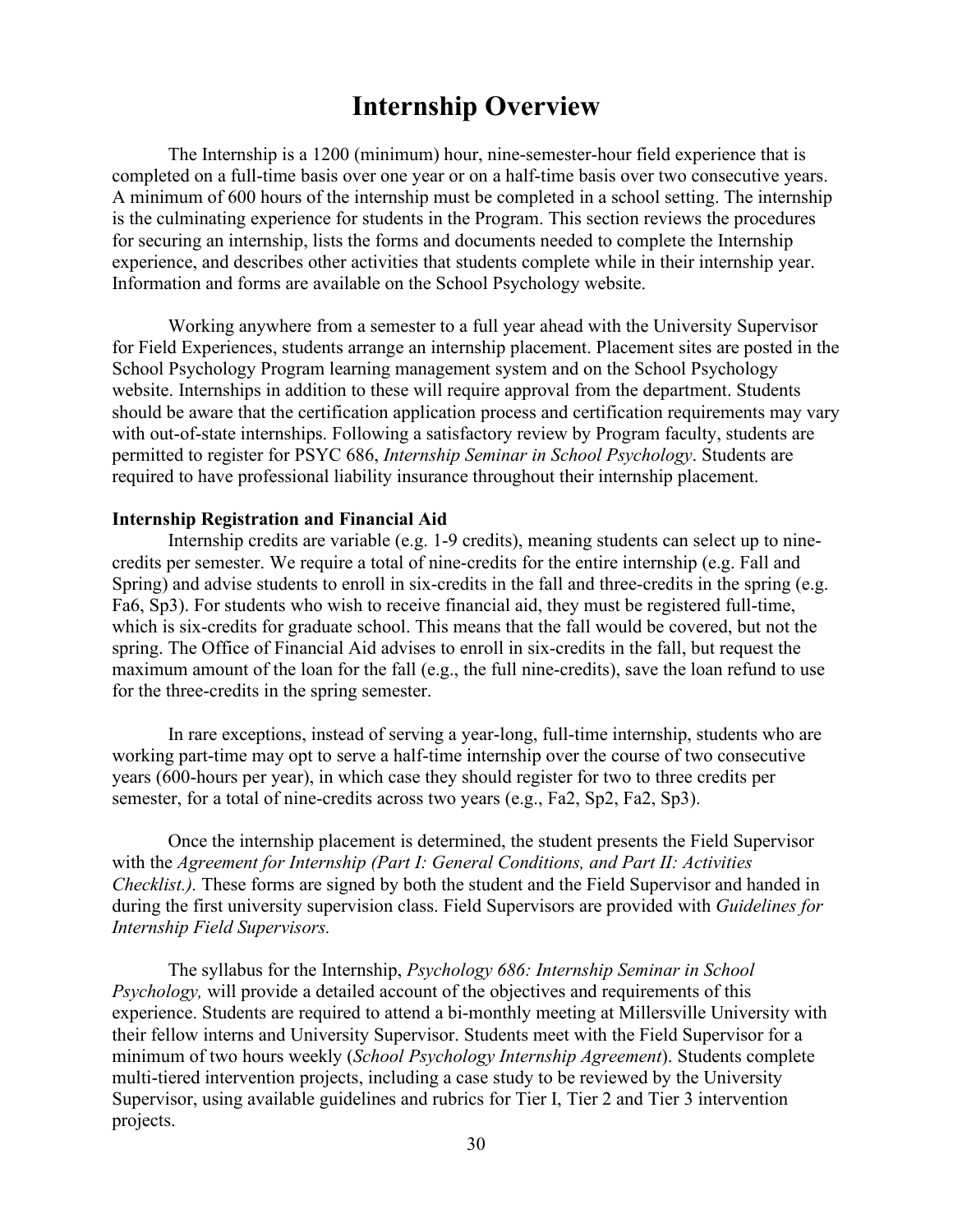## **Internship Overview**

The Internship is a 1200 (minimum) hour, nine-semester-hour field experience that is completed on a full-time basis over one year or on a half-time basis over two consecutive years. A minimum of 600 hours of the internship must be completed in a school setting. The internship is the culminating experience for students in the Program. This section reviews the procedures for securing an internship, lists the forms and documents needed to complete the Internship experience, and describes other activities that students complete while in their internship year. Information and forms are available on the School Psychology website.

Working anywhere from a semester to a full year ahead with the University Supervisor for Field Experiences, students arrange an internship placement. Placement sites are posted in the School Psychology Program learning management system and on the School Psychology website. Internships in addition to these will require approval from the department. Students should be aware that the certification application process and certification requirements may vary with out-of-state internships. Following a satisfactory review by Program faculty, students are permitted to register for PSYC 686, *Internship Seminar in School Psychology*. Students are required to have professional liability insurance throughout their internship placement.

#### **Internship Registration and Financial Aid**

Internship credits are variable (e.g. 1-9 credits), meaning students can select up to ninecredits per semester. We require a total of nine-credits for the entire internship (e.g. Fall and Spring) and advise students to enroll in six-credits in the fall and three-credits in the spring (e.g. Fa6, Sp3). For students who wish to receive financial aid, they must be registered full-time, which is six-credits for graduate school. This means that the fall would be covered, but not the spring. The Office of Financial Aid advises to enroll in six-credits in the fall, but request the maximum amount of the loan for the fall (e.g., the full nine-credits), save the loan refund to use for the three-credits in the spring semester.

In rare exceptions, instead of serving a year-long, full-time internship, students who are working part-time may opt to serve a half-time internship over the course of two consecutive years (600-hours per year), in which case they should register for two to three credits per semester, for a total of nine-credits across two years (e.g., Fa2, Sp2, Fa2, Sp3).

Once the internship placement is determined, the student presents the Field Supervisor with the *Agreement for Internship (Part I: General Conditions, and Part II: Activities Checklist.).* These forms are signed by both the student and the Field Supervisor and handed in during the first university supervision class. Field Supervisors are provided with *Guidelines for Internship Field Supervisors.*

The syllabus for the Internship, *Psychology 686: Internship Seminar in School Psychology,* will provide a detailed account of the objectives and requirements of this experience. Students are required to attend a bi-monthly meeting at Millersville University with their fellow interns and University Supervisor. Students meet with the Field Supervisor for a minimum of two hours weekly (*School Psychology Internship Agreement*). Students complete multi-tiered intervention projects, including a case study to be reviewed by the University Supervisor, using available guidelines and rubrics for Tier I, Tier 2 and Tier 3 intervention projects.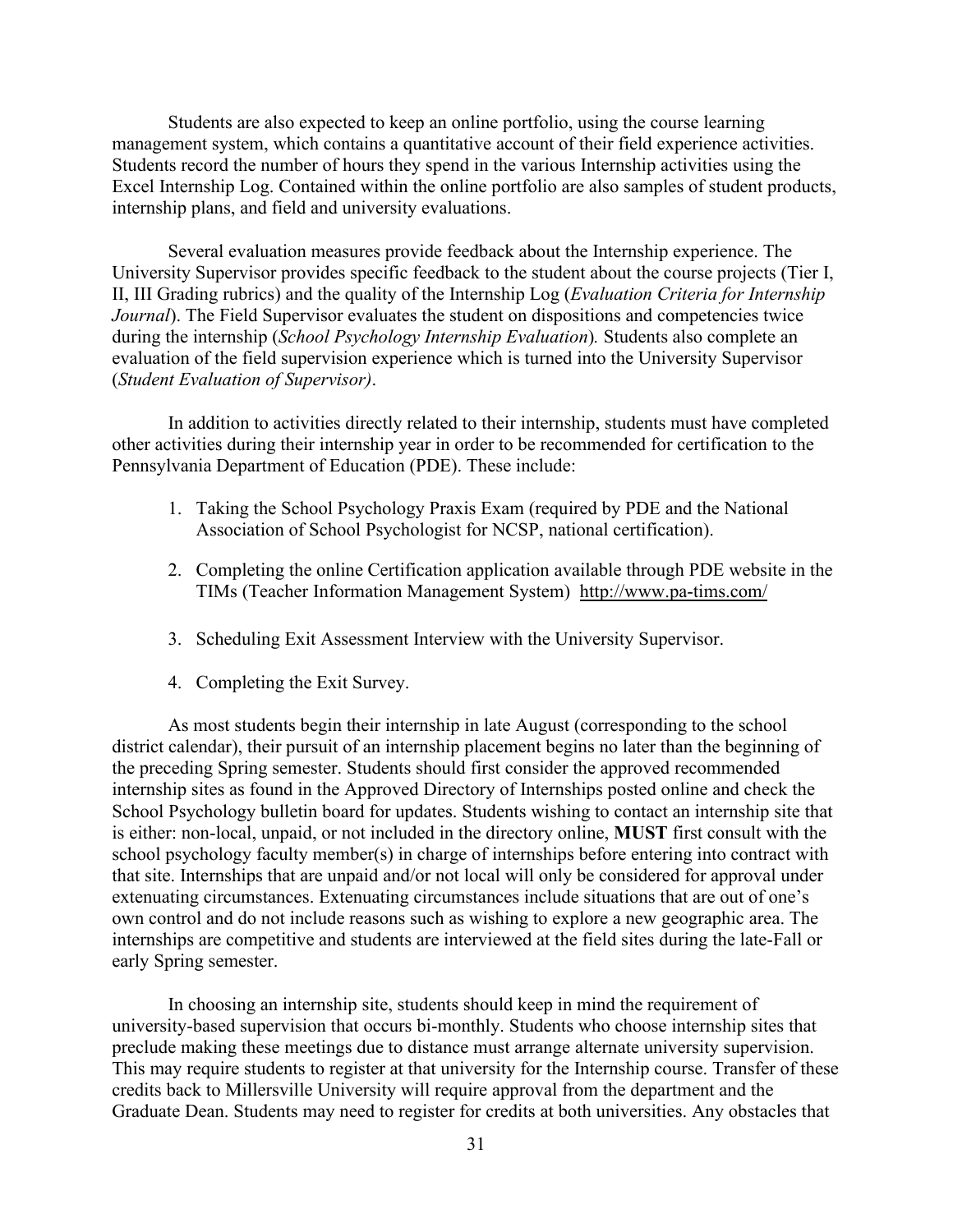Students are also expected to keep an online portfolio, using the course learning management system, which contains a quantitative account of their field experience activities. Students record the number of hours they spend in the various Internship activities using the Excel Internship Log. Contained within the online portfolio are also samples of student products, internship plans, and field and university evaluations.

Several evaluation measures provide feedback about the Internship experience. The University Supervisor provides specific feedback to the student about the course projects (Tier I, II, III Grading rubrics) and the quality of the Internship Log (*Evaluation Criteria for Internship Journal*). The Field Supervisor evaluates the student on dispositions and competencies twice during the internship (*School Psychology Internship Evaluation*)*.* Students also complete an evaluation of the field supervision experience which is turned into the University Supervisor (*Student Evaluation of Supervisor)*.

In addition to activities directly related to their internship, students must have completed other activities during their internship year in order to be recommended for certification to the Pennsylvania Department of Education (PDE). These include:

- 1. Taking the School Psychology Praxis Exam (required by PDE and the National Association of School Psychologist for NCSP, national certification).
- 2. Completing the online Certification application available through PDE website in the TIMs (Teacher Information Management System) <http://www.pa-tims.com/>
- 3. Scheduling Exit Assessment Interview with the University Supervisor.
- 4. Completing the Exit Survey.

As most students begin their internship in late August (corresponding to the school district calendar), their pursuit of an internship placement begins no later than the beginning of the preceding Spring semester. Students should first consider the approved recommended internship sites as found in the Approved Directory of Internships posted online and check the School Psychology bulletin board for updates. Students wishing to contact an internship site that is either: non-local, unpaid, or not included in the directory online, **MUST** first consult with the school psychology faculty member(s) in charge of internships before entering into contract with that site. Internships that are unpaid and/or not local will only be considered for approval under extenuating circumstances. Extenuating circumstances include situations that are out of one's own control and do not include reasons such as wishing to explore a new geographic area. The internships are competitive and students are interviewed at the field sites during the late-Fall or early Spring semester.

In choosing an internship site, students should keep in mind the requirement of university-based supervision that occurs bi-monthly. Students who choose internship sites that preclude making these meetings due to distance must arrange alternate university supervision. This may require students to register at that university for the Internship course. Transfer of these credits back to Millersville University will require approval from the department and the Graduate Dean. Students may need to register for credits at both universities. Any obstacles that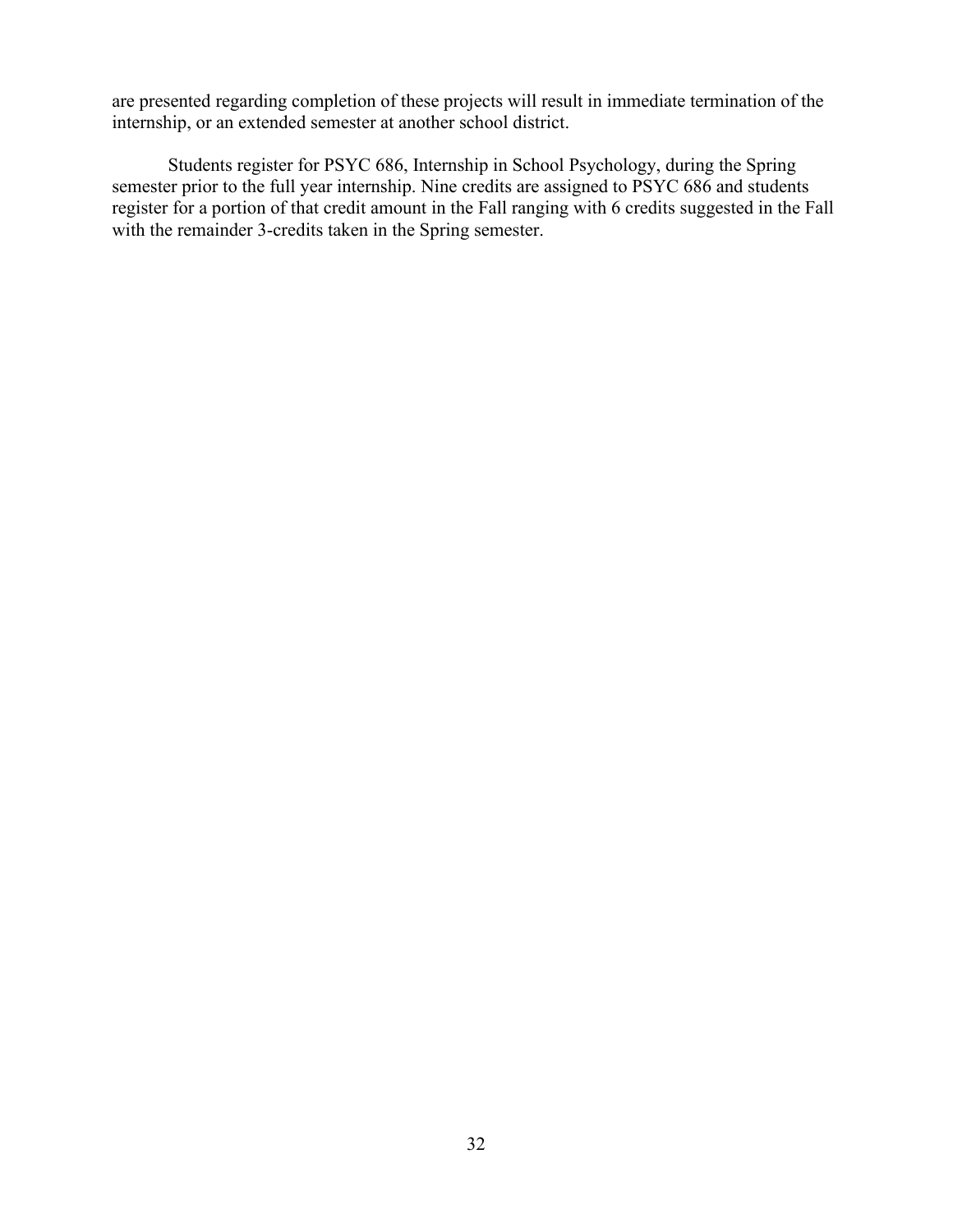are presented regarding completion of these projects will result in immediate termination of the internship, or an extended semester at another school district.

Students register for PSYC 686, Internship in School Psychology, during the Spring semester prior to the full year internship. Nine credits are assigned to PSYC 686 and students register for a portion of that credit amount in the Fall ranging with 6 credits suggested in the Fall with the remainder 3-credits taken in the Spring semester.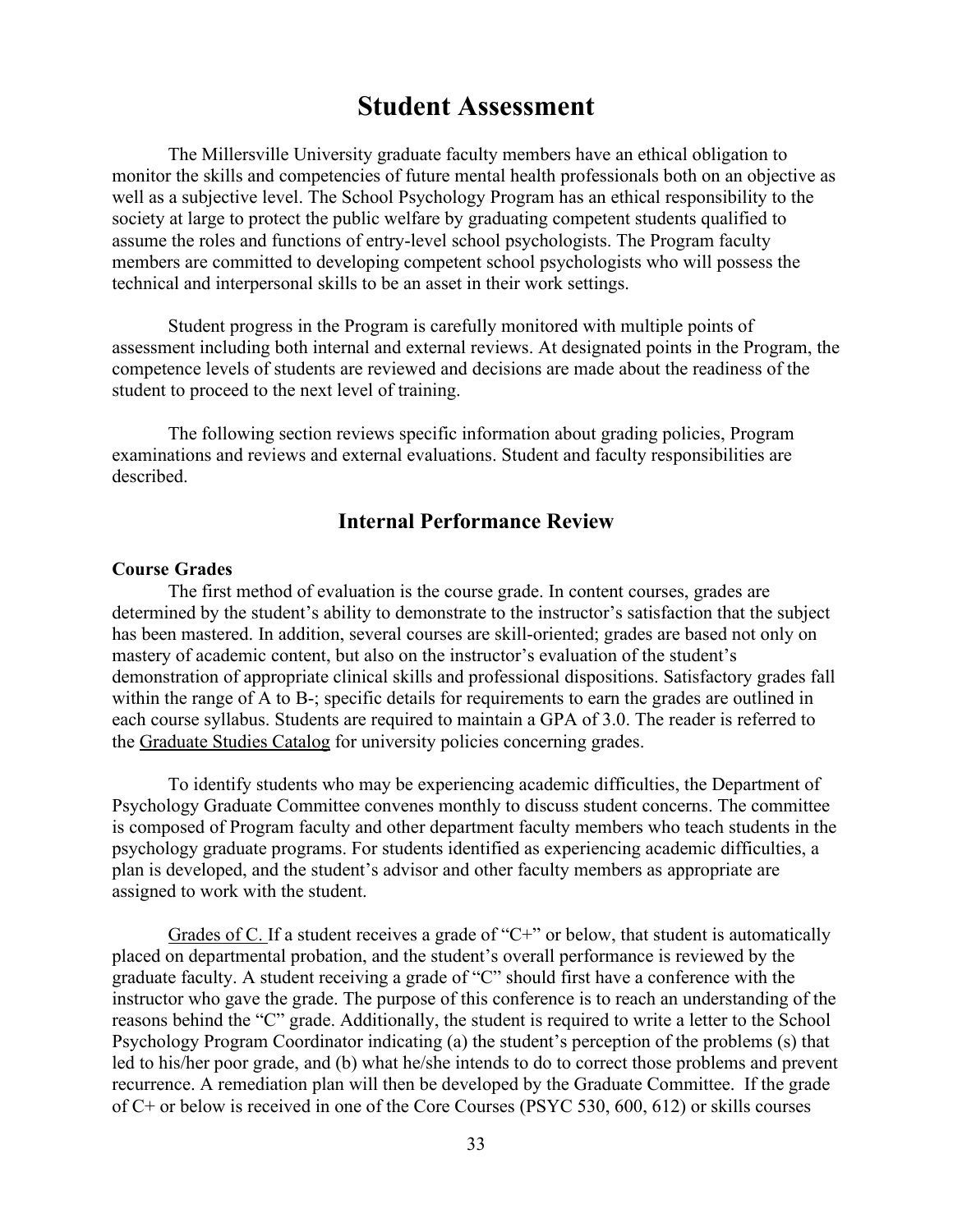## **Student Assessment**

The Millersville University graduate faculty members have an ethical obligation to monitor the skills and competencies of future mental health professionals both on an objective as well as a subjective level. The School Psychology Program has an ethical responsibility to the society at large to protect the public welfare by graduating competent students qualified to assume the roles and functions of entry-level school psychologists. The Program faculty members are committed to developing competent school psychologists who will possess the technical and interpersonal skills to be an asset in their work settings.

Student progress in the Program is carefully monitored with multiple points of assessment including both internal and external reviews. At designated points in the Program, the competence levels of students are reviewed and decisions are made about the readiness of the student to proceed to the next level of training.

The following section reviews specific information about grading policies, Program examinations and reviews and external evaluations. Student and faculty responsibilities are described.

#### **Internal Performance Review**

#### **Course Grades**

The first method of evaluation is the course grade. In content courses, grades are determined by the student's ability to demonstrate to the instructor's satisfaction that the subject has been mastered. In addition, several courses are skill-oriented; grades are based not only on mastery of academic content, but also on the instructor's evaluation of the student's demonstration of appropriate clinical skills and professional dispositions. Satisfactory grades fall within the range of A to B-; specific details for requirements to earn the grades are outlined in each course syllabus. Students are required to maintain a GPA of 3.0. The reader is referred to the [Graduate Studies Catalog](https://www.millersville.edu/catalogs/) for university policies concerning grades.

To identify students who may be experiencing academic difficulties, the Department of Psychology Graduate Committee convenes monthly to discuss student concerns. The committee is composed of Program faculty and other department faculty members who teach students in the psychology graduate programs. For students identified as experiencing academic difficulties, a plan is developed, and the student's advisor and other faculty members as appropriate are assigned to work with the student.

Grades of C. If a student receives a grade of "C+" or below, that student is automatically placed on departmental probation, and the student's overall performance is reviewed by the graduate faculty. A student receiving a grade of "C" should first have a conference with the instructor who gave the grade. The purpose of this conference is to reach an understanding of the reasons behind the "C" grade. Additionally, the student is required to write a letter to the School Psychology Program Coordinator indicating (a) the student's perception of the problems (s) that led to his/her poor grade, and (b) what he/she intends to do to correct those problems and prevent recurrence. A remediation plan will then be developed by the Graduate Committee. If the grade of C+ or below is received in one of the Core Courses (PSYC 530, 600, 612) or skills courses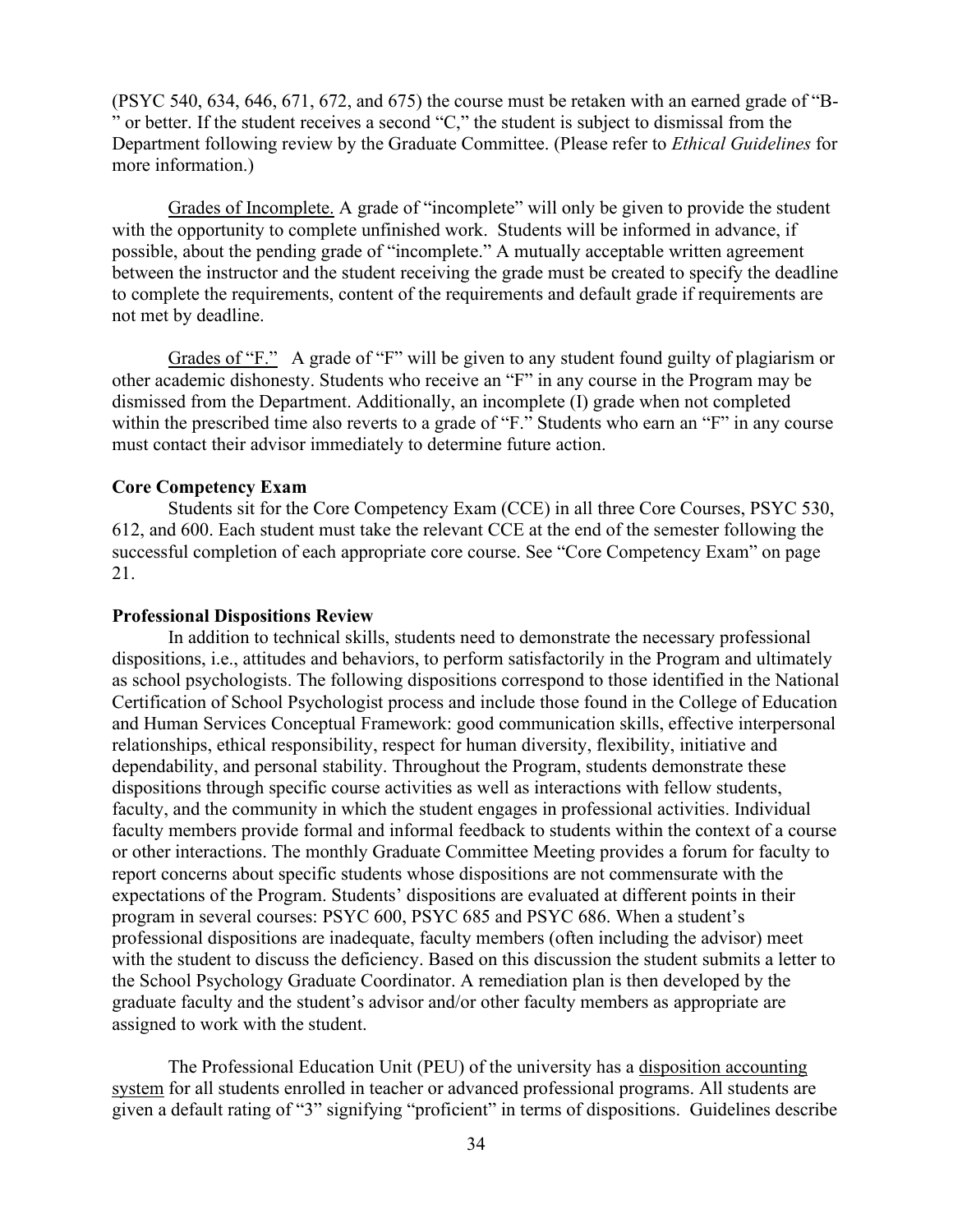(PSYC 540, 634, 646, 671, 672, and 675) the course must be retaken with an earned grade of "B- " or better. If the student receives a second "C," the student is subject to dismissal from the Department following review by the Graduate Committee. (Please refer to *Ethical Guidelines* for more information.)

Grades of Incomplete. A grade of "incomplete" will only be given to provide the student with the opportunity to complete unfinished work. Students will be informed in advance, if possible, about the pending grade of "incomplete." A mutually acceptable written agreement between the instructor and the student receiving the grade must be created to specify the deadline to complete the requirements, content of the requirements and default grade if requirements are not met by deadline.

Grades of "F." A grade of "F" will be given to any student found guilty of plagiarism or other academic dishonesty. Students who receive an "F" in any course in the Program may be dismissed from the Department. Additionally, an incomplete (I) grade when not completed within the prescribed time also reverts to a grade of "F." Students who earn an "F" in any course must contact their advisor immediately to determine future action.

#### **Core Competency Exam**

Students sit for the Core Competency Exam (CCE) in all three Core Courses, PSYC 530, 612, and 600. Each student must take the relevant CCE at the end of the semester following the successful completion of each appropriate core course. See "Core Competency Exam" on page 21.

#### **Professional Dispositions Review**

In addition to technical skills, students need to demonstrate the necessary professional dispositions, i.e., attitudes and behaviors, to perform satisfactorily in the Program and ultimately as school psychologists. The following dispositions correspond to those identified in the National Certification of School Psychologist process and include those found in the College of Education and Human Services Conceptual Framework: good communication skills, effective interpersonal relationships, ethical responsibility, respect for human diversity, flexibility, initiative and dependability, and personal stability. Throughout the Program, students demonstrate these dispositions through specific course activities as well as interactions with fellow students, faculty, and the community in which the student engages in professional activities. Individual faculty members provide formal and informal feedback to students within the context of a course or other interactions. The monthly Graduate Committee Meeting provides a forum for faculty to report concerns about specific students whose dispositions are not commensurate with the expectations of the Program. Students' dispositions are evaluated at different points in their program in several courses: PSYC 600, PSYC 685 and PSYC 686. When a student's professional dispositions are inadequate, faculty members (often including the advisor) meet with the student to discuss the deficiency. Based on this discussion the student submits a letter to the School Psychology Graduate Coordinator. A remediation plan is then developed by the graduate faculty and the student's advisor and/or other faculty members as appropriate are assigned to work with the student.

The Professional Education Unit (PEU) of the university has a [disposition accounting](http://www.millersville.edu/academics/educ/education/files/Dispositions.pdf)  [system](http://www.millersville.edu/academics/educ/education/files/Dispositions.pdf) for all students enrolled in teacher or advanced professional programs. All students are given a default rating of "3" signifying "proficient" in terms of dispositions. Guidelines describe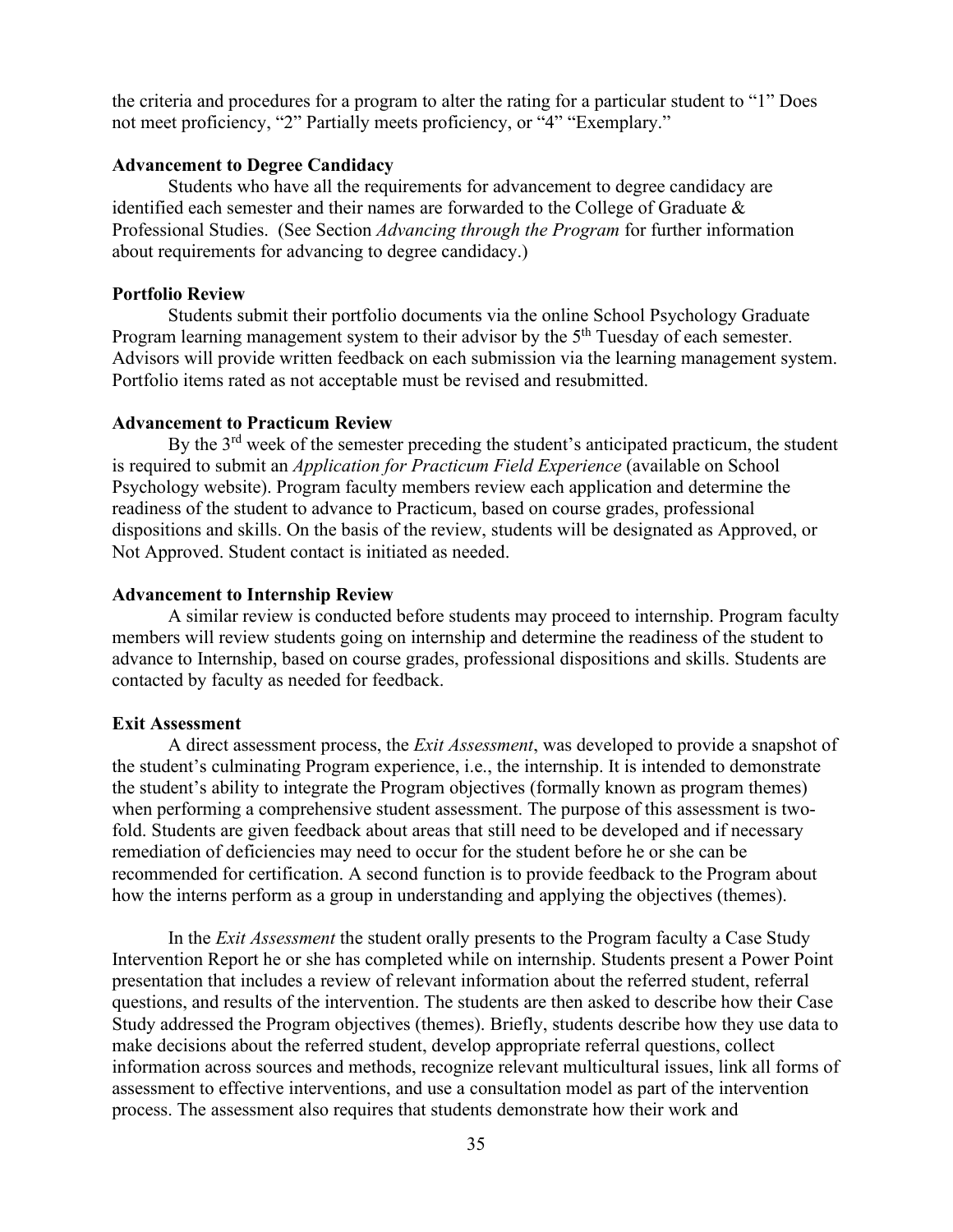the criteria and procedures for a program to alter the rating for a particular student to "1" Does not meet proficiency, "2" Partially meets proficiency, or "4" "Exemplary."

#### **Advancement to Degree Candidacy**

Students who have all the requirements for advancement to degree candidacy are identified each semester and their names are forwarded to the College of Graduate & Professional Studies. (See Section *Advancing through the Program* for further information about requirements for advancing to degree candidacy.)

#### **Portfolio Review**

Students submit their portfolio documents via the online School Psychology Graduate Program learning management system to their advisor by the 5<sup>th</sup> Tuesday of each semester. Advisors will provide written feedback on each submission via the learning management system. Portfolio items rated as not acceptable must be revised and resubmitted.

#### **Advancement to Practicum Review**

By the 3rd week of the semester preceding the student's anticipated practicum, the student is required to submit an *Application for Practicum Field Experience* (available on School Psychology website). Program faculty members review each application and determine the readiness of the student to advance to Practicum, based on course grades, professional dispositions and skills. On the basis of the review, students will be designated as Approved, or Not Approved. Student contact is initiated as needed.

#### **Advancement to Internship Review**

A similar review is conducted before students may proceed to internship. Program faculty members will review students going on internship and determine the readiness of the student to advance to Internship, based on course grades, professional dispositions and skills. Students are contacted by faculty as needed for feedback.

#### **Exit Assessment**

A direct assessment process, the *Exit Assessment*, was developed to provide a snapshot of the student's culminating Program experience, i.e., the internship. It is intended to demonstrate the student's ability to integrate the Program objectives (formally known as program themes) when performing a comprehensive student assessment. The purpose of this assessment is twofold. Students are given feedback about areas that still need to be developed and if necessary remediation of deficiencies may need to occur for the student before he or she can be recommended for certification. A second function is to provide feedback to the Program about how the interns perform as a group in understanding and applying the objectives (themes).

In the *Exit Assessment* the student orally presents to the Program faculty a Case Study Intervention Report he or she has completed while on internship. Students present a Power Point presentation that includes a review of relevant information about the referred student, referral questions, and results of the intervention. The students are then asked to describe how their Case Study addressed the Program objectives (themes). Briefly, students describe how they use data to make decisions about the referred student, develop appropriate referral questions, collect information across sources and methods, recognize relevant multicultural issues, link all forms of assessment to effective interventions, and use a consultation model as part of the intervention process. The assessment also requires that students demonstrate how their work and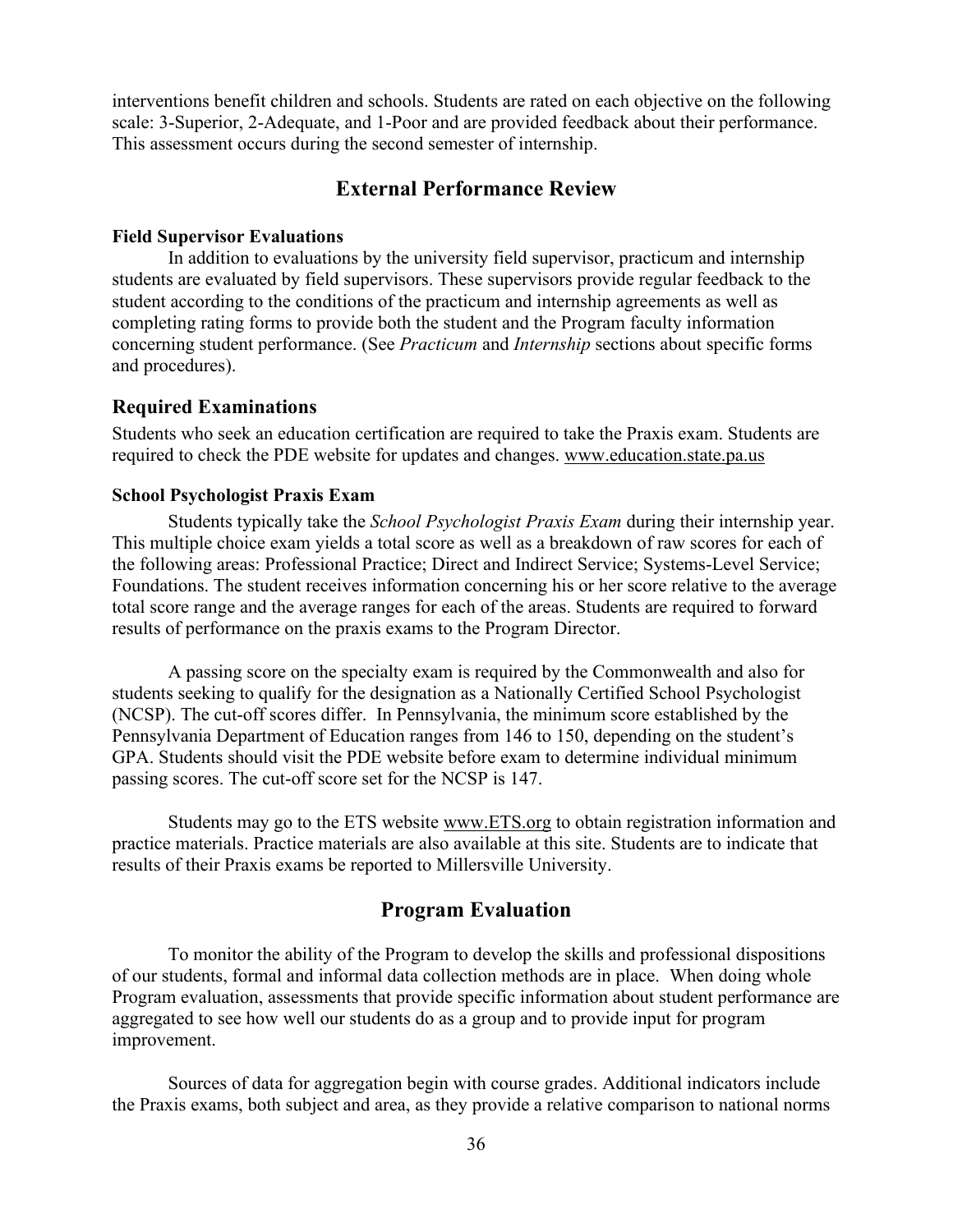interventions benefit children and schools. Students are rated on each objective on the following scale: 3-Superior, 2-Adequate, and 1-Poor and are provided feedback about their performance. This assessment occurs during the second semester of internship.

## **External Performance Review**

#### **Field Supervisor Evaluations**

In addition to evaluations by the university field supervisor, practicum and internship students are evaluated by field supervisors. These supervisors provide regular feedback to the student according to the conditions of the practicum and internship agreements as well as completing rating forms to provide both the student and the Program faculty information concerning student performance. (See *Practicum* and *Internship* sections about specific forms and procedures).

#### **Required Examinations**

Students who seek an education certification are required to take the Praxis exam. Students are required to check the PDE website for updates and changes. [www.education.state.pa.us](http://www.education.state.pa.us/)

#### **School Psychologist Praxis Exam**

Students typically take the *School Psychologist Praxis Exam* during their internship year. This multiple choice exam yields a total score as well as a breakdown of raw scores for each of the following areas: Professional Practice; Direct and Indirect Service; Systems-Level Service; Foundations. The student receives information concerning his or her score relative to the average total score range and the average ranges for each of the areas. Students are required to forward results of performance on the praxis exams to the Program Director.

A passing score on the specialty exam is required by the Commonwealth and also for students seeking to qualify for the designation as a Nationally Certified School Psychologist (NCSP). The cut-off scores differ. In Pennsylvania, the minimum score established by the Pennsylvania Department of Education ranges from 146 to 150, depending on the student's GPA. Students should visit the PDE website before exam to determine individual minimum passing scores. The cut-off score set for the NCSP is 147.

Students may go to the ETS website [www.ETS.org](http://www.ets.org/) to obtain registration information and practice materials. Practice materials are also available at this site. Students are to indicate that results of their Praxis exams be reported to Millersville University.

### **Program Evaluation**

To monitor the ability of the Program to develop the skills and professional dispositions of our students, formal and informal data collection methods are in place. When doing whole Program evaluation, assessments that provide specific information about student performance are aggregated to see how well our students do as a group and to provide input for program improvement.

Sources of data for aggregation begin with course grades. Additional indicators include the Praxis exams, both subject and area, as they provide a relative comparison to national norms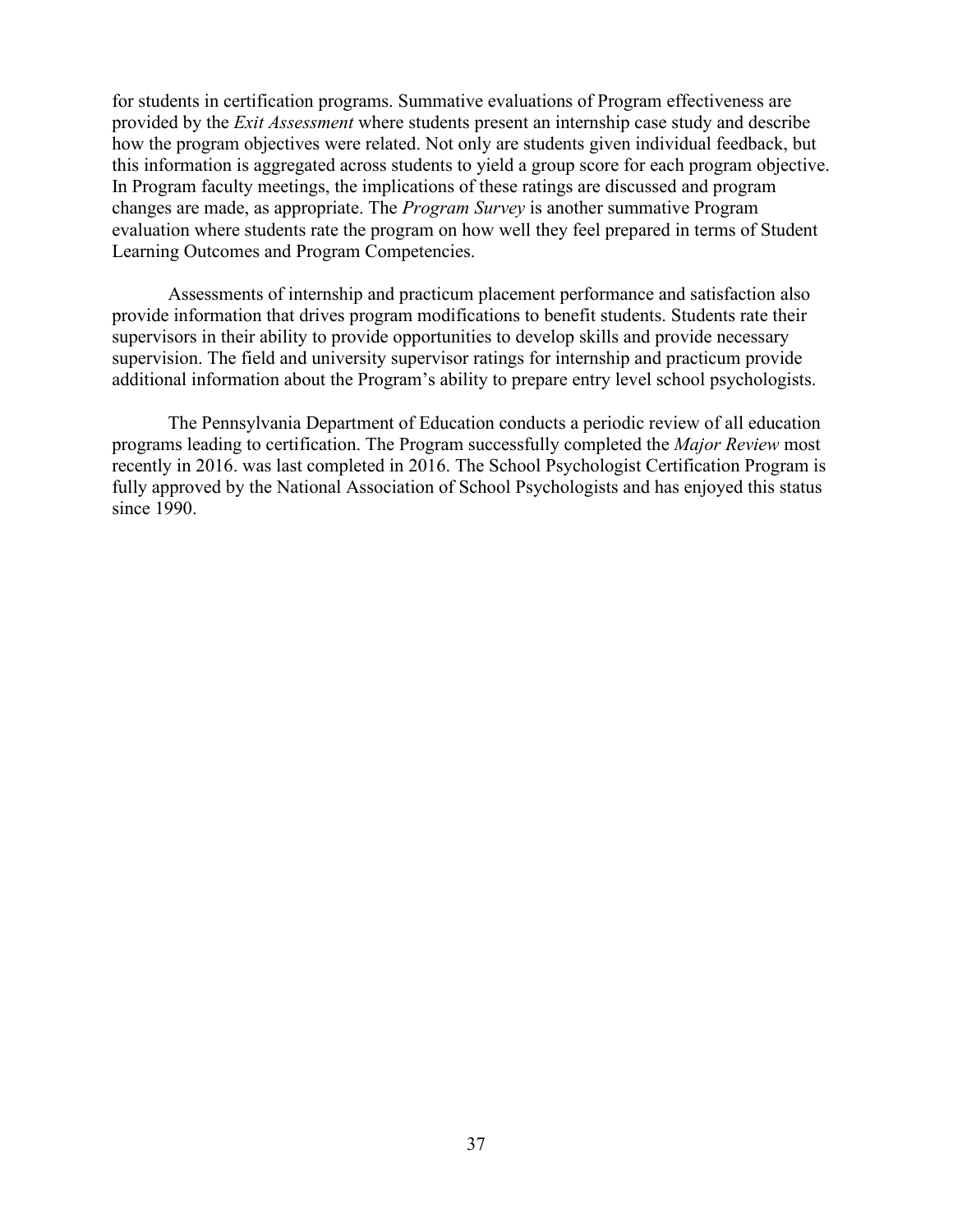for students in certification programs. Summative evaluations of Program effectiveness are provided by the *Exit Assessment* where students present an internship case study and describe how the program objectives were related. Not only are students given individual feedback, but this information is aggregated across students to yield a group score for each program objective. In Program faculty meetings, the implications of these ratings are discussed and program changes are made, as appropriate. The *Program Survey* is another summative Program evaluation where students rate the program on how well they feel prepared in terms of Student Learning Outcomes and Program Competencies.

Assessments of internship and practicum placement performance and satisfaction also provide information that drives program modifications to benefit students. Students rate their supervisors in their ability to provide opportunities to develop skills and provide necessary supervision. The field and university supervisor ratings for internship and practicum provide additional information about the Program's ability to prepare entry level school psychologists.

The Pennsylvania Department of Education conducts a periodic review of all education programs leading to certification. The Program successfully completed the *Major Review* most recently in 2016. was last completed in 2016. The School Psychologist Certification Program is fully approved by the National Association of School Psychologists and has enjoyed this status since 1990.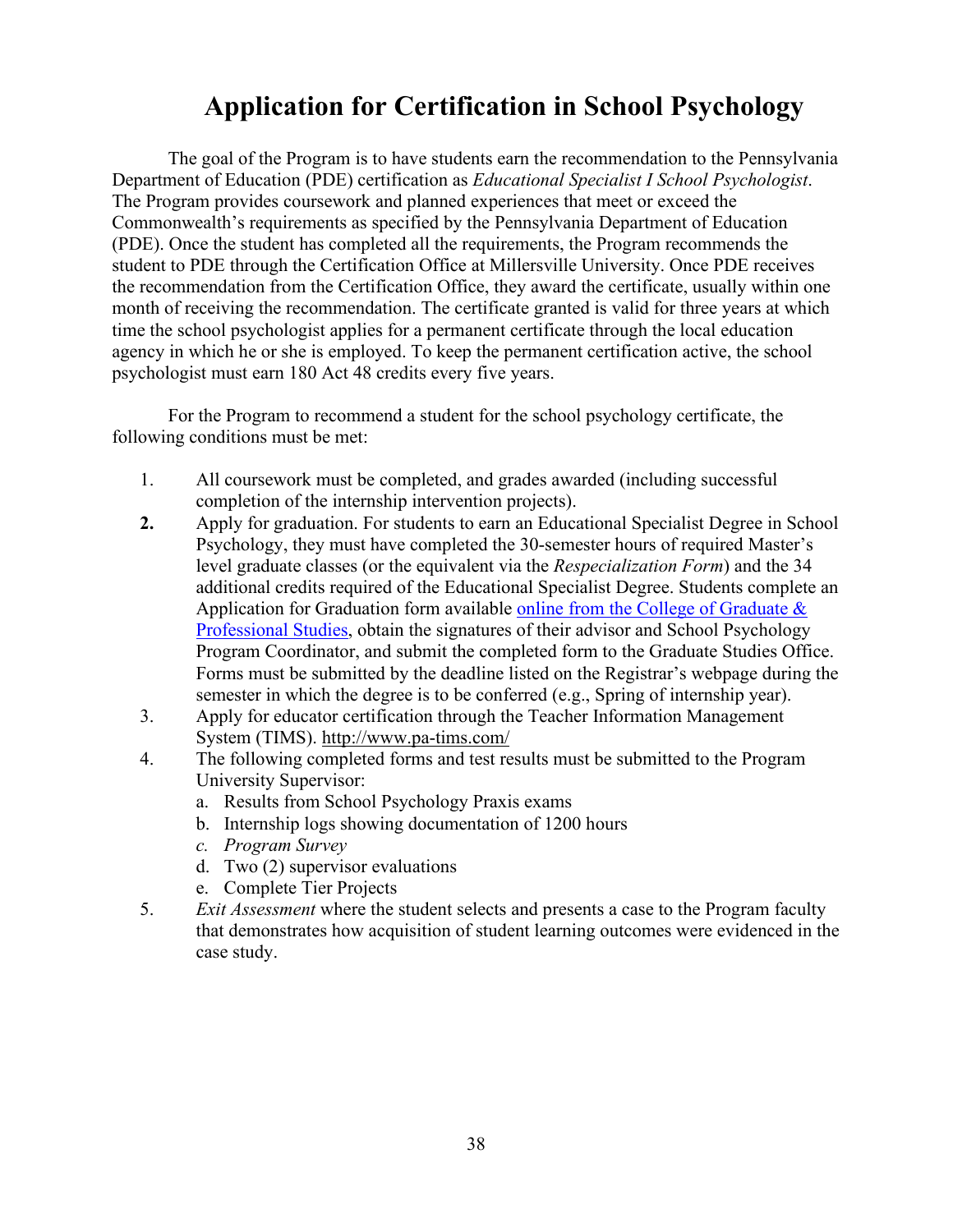# **Application for Certification in School Psychology**

The goal of the Program is to have students earn the recommendation to the Pennsylvania Department of Education (PDE) certification as *Educational Specialist I School Psychologist*. The Program provides coursework and planned experiences that meet or exceed the Commonwealth's requirements as specified by the Pennsylvania Department of Education (PDE). Once the student has completed all the requirements, the Program recommends the student to PDE through the Certification Office at Millersville University. Once PDE receives the recommendation from the Certification Office, they award the certificate, usually within one month of receiving the recommendation. The certificate granted is valid for three years at which time the school psychologist applies for a permanent certificate through the local education agency in which he or she is employed. To keep the permanent certification active, the school psychologist must earn 180 Act 48 credits every five years.

For the Program to recommend a student for the school psychology certificate, the following conditions must be met:

- 1. All coursework must be completed, and grades awarded (including successful completion of the internship intervention projects).
- **2.** Apply for graduation. For students to earn an Educational Specialist Degree in School Psychology, they must have completed the 30-semester hours of required Master's level graduate classes (or the equivalent via the *Respecialization Form*) and the 34 additional credits required of the Educational Specialist Degree. Students complete an Application for Graduation form available online from the College of Graduate  $\&$ [Professional Studies,](https://www.millersville.edu/commencement/files/application-for-graduation.pdf) obtain the signatures of their advisor and School Psychology Program Coordinator, and submit the completed form to the Graduate Studies Office. Forms must be submitted by the deadline listed on the Registrar's webpage during the semester in which the degree is to be conferred (e.g., Spring of internship year).
- 3. Apply for educator certification through the Teacher Information Management System (TIMS).<http://www.pa-tims.com/>
- 4. The following completed forms and test results must be submitted to the Program University Supervisor:
	- a. Results from School Psychology Praxis exams
	- b. Internship logs showing documentation of 1200 hours
	- *c. Program Survey*
	- d. Two (2) supervisor evaluations
	- e. Complete Tier Projects
- 5. *Exit Assessment* where the student selects and presents a case to the Program faculty that demonstrates how acquisition of student learning outcomes were evidenced in the case study.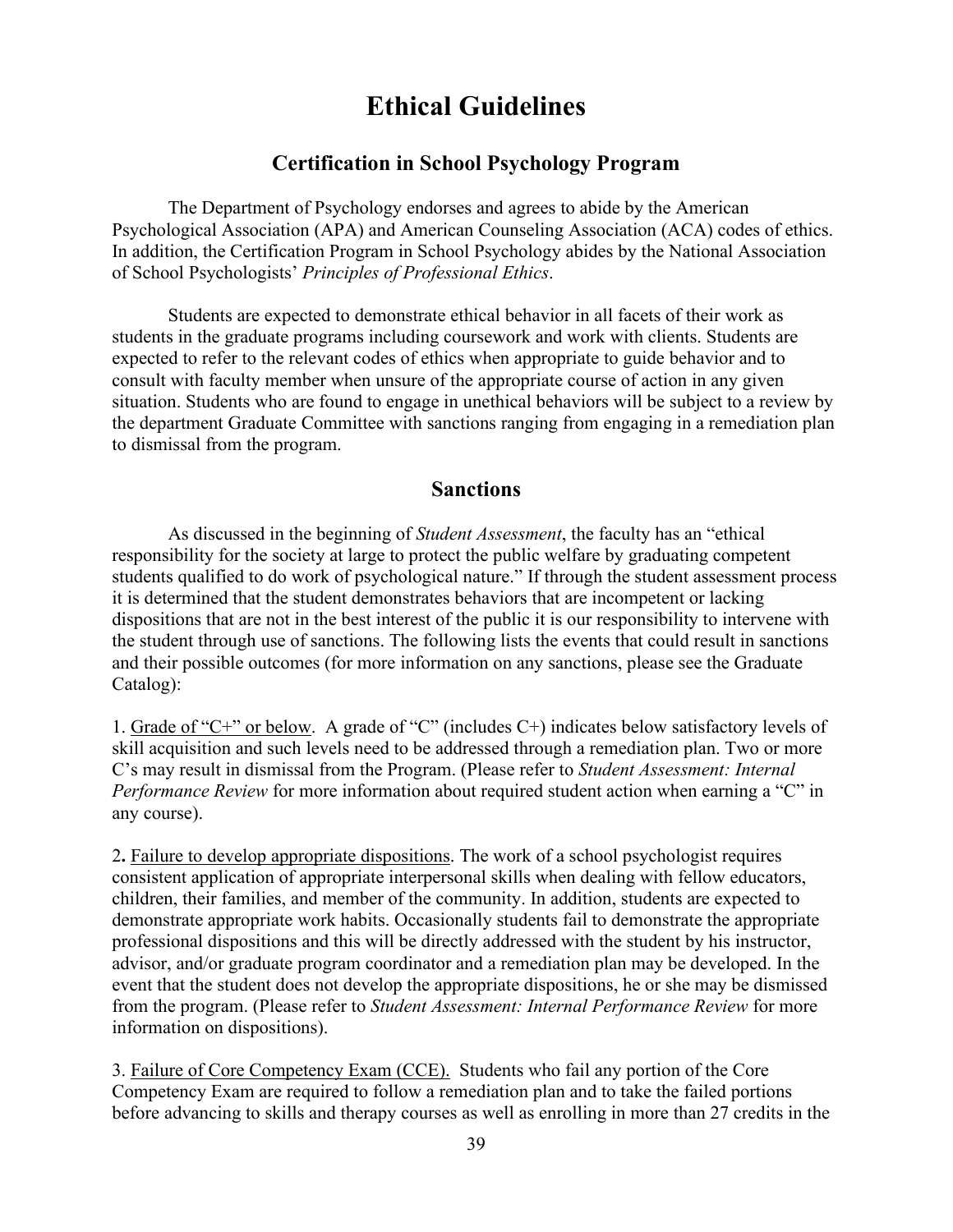## **Ethical Guidelines**

## **Certification in School Psychology Program**

The Department of Psychology endorses and agrees to abide by the American Psychological Association (APA) and American Counseling Association (ACA) codes of ethics. In addition, the Certification Program in School Psychology abides by the National Association of School Psychologists' *Principles of Professional Ethics*.

Students are expected to demonstrate ethical behavior in all facets of their work as students in the graduate programs including coursework and work with clients. Students are expected to refer to the relevant codes of ethics when appropriate to guide behavior and to consult with faculty member when unsure of the appropriate course of action in any given situation. Students who are found to engage in unethical behaviors will be subject to a review by the department Graduate Committee with sanctions ranging from engaging in a remediation plan to dismissal from the program.

### **Sanctions**

As discussed in the beginning of *Student Assessment*, the faculty has an "ethical responsibility for the society at large to protect the public welfare by graduating competent students qualified to do work of psychological nature." If through the student assessment process it is determined that the student demonstrates behaviors that are incompetent or lacking dispositions that are not in the best interest of the public it is our responsibility to intervene with the student through use of sanctions. The following lists the events that could result in sanctions and their possible outcomes (for more information on any sanctions, please see the Graduate Catalog):

1. Grade of "C+" or below. A grade of "C" (includes C+) indicates below satisfactory levels of skill acquisition and such levels need to be addressed through a remediation plan. Two or more C's may result in dismissal from the Program. (Please refer to *Student Assessment: Internal Performance Review* for more information about required student action when earning a "C" in any course).

2**.** Failure to develop appropriate dispositions. The work of a school psychologist requires consistent application of appropriate interpersonal skills when dealing with fellow educators, children, their families, and member of the community. In addition, students are expected to demonstrate appropriate work habits. Occasionally students fail to demonstrate the appropriate professional dispositions and this will be directly addressed with the student by his instructor, advisor, and/or graduate program coordinator and a remediation plan may be developed. In the event that the student does not develop the appropriate dispositions, he or she may be dismissed from the program. (Please refer to *Student Assessment: Internal Performance Review* for more information on dispositions).

3. Failure of Core Competency Exam (CCE).Students who fail any portion of the Core Competency Exam are required to follow a remediation plan and to take the failed portions before advancing to skills and therapy courses as well as enrolling in more than 27 credits in the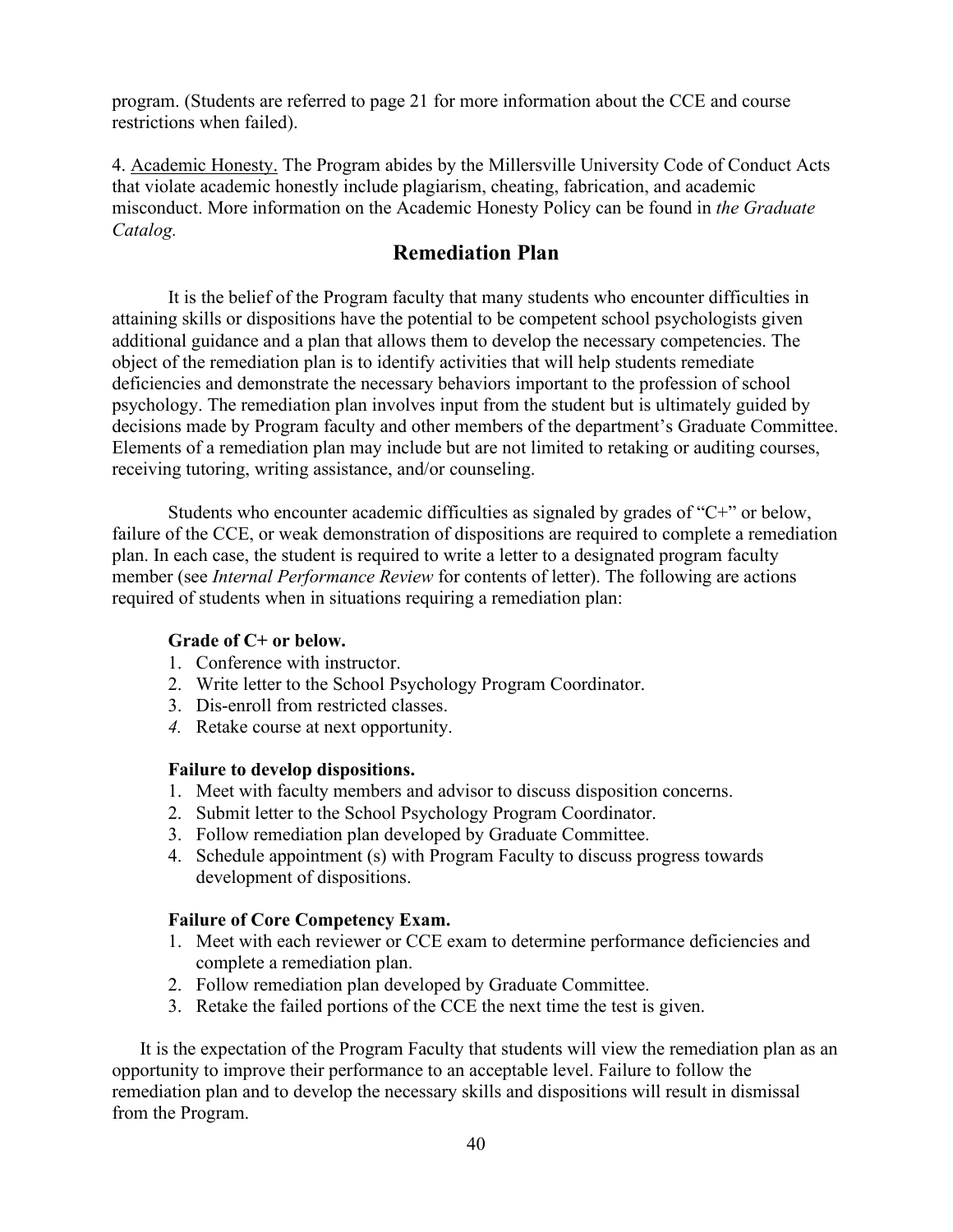program. (Students are referred to page 21 for more information about the CCE and course restrictions when failed).

4. Academic Honesty. The Program abides by the Millersville University Code of Conduct Acts that violate academic honestly include plagiarism, cheating, fabrication, and academic misconduct. More information on the Academic Honesty Policy can be found in *the Graduate Catalog.*

## **Remediation Plan**

It is the belief of the Program faculty that many students who encounter difficulties in attaining skills or dispositions have the potential to be competent school psychologists given additional guidance and a plan that allows them to develop the necessary competencies. The object of the remediation plan is to identify activities that will help students remediate deficiencies and demonstrate the necessary behaviors important to the profession of school psychology. The remediation plan involves input from the student but is ultimately guided by decisions made by Program faculty and other members of the department's Graduate Committee. Elements of a remediation plan may include but are not limited to retaking or auditing courses, receiving tutoring, writing assistance, and/or counseling.

Students who encounter academic difficulties as signaled by grades of "C+" or below, failure of the CCE, or weak demonstration of dispositions are required to complete a remediation plan. In each case, the student is required to write a letter to a designated program faculty member (see *Internal Performance Review* for contents of letter). The following are actions required of students when in situations requiring a remediation plan:

#### **Grade of C+ or below.**

- 1. Conference with instructor.
- 2. Write letter to the School Psychology Program Coordinator.
- 3. Dis-enroll from restricted classes.
- *4.* Retake course at next opportunity.

#### **Failure to develop dispositions.**

- 1. Meet with faculty members and advisor to discuss disposition concerns.
- 2. Submit letter to the School Psychology Program Coordinator.
- 3. Follow remediation plan developed by Graduate Committee.
- 4. Schedule appointment (s) with Program Faculty to discuss progress towards development of dispositions.

#### **Failure of Core Competency Exam.**

- 1. Meet with each reviewer or CCE exam to determine performance deficiencies and complete a remediation plan.
- 2. Follow remediation plan developed by Graduate Committee.
- 3. Retake the failed portions of the CCE the next time the test is given.

It is the expectation of the Program Faculty that students will view the remediation plan as an opportunity to improve their performance to an acceptable level. Failure to follow the remediation plan and to develop the necessary skills and dispositions will result in dismissal from the Program.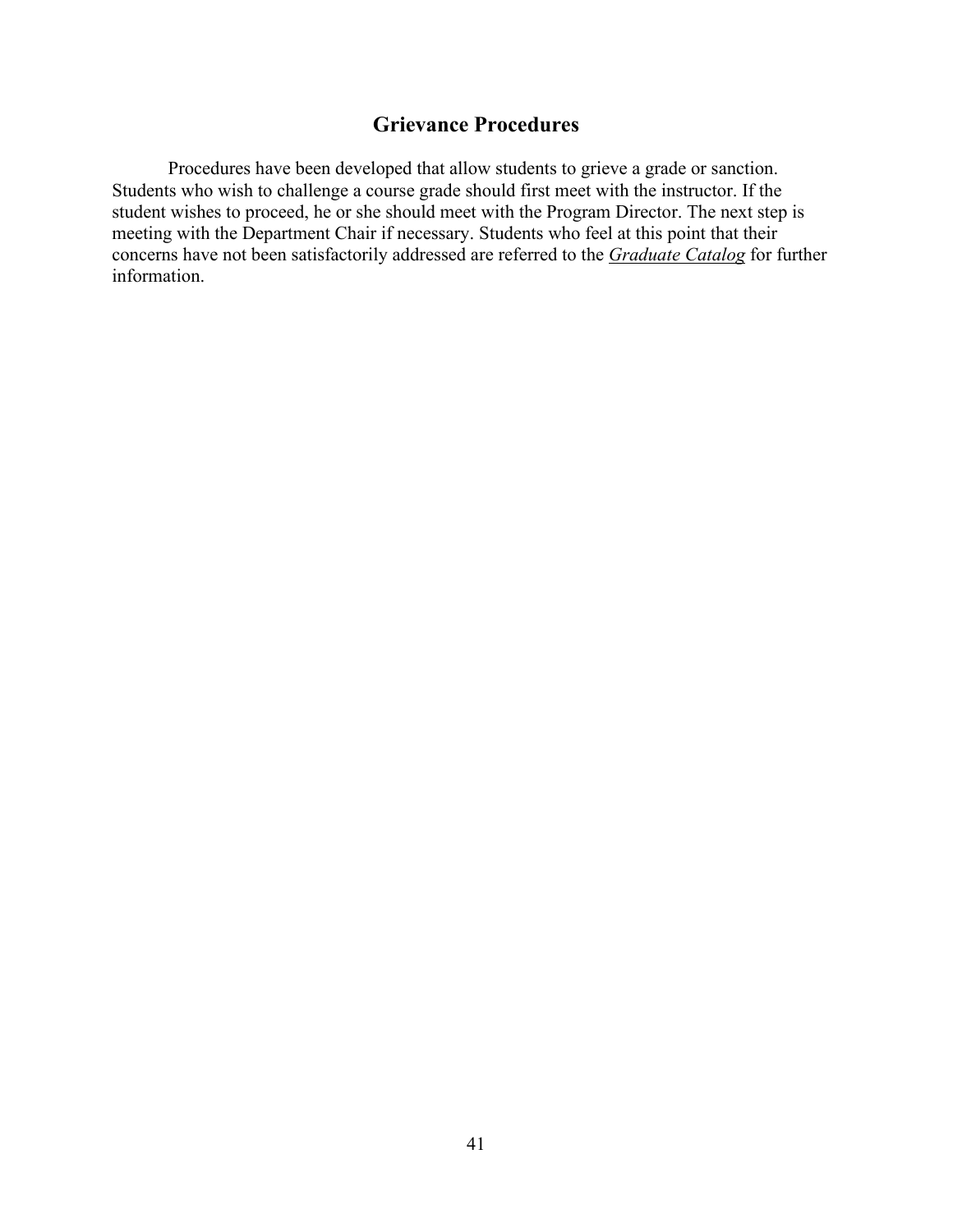## **Grievance Procedures**

Procedures have been developed that allow students to grieve a grade or sanction. Students who wish to challenge a course grade should first meet with the instructor. If the student wishes to proceed, he or she should meet with the Program Director. The next step is meeting with the Department Chair if necessary. Students who feel at this point that their concerns have not been satisfactorily addressed are referred to the *[Graduate Catalog](https://www.millersville.edu/admissions/graduate/current-student-resources/graduate-student-catalog.php)* for further information.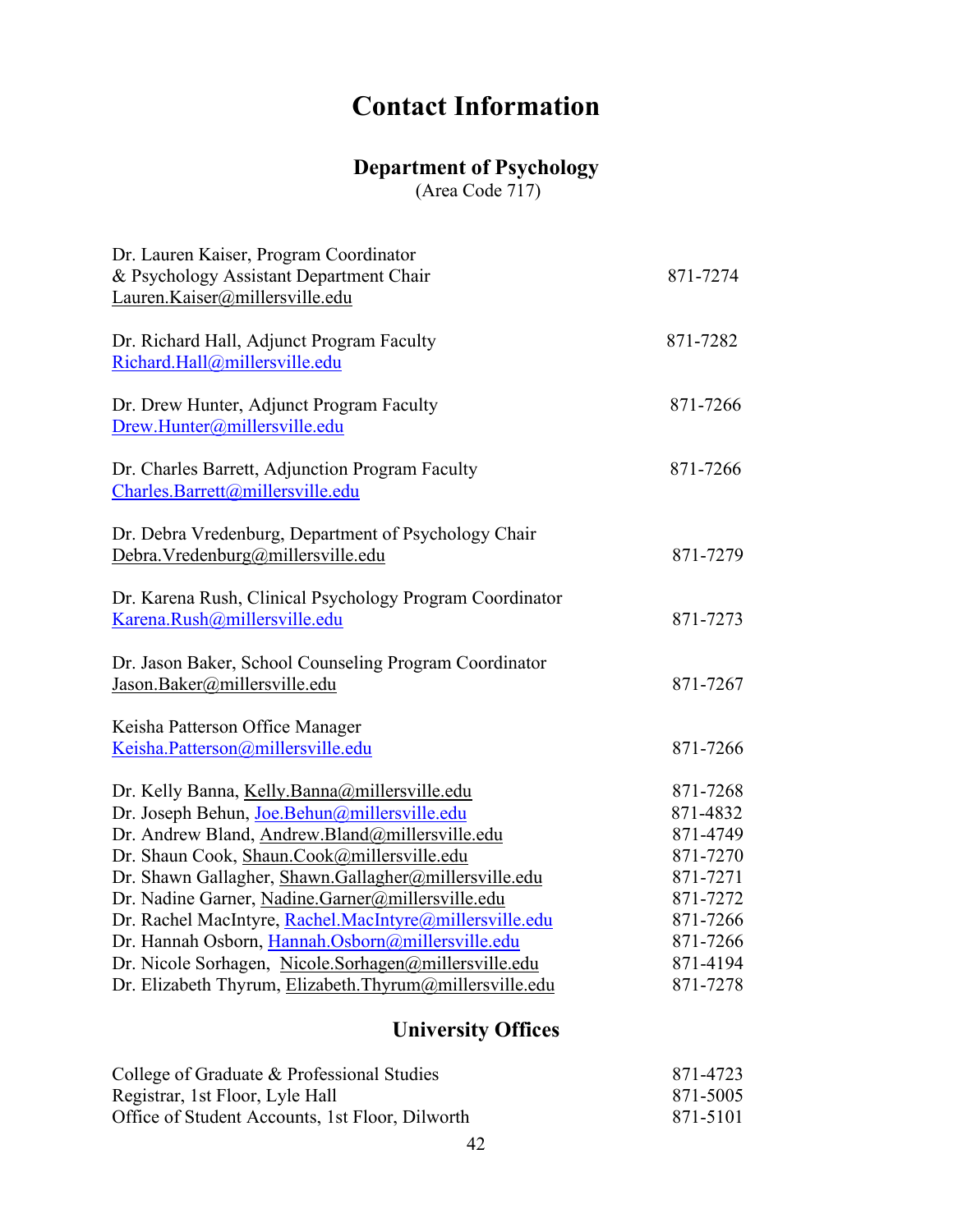# **Contact Information**

## **Department of Psychology**

(Area Code 717)

| Dr. Lauren Kaiser, Program Coordinator<br>& Psychology Assistant Department Chair<br>Lauren.Kaiser@millersville.edu                                                                                                                                                                                                                                                                                                                                                                                                                               | 871-7274                                                                                                             |
|---------------------------------------------------------------------------------------------------------------------------------------------------------------------------------------------------------------------------------------------------------------------------------------------------------------------------------------------------------------------------------------------------------------------------------------------------------------------------------------------------------------------------------------------------|----------------------------------------------------------------------------------------------------------------------|
| Dr. Richard Hall, Adjunct Program Faculty<br>Richard.Hall@millersville.edu                                                                                                                                                                                                                                                                                                                                                                                                                                                                        | 871-7282                                                                                                             |
| Dr. Drew Hunter, Adjunct Program Faculty<br>Drew.Hunter@millersville.edu                                                                                                                                                                                                                                                                                                                                                                                                                                                                          | 871-7266                                                                                                             |
| Dr. Charles Barrett, Adjunction Program Faculty<br>Charles.Barrett@millersville.edu                                                                                                                                                                                                                                                                                                                                                                                                                                                               | 871-7266                                                                                                             |
| Dr. Debra Vredenburg, Department of Psychology Chair<br>Debra. Vredenburg@millersville.edu                                                                                                                                                                                                                                                                                                                                                                                                                                                        | 871-7279                                                                                                             |
| Dr. Karena Rush, Clinical Psychology Program Coordinator<br>Karena.Rush@millersville.edu                                                                                                                                                                                                                                                                                                                                                                                                                                                          | 871-7273                                                                                                             |
| Dr. Jason Baker, School Counseling Program Coordinator<br>Jason.Baker@millersville.edu                                                                                                                                                                                                                                                                                                                                                                                                                                                            | 871-7267                                                                                                             |
| Keisha Patterson Office Manager<br>Keisha.Patterson@millersville.edu                                                                                                                                                                                                                                                                                                                                                                                                                                                                              | 871-7266                                                                                                             |
| Dr. Kelly Banna, Kelly.Banna@millersville.edu<br>Dr. Joseph Behun, Joe.Behun@millersville.edu<br>Dr. Andrew Bland, Andrew.Bland@millersville.edu<br>Dr. Shaun Cook, Shaun.Cook@millersville.edu<br>Dr. Shawn Gallagher, Shawn.Gallagher@millersville.edu<br>Dr. Nadine Garner, Nadine.Garner@millersville.edu<br>Dr. Rachel MacIntyre, Rachel.MacIntyre@millersville.edu<br>Dr. Hannah Osborn, Hannah Osborn@millersville.edu<br>Dr. Nicole Sorhagen, Nicole.Sorhagen@millersville.edu<br>Dr. Elizabeth Thyrum, Elizabeth.Thyrum@millersville.edu | 871-7268<br>871-4832<br>871-4749<br>871-7270<br>871-7271<br>871-7272<br>871-7266<br>871-7266<br>871-4194<br>871-7278 |
|                                                                                                                                                                                                                                                                                                                                                                                                                                                                                                                                                   |                                                                                                                      |

## **University Offices**

| College of Graduate & Professional Studies      | 871-4723 |
|-------------------------------------------------|----------|
| Registrar, 1st Floor, Lyle Hall                 | 871-5005 |
| Office of Student Accounts, 1st Floor, Dilworth | 871-5101 |